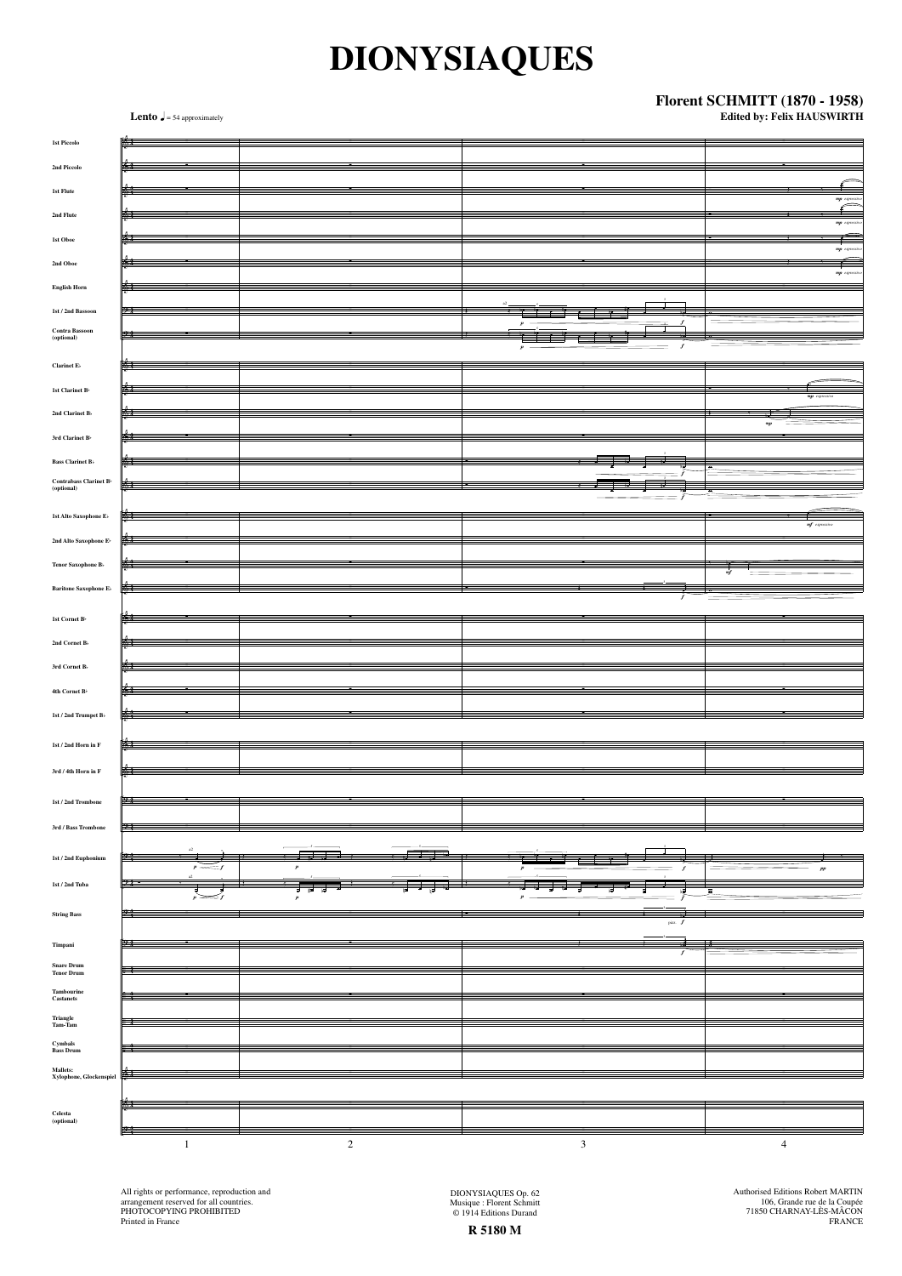| <b>1st Piccolo</b>                          | ∱1                                    |                                   |                                                                             |                                    |                                           |
|---------------------------------------------|---------------------------------------|-----------------------------------|-----------------------------------------------------------------------------|------------------------------------|-------------------------------------------|
| 2nd Piccolo                                 | 61                                    |                                   |                                                                             |                                    |                                           |
|                                             | $\frac{2}{9}$                         |                                   |                                                                             |                                    | $\overline{\phantom{0}}$<br>ь.            |
| 1st Flute                                   |                                       |                                   |                                                                             |                                    | $\overline{\mathbf{p}}$ espressivo        |
| 2nd Flute                                   | $\frac{1}{2}$                         |                                   |                                                                             |                                    | ⇉<br>$mp$ espressive                      |
| 1st Oboe                                    | $\frac{2}{64}$                        |                                   |                                                                             |                                    | ∈<br>╾<br>$mp$ espressivo                 |
| 2nd Oboe                                    | 61                                    |                                   |                                                                             |                                    | $\equiv$<br>$\pmb{m}{\pmb{p}}$ espressivo |
| <b>English Horn</b>                         | $\frac{1}{64}$                        |                                   |                                                                             |                                    |                                           |
| 1st / 2nd Bassoon                           | $\mathbf{P}4$                         |                                   | $a2$ <sub>-</sub><br>$\rightarrow$<br>- 1<br>∸                              |                                    |                                           |
| $\operatorname{Contra}$ Bassoon             | $\mathbf{P}$                          |                                   | $\boldsymbol{p}$<br>$\rightarrow$<br>$\rightarrow$<br>$\overline{1}$<br>- 1 |                                    |                                           |
| (optional)                                  |                                       |                                   | $\boldsymbol{p}$                                                            |                                    |                                           |
| Clarinet E                                  | 61                                    |                                   |                                                                             |                                    |                                           |
| 1st Clarinet B                              | $\frac{2}{5}$                         |                                   |                                                                             |                                    | $\pmb{m}{\pmb{p}}$ espressivo             |
| 2nd Clarinet B                              | $\frac{2}{64}$                        |                                   |                                                                             |                                    | ⋿                                         |
| 3rd Clarinet B                              | $\frac{2}{64}$                        |                                   |                                                                             |                                    | mp                                        |
| <b>Bass Clarinet B</b>                      | $\frac{2}{64}$                        |                                   | ÷<br>ł                                                                      | ł<br>$\overline{\phantom{a}}$      |                                           |
|                                             |                                       |                                   |                                                                             |                                    | $\overline{u}$                            |
| Contrabass Clarinet B<br>(optional)         | 61                                    |                                   | ╺                                                                           | ÷<br>ł<br>$\overline{\phantom{a}}$ |                                           |
| 1st Alto Saxophone E                        | 61                                    |                                   |                                                                             |                                    | $m\!f$ $\!f$ $\!f$                        |
| 2nd Alto Saxophone E                        | $\frac{1}{64}$                        |                                   |                                                                             |                                    |                                           |
| Tenor Saxophone B                           | $\frac{1}{64}$                        |                                   |                                                                             |                                    |                                           |
|                                             | $\frac{1}{2}$                         |                                   | ≖<br>∓                                                                      |                                    | mj                                        |
| <b>Baritone Saxophone E</b>                 |                                       |                                   |                                                                             |                                    |                                           |
| 1st Cornet $\mathbf{B} \flat$               | ≰‡                                    |                                   |                                                                             |                                    |                                           |
| 2nd Cornet B                                | 61                                    |                                   |                                                                             |                                    |                                           |
| $3 \text{rd}$ Cornet B $\flat$              | $\frac{1}{64}$                        |                                   |                                                                             |                                    |                                           |
| 4th Cornet B                                | 64                                    |                                   |                                                                             |                                    |                                           |
| $1st$ / $2nd$ Trumpet $\rm B\cdot$          | 64                                    | --                                |                                                                             | --                                 | --                                        |
|                                             |                                       |                                   |                                                                             |                                    |                                           |
| $1st$ / $2nd$ Horn in ${\rm F}$             | 161                                   |                                   |                                                                             |                                    |                                           |
| $3 \mathrm{rd}$ / $4 \mathrm{th}$ Horn in F | 64                                    |                                   |                                                                             |                                    |                                           |
| $1\mathrm{st}$ / $2\mathrm{nd}$ Trombone    | 24                                    |                                   |                                                                             |                                    |                                           |
|                                             |                                       |                                   |                                                                             |                                    |                                           |
| 3rd / Bass Trombone                         | ₽1                                    |                                   |                                                                             |                                    |                                           |
| $1\mathrm{st}$ / $2\mathrm{nd}$ Euphonium   | $_{\rm a2}$<br>24-                    | $\overrightarrow{p}$<br>ـــ       |                                                                             |                                    |                                           |
| 1st / 2nd Tuba                              | $p \equiv f$<br>$^{\rm a2}$<br>$91 -$ | $\boldsymbol{p}$                  |                                                                             |                                    | pp                                        |
|                                             | $\sum_{r}$                            | ारे<br>÷<br>ᄫ<br>$\boldsymbol{p}$ |                                                                             |                                    |                                           |
| <b>String Bass</b>                          | 艺车                                    |                                   | ⊨                                                                           | 子<br>pizz. $f$                     |                                           |
| Timpani                                     | 21                                    |                                   |                                                                             |                                    |                                           |
|                                             |                                       |                                   |                                                                             | $\boldsymbol{f}$                   |                                           |



## **DIONYSIAQUES**

## **Florent SCHMITT (1870 - 1958)**

**Edited by: Felix HAUSWIRTH**

**Lento**  $\boldsymbol{\mathsf{J}}$  = 54 approximately

Authorised Editions Robert MARTIN 106, Grande rue de la Coupée 71850 CHARNAY-LÈS-MÂCON FRANCE

All rights or performance, reproduction and arrangement reserved for all countries. PHOTOCOPYING PROHIBITED Printed in France

DIONYSIAQUES Op. 62 Musique : Florent Schmitt © 1914 Editions Durand

## **R 5180 M**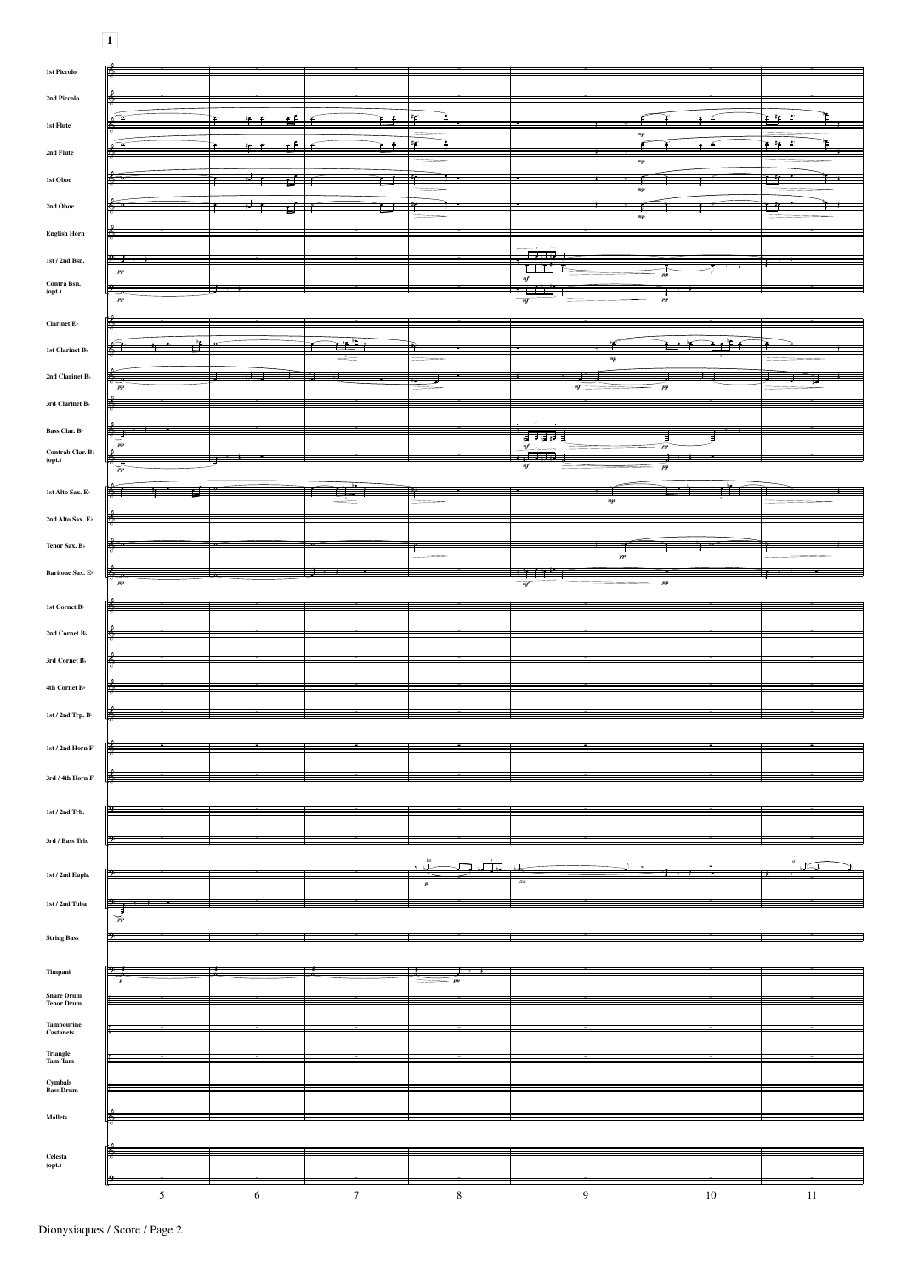| $1st$ Piccolo $\,$                                                               | 鬝                                    |               |   |                                         |                          |                                                                                                                |                          |
|----------------------------------------------------------------------------------|--------------------------------------|---------------|---|-----------------------------------------|--------------------------|----------------------------------------------------------------------------------------------------------------|--------------------------|
| 2nd Piccolo                                                                      | ౹ౚ                                   |               |   |                                         |                          |                                                                                                                |                          |
| $1st$ Flute $\,$                                                                 | ີ∝<br>Ѩ                              |               | £ | $\epsilon$                              | ‡e'                      | $\mathit{mp}$                                                                                                  | 产毕                       |
| $2\mathrm{nd}$ Flute                                                             | $\alpha$                             |               |   |                                         | l۴.                      |                                                                                                                | 产毕                       |
| $1\mathrm{st}$ Oboe                                                              |                                      |               | ਦ | -                                       |                          | $\it mp$                                                                                                       | $\sim$ $\sim$            |
| $2\mathbf{nd}$ Oboe                                                              |                                      |               | - |                                         |                          | $\it mp$                                                                                                       | $\overline{\phantom{a}}$ |
| <b>English Horn</b>                                                              | 6                                    |               |   |                                         |                          | $\it mp$                                                                                                       |                          |
| $1\mathrm{st}$ / $2\mathrm{nd}$ Bsn.                                             | 母                                    |               |   |                                         |                          | $\sqrt{1+\epsilon}$                                                                                            |                          |
|                                                                                  | $p\hspace{-0.5mm}p$                  | $\rightarrow$ |   |                                         |                          | $\mathbf{L}$<br>$_{mf}$                                                                                        |                          |
| $\begin{array}{ll} \textbf{Contra}\ \textbf{Bsn.}\\ \textbf{(opt.)} \end{array}$ | $\mathcal{P}$ .<br>$\boldsymbol{pp}$ |               |   |                                         |                          | 71 L H<br>۲đ.<br>$p\hspace{-0.5mm}p$<br>mf                                                                     |                          |
| Clarinet $\mathbf{E}\flat$                                                       | Ѩ                                    |               |   |                                         |                          |                                                                                                                |                          |
| 1st Clarinet $\rm B\ensuremath{\flat}$                                           | Þе.                                  |               |   | $\frac{1}{2}$<br>$\frac{3}{2}$          |                          | $\it mp$                                                                                                       |                          |
| $2{\rm nd}$ Clarinet ${\rm B}_?$                                                 | 촞<br>pp                              |               |   |                                         | $\overline{\phantom{a}}$ | $\it mf$                                                                                                       |                          |
| $3\text{rd}$ Clarinet $\text{B}\flat$                                            |                                      |               |   |                                         |                          |                                                                                                                |                          |
| Bass Clar. B                                                                     | ँ→                                   |               |   |                                         |                          | <del>µाउµ</del> इ<br>$\frac{1}{3}$                                                                             |                          |
| Contrab Clar. B<br>(opt.)                                                        | pp<br>奏                              | ×             |   |                                         |                          | m f<br>$_{pp}$<br>$\rightarrow$ $\rightarrow$<br>$\frac{1}{2}$ , $\frac{1}{2}$ , $\frac{1}{2}$ , $\frac{1}{2}$ |                          |
|                                                                                  | $p\hspace{-0.5mm}p$<br>ѭ             |               |   |                                         |                          | mf<br>$p\hspace{-.08cm}p\hspace{-.09cm}p$                                                                      |                          |
|                                                                                  |                                      |               |   |                                         |                          | $\it mp$                                                                                                       |                          |
| 2nd Alto Sax. $\rm E\flat$                                                       | te,                                  |               |   |                                         |                          |                                                                                                                |                          |
| Tenor Sax. $\mathbf{B} \flat$                                                    | া⊙ি                                  |               |   |                                         |                          | $p\bar{p}$                                                                                                     |                          |
| Baritone Sax. $\mathbf{E}\flat$                                                  | ļ6. n<br>pp                          |               |   | $\begin{array}{ccc} \hline \end{array}$ |                          | $\frac{1}{2}$ in the internal state in the set<br>$p\hspace{-0.5mm}p$<br>$\overline{mf}$                       |                          |
| 1st Cornet $\mathbf{B}\flat$                                                     | Ѩ                                    |               |   |                                         |                          |                                                                                                                |                          |
| 2nd Cornet $\rm B\ensuremath{\flat}$                                             |                                      |               |   |                                         |                          |                                                                                                                |                          |
| $3\text{rd}$ Cornet $\text{B}\flat$                                              |                                      |               |   |                                         |                          |                                                                                                                |                          |
| $4\mbox{th}$ Cornet $\mbox{B}\flat$                                              |                                      |               |   |                                         |                          |                                                                                                                |                          |
| $1\mathrm{st}$ / $2\mathrm{nd}$ Trp. $\mathrm{B}\flat$                           |                                      |               |   |                                         |                          |                                                                                                                |                          |
|                                                                                  |                                      |               |   |                                         |                          |                                                                                                                |                          |
| $1\mathrm{st}$ / $2\mathrm{nd}$ Horn F                                           |                                      |               |   |                                         |                          |                                                                                                                |                          |
| $3\mathrm{rd}$ / $4\mathrm{th}$ Horn F                                           |                                      |               |   |                                         |                          |                                                                                                                |                          |
| $1\mathrm{st}$ / $2\mathrm{nd}$ Trb.                                             | ⋻                                    |               |   |                                         |                          |                                                                                                                |                          |
| $3\mathrm{rd}$ / Bass Trb.                                                       | ⋺                                    |               |   |                                         |                          |                                                                                                                |                          |
|                                                                                  | ।୨≔                                  |               |   |                                         |                          |                                                                                                                | $1\,\mathrm{st}$         |
| $1\mathrm{st}$ / $2\mathrm{nd}$ Euph.                                            |                                      |               |   |                                         | $\boldsymbol{p}$         | $2\mathrm{nd}$                                                                                                 |                          |
| $1\mathrm{st}$ / $2\mathrm{nd}$ Tuba                                             | ⋺<br>$\frac{1}{\frac{p}{p}}$         |               |   |                                         |                          |                                                                                                                |                          |
| <b>String Bass</b>                                                               | ₱                                    |               |   |                                         |                          |                                                                                                                |                          |

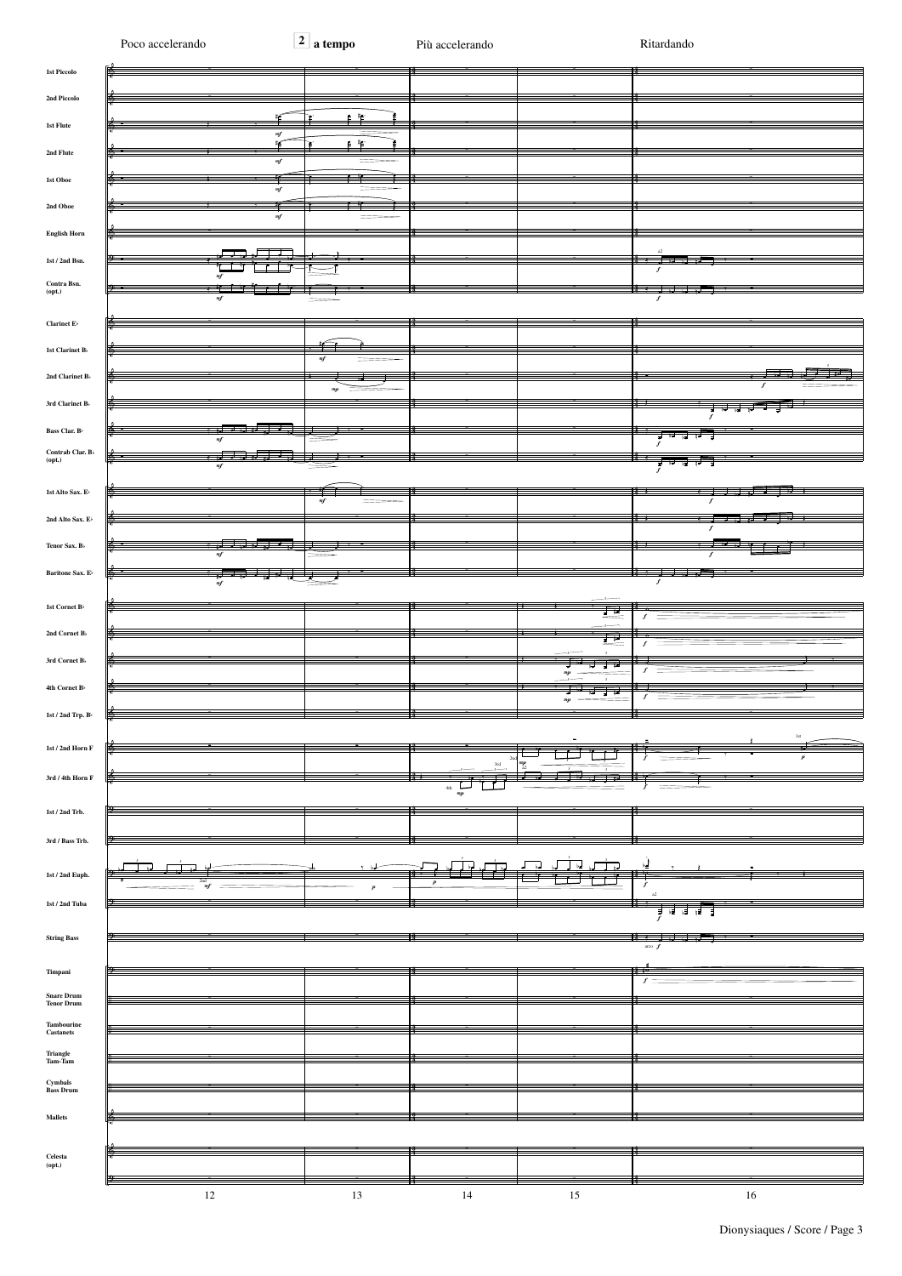| $1\mathrm{st}$ Piccolo                                                                  | 鬝                                                                 |                                           |                                              |                 |                                                         |
|-----------------------------------------------------------------------------------------|-------------------------------------------------------------------|-------------------------------------------|----------------------------------------------|-----------------|---------------------------------------------------------|
| 2nd Piccolo                                                                             | る                                                                 |                                           |                                              |                 |                                                         |
| $1st$ Flute $\,$                                                                        |                                                                   | $f$ $\frac{1}{2}$<br>È                    |                                              |                 |                                                         |
| 2nd Flute                                                                               | $\it mf$<br>眸                                                     | $f$ $\frac{1}{2}$<br>È                    |                                              |                 |                                                         |
|                                                                                         | $\it mf$<br>ЦĖ.                                                   | $\equiv$                                  |                                              |                 |                                                         |
| $1\mathrm{st}$ Oboe                                                                     | $\it mf$                                                          |                                           |                                              |                 |                                                         |
| $2\mathrm{nd}$ Oboe                                                                     | $\it mf$                                                          |                                           |                                              |                 |                                                         |
| <b>English Horn</b>                                                                     |                                                                   |                                           |                                              |                 |                                                         |
| $1st$ / $2nd$ Bsn. $\,$                                                                 | $\frac{1}{x}$ $\frac{1}{x}$ $\frac{1}{x}$ $\frac{1}{x}$           | $\rightarrow$ $\rightarrow$ $\rightarrow$ |                                              |                 | $\rm{a2}$<br>$\frac{4}{4}$<br>f                         |
| Contra Bsn.<br>(opt.)                                                                   | $m\ell$<br>$\rightarrow$ if f is<br>  9≔<br>⇁<br>$\rightarrow$    |                                           |                                              |                 | $\frac{4}{7}$<br>$\frac{1}{2}$ $\frac{1}{2}$            |
|                                                                                         | $\it mf$                                                          |                                           |                                              |                 | $\boldsymbol{f}$                                        |
| Clarinet $\mathbf{E}\flat$                                                              |                                                                   |                                           |                                              |                 |                                                         |
| 1st Clarinet $\rm B\ensuremath{\scriptstyle{\circ}}$                                    |                                                                   | $\it mf$                                  |                                              |                 |                                                         |
| 2nd Clarinet $\rm B\ensuremath{\scriptstyle{\circ}}$                                    |                                                                   | ⇉<br>$\mathit{mp}$                        |                                              |                 | $\boldsymbol{f}$                                        |
| 3rd Clarinet B                                                                          |                                                                   |                                           |                                              |                 | $\frac{1}{4}$<br><del>रे प्र</del><br>क्र               |
| Bass Clar. $\rm B\ensuremath{\flat}$                                                    | لمواسم الموارد<br>m f                                             |                                           |                                              |                 | $\frac{4}{7}$<br>₹<br>$\overrightarrow{ }$<br>म्ब<br>ार |
| $\begin{array}{ll} \mbox{Contrab } \mbox{Char.} \; B\flat \\ \mbox{(opt.)} \end{array}$ | $\overline{1}$ , $\overline{1}$ , $\overline{1}$ , $\overline{1}$ |                                           |                                              |                 | $12 - 7$<br>$\overrightarrow{ }$                        |
|                                                                                         | $\it mf$                                                          |                                           |                                              |                 | म्र<br>⅌                                                |
| 1st Alto Sax. $\rm E\flat$                                                              |                                                                   | $\overline{1}$<br>$\it mf$                |                                              |                 | $\lambda$                                               |
| 2nd Alto Sax. $\rm E\flat$                                                              |                                                                   |                                           |                                              |                 | $\rightarrow$                                           |
| Tenor Sax. $\rm B\ensuremath{\flat}$                                                    | m f                                                               |                                           | ∣я—                                          |                 | <u>ana</u><br>$\overline{4}$<br>$\boldsymbol{f}$        |
|                                                                                         |                                                                   |                                           |                                              |                 | f                                                       |
|                                                                                         | mf                                                                |                                           |                                              |                 |                                                         |
| 1st Cornet $\rm B\flat$                                                                 |                                                                   |                                           |                                              | ਰਾਜਾਂ           |                                                         |
| 2nd Cornet $\rm B\flat$                                                                 |                                                                   |                                           |                                              | $\frac{1}{2}$   |                                                         |
| $3 \text{rd}$ Cornet $\text{B}\flat$                                                    |                                                                   |                                           |                                              | m <sub>k</sub>  |                                                         |
| $4\mbox{th}$ Cornet $\mbox{B}\flat$                                                     |                                                                   |                                           |                                              |                 |                                                         |
| $1\mathrm{st}$ / $2\mathrm{nd}$ Trp. $\mathrm{B}\flat$                                  |                                                                   |                                           |                                              |                 |                                                         |
| $1\mathrm{st}$ / $2\mathrm{nd}$ Horn F                                                  |                                                                   |                                           |                                              |                 | 1st                                                     |
|                                                                                         |                                                                   |                                           | 3rd                                          | $\frac{mp}{a2}$ | $\boldsymbol{p}$                                        |
| $3 \mathrm{rd}$ / $4 \mathrm{th}$ Horn F                                                |                                                                   |                                           | $4\mathrm{th}$<br>$\mathfrak{m}p$            |                 |                                                         |
| $1st$ / $2nd$ Trb. $\,$                                                                 | ⋺                                                                 |                                           |                                              |                 |                                                         |
| $3\mathrm{rd}$ / Bass Trb.                                                              |                                                                   |                                           |                                              |                 |                                                         |
|                                                                                         |                                                                   |                                           |                                              | لموا            | 호                                                       |
| 1st / 2nd Euph.                                                                         | 2nd<br>mf                                                         |                                           | $\overline{\phantom{a}}$<br>$\boldsymbol{p}$ |                 |                                                         |
| $1st$ / $2nd$ ${\rm Tuba}$                                                              |                                                                   |                                           |                                              |                 | $\rm{a2}$<br>$\overline{f}$<br>븇<br>見<br>ਖ਼⊒            |
| $\mbox{String Bass}$                                                                    |                                                                   |                                           |                                              |                 |                                                         |
|                                                                                         |                                                                   |                                           |                                              |                 | arco $f$                                                |



Poco accelerando

Più accelerando

Ritardando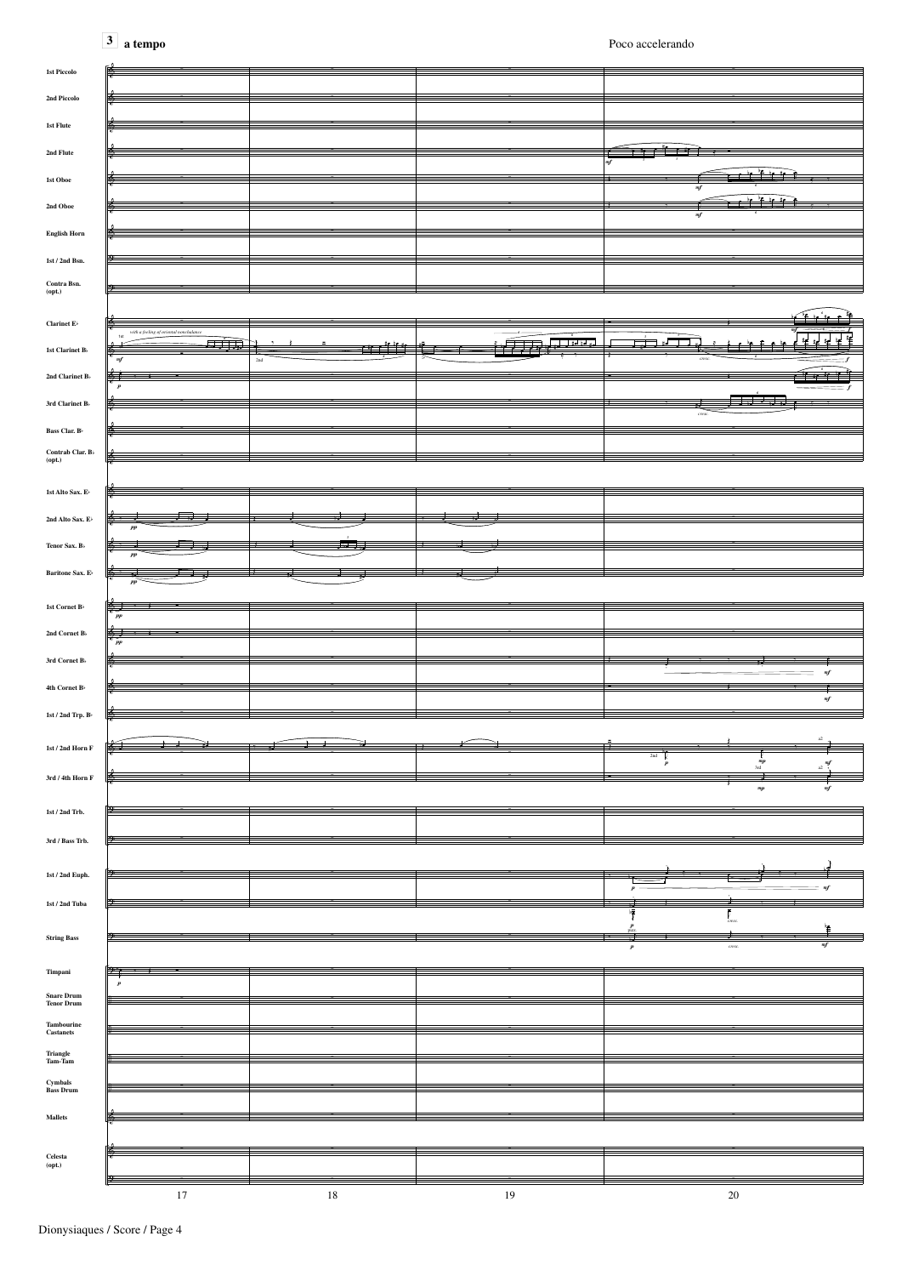

| <b>1st Piccolo</b>                                                                                           | 鬝                                                       |                      |                |                  |                           |
|--------------------------------------------------------------------------------------------------------------|---------------------------------------------------------|----------------------|----------------|------------------|---------------------------|
|                                                                                                              | Ѩ                                                       |                      |                |                  |                           |
| 2nd Piccolo                                                                                                  |                                                         |                      |                |                  |                           |
| $1st$ Flute $\,$                                                                                             | 6                                                       |                      |                |                  |                           |
| 2nd Flute                                                                                                    |                                                         |                      |                | . .<br>mf        |                           |
| $1\mathrm{st}$ Oboe                                                                                          |                                                         |                      |                | $\it mf$         |                           |
| 2nd Oboe                                                                                                     |                                                         |                      |                |                  |                           |
| <b>English Horn</b>                                                                                          | 喬                                                       |                      |                | $\it mf$         |                           |
| 1st / 2nd Bsn.                                                                                               | ⊨⊁                                                      |                      |                |                  |                           |
|                                                                                                              |                                                         |                      |                |                  |                           |
| Contra Bsn.<br>(opt.)                                                                                        | β                                                       |                      |                |                  |                           |
| Clarinet $\mathbf{E}\flat$                                                                                   | 险                                                       |                      |                |                  |                           |
| 1st Clarinet $\rm B\ensuremath{\flat}$                                                                       | with a feeling of oriental nonchalance<br>$1st$<br>- 10 |                      | يو اميا امير ا |                  |                           |
|                                                                                                              | m f                                                     | 2nd                  |                | cresc.           | $\cdot$ if if if          |
| 2nd Clarinet $\rm B\flat$                                                                                    | 61<br>$\boldsymbol{p}$                                  |                      |                |                  |                           |
| $3\text{rd}$ Clarinet B                                                                                      | ta.                                                     |                      |                | ∹<br>cresc.      | $\overline{\phantom{a}}$  |
| Bass Clar. $\rm B\ensuremath{\scriptstyle{\circ}}$                                                           |                                                         |                      |                |                  |                           |
| $\begin{array}{l} \textbf{Control } \textbf{Char.} \text{ } \textbf{B} \flat \\ \textbf{(opt.)} \end{array}$ | Ѩ                                                       |                      |                |                  |                           |
| 1st Alto Sax. E                                                                                              | Ѩ                                                       |                      |                |                  |                           |
|                                                                                                              | 长                                                       |                      |                |                  |                           |
| 2nd Alto Sax. $\rm E\flat$                                                                                   | $_{pp}$                                                 | $\boldsymbol{\beta}$ |                |                  |                           |
| Tenor Sax. $\mathbf{B} \flat$                                                                                | 险<br>p                                                  |                      |                |                  |                           |
|                                                                                                              | K                                                       |                      |                |                  |                           |
| 1st Cornet $\mathbf{B}\flat$                                                                                 | $\overline{\mathbb{F}}_{\overline{p}}$                  |                      |                |                  |                           |
| $2{\rm nd}$ Cornet ${\rm B}\flat$                                                                            | 6.                                                      |                      |                |                  |                           |
|                                                                                                              | pp                                                      |                      |                |                  |                           |
| $3 \text{rd}$ Cornet $\text{B}\flat$                                                                         |                                                         |                      |                |                  | m f                       |
| $4\text{th}$ Cornet $\text{B}\flat$                                                                          |                                                         |                      |                |                  | $\it mf$                  |
| $1\mathrm{st}$ / $2\mathrm{nd}$ Trp. $\mathrm{B}\flat$                                                       |                                                         |                      |                |                  |                           |
| $1\mathrm{st}$ / $2\mathrm{nd}$ Horn F                                                                       |                                                         |                      |                |                  | a <sub>2</sub>            |
|                                                                                                              |                                                         |                      |                | $2\mathrm{nd}$   | $_{mp}$<br>3rd            |
| $3\mathrm{rd}$ / $4\mathrm{th}$ Horn F                                                                       |                                                         |                      |                |                  | $\mathit{mp}$<br>$\it mf$ |
| $1\mathrm{st}$ / $2\mathrm{nd}$ Trb.                                                                         | P.                                                      |                      |                |                  |                           |
| $3\mathrm{rd}$ / Bass Trb.                                                                                   | ⊫                                                       |                      |                |                  |                           |
|                                                                                                              |                                                         |                      |                |                  |                           |
| $1\mathrm{st}$ / $2\mathrm{nd}$ Euph.                                                                        | ⋻                                                       |                      |                |                  |                           |
| $1st$ / $2nd$ ${\bf Tuba}$                                                                                   | ⋻                                                       |                      |                |                  |                           |
|                                                                                                              | 匪                                                       |                      |                |                  | creso                     |
| $\mbox{String Bass}$                                                                                         |                                                         |                      |                | $\boldsymbol{p}$ | $\it mf$<br>$\it{cresc.}$ |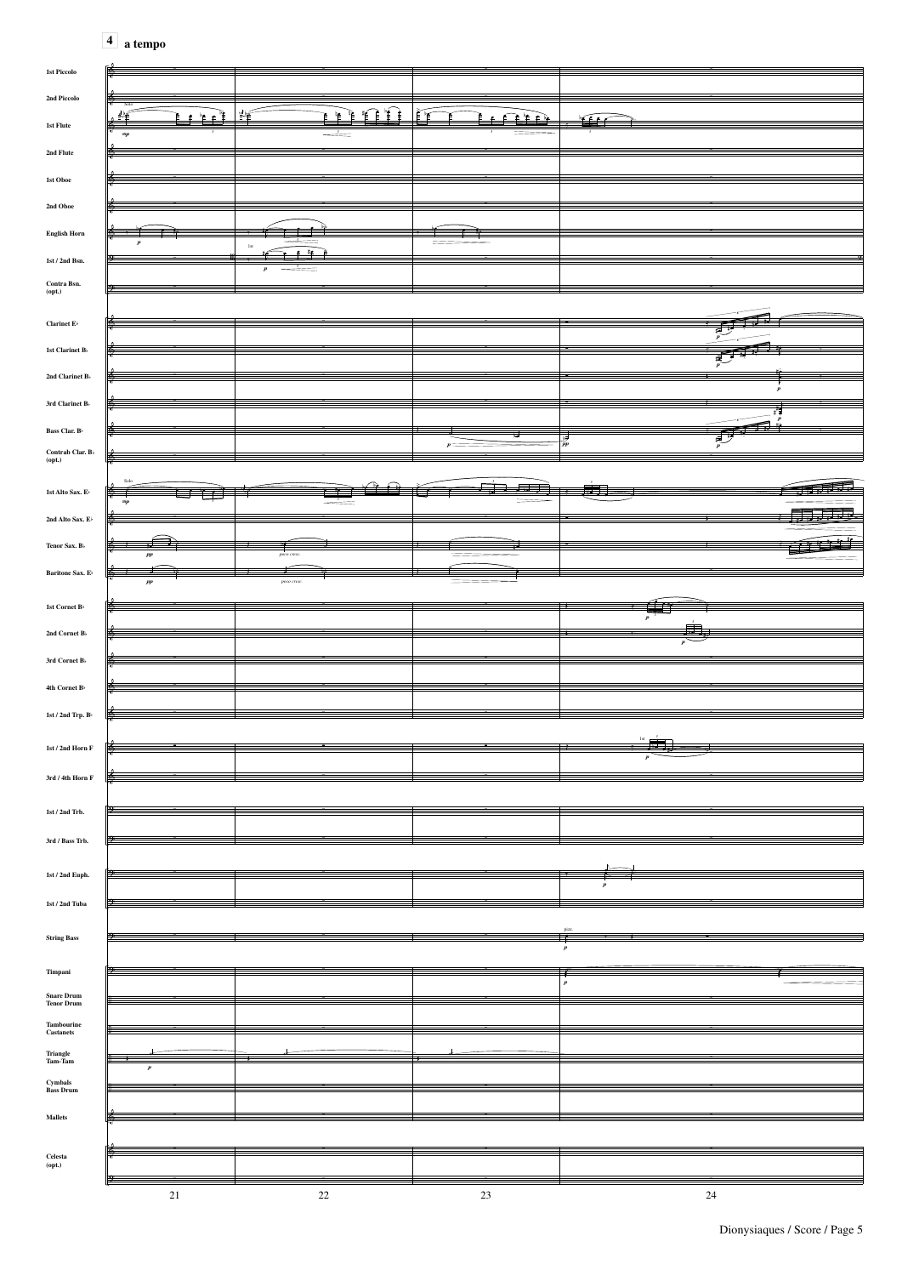**4 a tempo**

| $1\mathrm{st}$ Piccolo                                                               | 唏                                                                         |                      |                                                      |                                                    |                      |                                 |
|--------------------------------------------------------------------------------------|---------------------------------------------------------------------------|----------------------|------------------------------------------------------|----------------------------------------------------|----------------------|---------------------------------|
| $2\mathrm{nd}$ Piccolo                                                               | ⊺∲<br>Solo                                                                |                      |                                                      |                                                    |                      |                                 |
| 1st Flute                                                                            | $f^{\flat}$ $f^{\star}$<br>"≣<br>望<br>È.<br>6<br>$\it mp$                 | 準                    | $\mathbf{f}$<br>ਵਿ<br>፝ዸቘ<br>$\overline{\mathbf{3}}$ | $\widehat{\mathbf{F}}$<br>$F^*$<br>E<br>$\epsilon$ |                      |                                 |
| $2\mathrm{nd}$ Flute                                                                 |                                                                           |                      |                                                      |                                                    |                      |                                 |
| 1st Oboe                                                                             |                                                                           |                      |                                                      |                                                    |                      |                                 |
| $2\mathrm{nd}$ Oboe                                                                  |                                                                           |                      |                                                      |                                                    |                      |                                 |
| <b>English Horn</b>                                                                  |                                                                           |                      |                                                      |                                                    |                      |                                 |
| $1st$ / $2nd$ Bsn. $\,$                                                              |                                                                           | $1st$<br>ä.          |                                                      |                                                    |                      |                                 |
| Contra Bsn.<br>(opt.)                                                                | →                                                                         | $\boldsymbol{p}$     |                                                      |                                                    |                      |                                 |
|                                                                                      |                                                                           |                      |                                                      |                                                    |                      |                                 |
| Clarinet $\mathbf{E}\flat$                                                           |                                                                           |                      |                                                      |                                                    |                      | $\overline{p}$                  |
| 1st Clarinet $B\flat$                                                                |                                                                           |                      |                                                      |                                                    |                      | ⊭ੜ                              |
| 2nd Clarinet $B\flat$                                                                |                                                                           |                      |                                                      |                                                    |                      |                                 |
| $3\text{rd}$ Clarinet $\text{B}\flat$                                                |                                                                           |                      |                                                      |                                                    |                      |                                 |
| Bass Clar. $B\flat$                                                                  |                                                                           |                      |                                                      | ♬                                                  | 浸                    | 霆                               |
| $\begin{array}{ll} \mbox{Contrab } \mbox{Char. B}\flat \\ \mbox{(opt.)} \end{array}$ |                                                                           |                      |                                                      | $p -$                                              | $_{pp}$              |                                 |
|                                                                                      |                                                                           |                      |                                                      |                                                    |                      | ₩                               |
|                                                                                      |                                                                           |                      | $\overline{\phantom{a}3}$                            |                                                    |                      |                                 |
|                                                                                      |                                                                           |                      |                                                      |                                                    |                      |                                 |
| 2nd Alto Sax. $\rm E\!\flat$                                                         |                                                                           |                      |                                                      |                                                    |                      |                                 |
| Tenor Sax. B                                                                         | Ю.<br>≠<br>$\overline{\cdot}$<br>$p\hspace{-.08cm}p\hspace{-.09cm}\bar{}$ | $p_{\rm OCO}$ cresc. |                                                      |                                                    |                      | $\sqrt{1-\frac{1}{2}}$ is it if |
| Baritone Sax. $\rm E\ensuremath{\scriptstyle{\circ}}$                                | $\boldsymbol{pp}$                                                         | poco cresc.          |                                                      |                                                    |                      |                                 |
| 1st Cornet $\mathbf{B}\flat$                                                         |                                                                           |                      |                                                      |                                                    | $\boldsymbol{p}$     |                                 |
| $2{\rm nd}$ Cornet ${\rm B}\flat$                                                    |                                                                           |                      |                                                      |                                                    |                      |                                 |
| $3 \text{rd}$ Cornet $\text{B}\flat$                                                 |                                                                           |                      |                                                      |                                                    |                      |                                 |
| $4\mbox{th}$ Cornet $\mbox{B}\flat$                                                  |                                                                           |                      |                                                      |                                                    |                      |                                 |
| $1\mathrm{st}$ / $2\mathrm{nd}$ Trp. $\mathrm{B}\flat$                               |                                                                           |                      |                                                      |                                                    |                      |                                 |
|                                                                                      |                                                                           |                      |                                                      |                                                    | $1\rm{st}$           |                                 |
|                                                                                      |                                                                           |                      |                                                      |                                                    | $\boldsymbol{p}$     |                                 |
| $1\mathrm{st}$ / $2\mathrm{nd}$ Horn F<br>$3 \mathrm{rd}$ / $4 \mathrm{th}$ Horn F   |                                                                           |                      |                                                      |                                                    |                      |                                 |
| $1\mathrm{st}$ / $2\mathrm{nd}$ Trb.                                                 | ⋺                                                                         |                      |                                                      |                                                    |                      |                                 |
| $3\mathrm{rd}$ / Bass Trb.                                                           | ∍                                                                         |                      |                                                      |                                                    |                      |                                 |
|                                                                                      | ⊕                                                                         |                      |                                                      |                                                    |                      |                                 |
| $1\mathrm{st}$ / $2\mathrm{nd}$ Euph.                                                |                                                                           |                      |                                                      |                                                    | $\boldsymbol{p}$     |                                 |
| $1\mathrm{st}$ / $2\mathrm{nd}$ Tuba                                                 | ⊃≔                                                                        |                      |                                                      |                                                    | $\overrightarrow{p}$ |                                 |

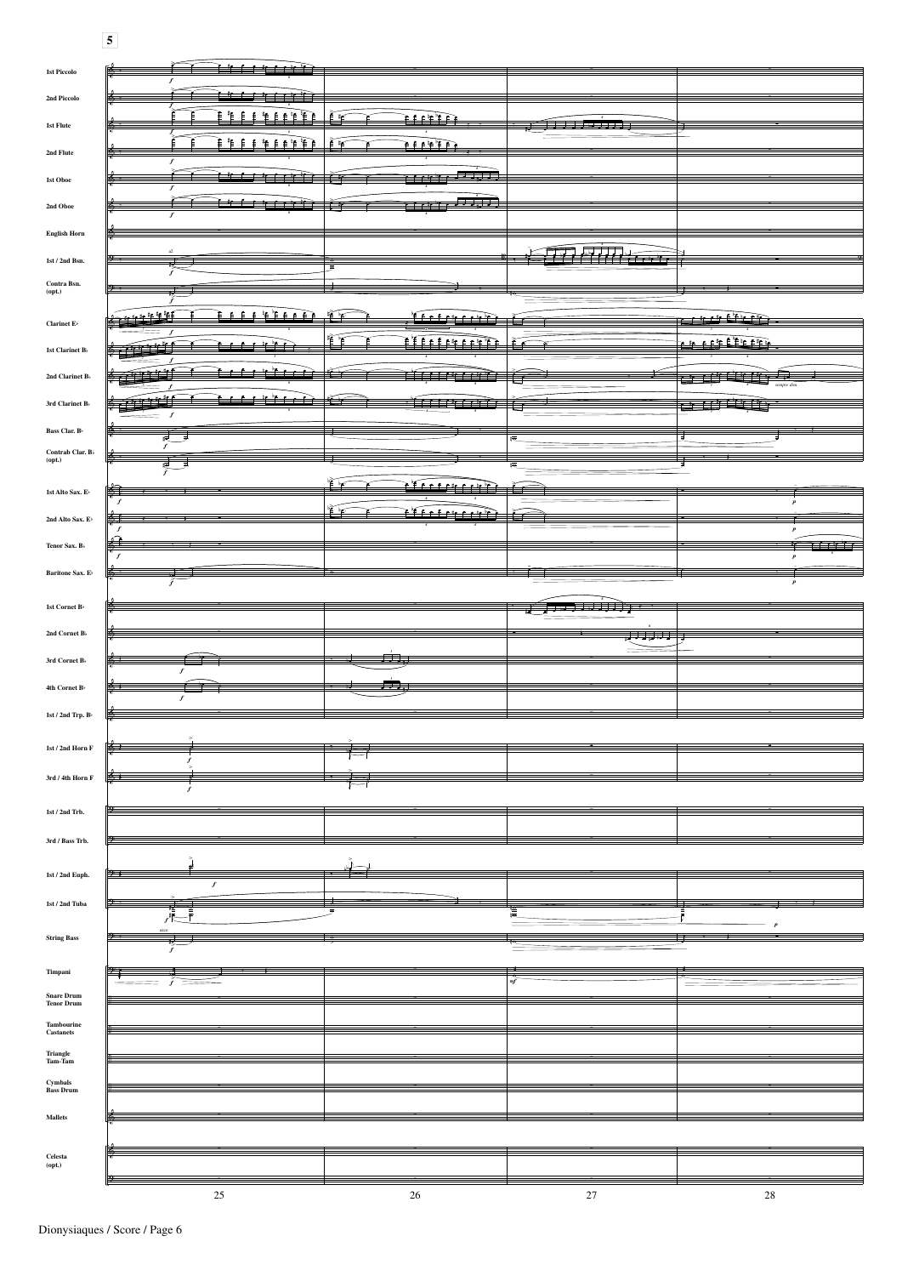| <b>1st Piccolo</b>                                 |                                                                                                                                                                                                                                                                                                                                                                                                                                   |                  | $\frac{1}{2}$                           |                                               |                                                                                                                                                                                                                                                                                                                                                |                         |                          |                                                                                                                                                                                                                                                                                                                     |
|----------------------------------------------------|-----------------------------------------------------------------------------------------------------------------------------------------------------------------------------------------------------------------------------------------------------------------------------------------------------------------------------------------------------------------------------------------------------------------------------------|------------------|-----------------------------------------|-----------------------------------------------|------------------------------------------------------------------------------------------------------------------------------------------------------------------------------------------------------------------------------------------------------------------------------------------------------------------------------------------------|-------------------------|--------------------------|---------------------------------------------------------------------------------------------------------------------------------------------------------------------------------------------------------------------------------------------------------------------------------------------------------------------|
| 2nd Piccolo                                        | $\frac{1}{6}$                                                                                                                                                                                                                                                                                                                                                                                                                     |                  | $\ddot{\phantom{1}}$<br>$\cdots$        |                                               |                                                                                                                                                                                                                                                                                                                                                |                         |                          |                                                                                                                                                                                                                                                                                                                     |
|                                                    | l‰ *                                                                                                                                                                                                                                                                                                                                                                                                                              |                  | 直視 自有相当自相信                              | 丰栏                                            | $F$ $F$ $F$ $F$ $F$ $F$ $F$<br>$\sim$ $-$                                                                                                                                                                                                                                                                                                      |                         |                          |                                                                                                                                                                                                                                                                                                                     |
| $1st$ Flute $\,$                                   |                                                                                                                                                                                                                                                                                                                                                                                                                                   |                  | 直 社 直 <u>自 社 自 自 社 社 主</u>              |                                               |                                                                                                                                                                                                                                                                                                                                                |                         |                          |                                                                                                                                                                                                                                                                                                                     |
| 2nd Flute                                          |                                                                                                                                                                                                                                                                                                                                                                                                                                   | f                |                                         | 手柜                                            | <b>EFFETT</b>                                                                                                                                                                                                                                                                                                                                  |                         |                          |                                                                                                                                                                                                                                                                                                                     |
| $1st$ Oboe                                         |                                                                                                                                                                                                                                                                                                                                                                                                                                   | $\boldsymbol{f}$ | <del>می با با با با با با با</del>      | f #                                           | ل د د له د م <sup>ر</sup> مزه م د                                                                                                                                                                                                                                                                                                              |                         |                          |                                                                                                                                                                                                                                                                                                                     |
| 2nd Oboe                                           |                                                                                                                                                                                                                                                                                                                                                                                                                                   |                  | $\overbrace{\phantom{h^{2}}\,}^{h^{2}}$ | $\left( \begin{array}{c} \end{array} \right)$ | $7 - 1$<br>$\sim$ $\sim$ $\sim$ $\sim$ $\sim$                                                                                                                                                                                                                                                                                                  |                         |                          |                                                                                                                                                                                                                                                                                                                     |
| <b>English Horn</b>                                |                                                                                                                                                                                                                                                                                                                                                                                                                                   | $\boldsymbol{f}$ |                                         |                                               |                                                                                                                                                                                                                                                                                                                                                |                         |                          |                                                                                                                                                                                                                                                                                                                     |
| $1st$ / $2nd$ Bsn. $\,$                            | $\mathcal{Y}$ ,                                                                                                                                                                                                                                                                                                                                                                                                                   | a2               |                                         | ÷.                                            |                                                                                                                                                                                                                                                                                                                                                | $\Box$                  | $\frac{1}{2}$            |                                                                                                                                                                                                                                                                                                                     |
|                                                    |                                                                                                                                                                                                                                                                                                                                                                                                                                   |                  |                                         | $\overline{\bullet}$                          |                                                                                                                                                                                                                                                                                                                                                |                         |                          |                                                                                                                                                                                                                                                                                                                     |
| Contra Bsn.<br>(opt.)                              | $\cdot$ $\cdot$                                                                                                                                                                                                                                                                                                                                                                                                                   |                  |                                         |                                               |                                                                                                                                                                                                                                                                                                                                                |                         |                          |                                                                                                                                                                                                                                                                                                                     |
|                                                    | 子和和护护生物                                                                                                                                                                                                                                                                                                                                                                                                                           |                  |                                         | $\frac{1}{2}$                                 | $F$ $f$ $f$ $f$ $f$ $f$ $g$ $h$ $h$ $h$                                                                                                                                                                                                                                                                                                        |                         |                          | $\frac{1}{2}$ of the $\frac{1}{2}$ of the $\frac{1}{2}$ of the $\frac{1}{2}$ of the $\frac{1}{2}$                                                                                                                                                                                                                   |
| Clarinet $\rm E\ensuremath{\scriptstyle{\circ}}$   | $\widetilde{\phantom{a}}$ , $\widetilde{\phantom{a}}$ , $\widetilde{\phantom{a}}$ , $\widetilde{\phantom{a}}$ , $\widetilde{\phantom{a}}$ , $\widetilde{\phantom{a}}$ , $\widetilde{\phantom{a}}$ , $\widetilde{\phantom{a}}$ , $\widetilde{\phantom{a}}$ , $\widetilde{\phantom{a}}$ , $\widetilde{\phantom{a}}$ , $\widetilde{\phantom{a}}$ , $\widetilde{\phantom{a}}$ , $\widetilde{\phantom{a}}$ , $\widetilde{\phantom{a}}$ |                  |                                         | きょうしゃ いっとう しょうしゃ                              | $E = 1 + \frac{1}{2}$                                                                                                                                                                                                                                                                                                                          | يم آهي                  |                          | r tr e e tr E 'E tr e tr b                                                                                                                                                                                                                                                                                          |
| 1st Clarinet $\mathbf{B}\flat$                     |                                                                                                                                                                                                                                                                                                                                                                                                                                   |                  |                                         |                                               |                                                                                                                                                                                                                                                                                                                                                |                         |                          |                                                                                                                                                                                                                                                                                                                     |
| 2nd Clarinet $\rm B\ensuremath{\flat}$             | 在中村村                                                                                                                                                                                                                                                                                                                                                                                                                              |                  |                                         |                                               |                                                                                                                                                                                                                                                                                                                                                |                         |                          | $\rightarrow$ to control $\mathbb{Z}$ in the second second second second second second second second second second second second second second second second second second second second second second second second second second second<br>sempre dim.                                                            |
| $3\text{rd}$ Clarinet $\text{B}\flat$              | $\frac{1}{2}$<br>$=$ f                                                                                                                                                                                                                                                                                                                                                                                                            |                  |                                         |                                               | $\left\lceil \frac{1}{2} \right\rceil$                                                                                                                                                                                                                                                                                                         |                         |                          | $\frac{1}{2}$ $\frac{1}{2}$ $\frac{1}{2}$ $\frac{1}{2}$ $\frac{1}{2}$ $\frac{1}{2}$ $\frac{1}{2}$ $\frac{1}{2}$ $\frac{1}{2}$ $\frac{1}{2}$ $\frac{1}{2}$ $\frac{1}{2}$ $\frac{1}{2}$ $\frac{1}{2}$ $\frac{1}{2}$ $\frac{1}{2}$ $\frac{1}{2}$ $\frac{1}{2}$ $\frac{1}{2}$ $\frac{1}{2}$ $\frac{1}{2}$ $\frac{1}{2}$ |
| Bass Clar. $\rm B\ensuremath{\scriptstyle{\circ}}$ |                                                                                                                                                                                                                                                                                                                                                                                                                                   | 素<br>उ.          |                                         |                                               |                                                                                                                                                                                                                                                                                                                                                | $\overline{\mathbf{v}}$ | न्र                      |                                                                                                                                                                                                                                                                                                                     |
| Contrab Clar. B<br>(opt.)                          | $\boldsymbol{f}$<br>$\frac{1}{6}$                                                                                                                                                                                                                                                                                                                                                                                                 | 素<br>इ           |                                         |                                               |                                                                                                                                                                                                                                                                                                                                                | $\overline{5}$          |                          |                                                                                                                                                                                                                                                                                                                     |
|                                                    | $\overline{\phantom{a}}$                                                                                                                                                                                                                                                                                                                                                                                                          |                  |                                         | بم ا ≞°                                       |                                                                                                                                                                                                                                                                                                                                                |                         |                          |                                                                                                                                                                                                                                                                                                                     |
| 1st Alto Sax. E                                    | ⊯                                                                                                                                                                                                                                                                                                                                                                                                                                 |                  |                                         | E                                             | $e^{\frac{1}{2}}$ $e^{\frac{1}{2}}$ $e^{\frac{1}{2}}$ $e^{\frac{1}{2}}$ $e^{\frac{1}{2}}$ $e^{\frac{1}{2}}$ $e^{\frac{1}{2}}$ $e^{\frac{1}{2}}$ $e^{\frac{1}{2}}$ $e^{\frac{1}{2}}$ $e^{\frac{1}{2}}$ $e^{\frac{1}{2}}$ $e^{\frac{1}{2}}$ $e^{\frac{1}{2}}$ $e^{\frac{1}{2}}$ $e^{\frac{1}{2}}$ $e^{\frac{1}{2}}$ $e^{\frac{1}{2}}$ $e^{\frac$ |                         |                          | $\boldsymbol{p}$                                                                                                                                                                                                                                                                                                    |
| 2nd Alto Sax. E                                    | $\left  \phi \right $<br>$\boldsymbol{f}$<br>چہ                                                                                                                                                                                                                                                                                                                                                                                   |                  |                                         |                                               |                                                                                                                                                                                                                                                                                                                                                |                         |                          |                                                                                                                                                                                                                                                                                                                     |
| Tenor Sax. B                                       | $\frac{6}{5}$                                                                                                                                                                                                                                                                                                                                                                                                                     |                  |                                         |                                               |                                                                                                                                                                                                                                                                                                                                                |                         |                          | $\sim$ $\sim$ $\sim$ $\sim$                                                                                                                                                                                                                                                                                         |
|                                                    |                                                                                                                                                                                                                                                                                                                                                                                                                                   |                  |                                         |                                               |                                                                                                                                                                                                                                                                                                                                                |                         |                          | $\boldsymbol{p}$                                                                                                                                                                                                                                                                                                    |
| 1st Cornet $\mathbf{B}\flat$                       |                                                                                                                                                                                                                                                                                                                                                                                                                                   |                  |                                         |                                               |                                                                                                                                                                                                                                                                                                                                                |                         |                          |                                                                                                                                                                                                                                                                                                                     |
| $2{\rm nd}$ Cornet ${\rm B}\flat$                  |                                                                                                                                                                                                                                                                                                                                                                                                                                   |                  |                                         |                                               |                                                                                                                                                                                                                                                                                                                                                |                         |                          |                                                                                                                                                                                                                                                                                                                     |
|                                                    |                                                                                                                                                                                                                                                                                                                                                                                                                                   |                  |                                         |                                               |                                                                                                                                                                                                                                                                                                                                                |                         | रहाइस                    |                                                                                                                                                                                                                                                                                                                     |
| $3\mathrm{rd}$ Cornet $\mathrm{B}\flat$            | 6:                                                                                                                                                                                                                                                                                                                                                                                                                                | $\boldsymbol{f}$ |                                         |                                               |                                                                                                                                                                                                                                                                                                                                                |                         |                          |                                                                                                                                                                                                                                                                                                                     |
| $4\rm{th}$ Cornet $\rm{B\ensuremath{\flat}}$       |                                                                                                                                                                                                                                                                                                                                                                                                                                   |                  |                                         |                                               |                                                                                                                                                                                                                                                                                                                                                |                         |                          |                                                                                                                                                                                                                                                                                                                     |
| 1st / 2nd Trp. $\rm B\ensuremath{\flat}$           |                                                                                                                                                                                                                                                                                                                                                                                                                                   |                  |                                         |                                               |                                                                                                                                                                                                                                                                                                                                                |                         |                          |                                                                                                                                                                                                                                                                                                                     |
| $1\mathrm{st}$ / $2\mathrm{nd}$ Horn F             | 6                                                                                                                                                                                                                                                                                                                                                                                                                                 |                  |                                         |                                               |                                                                                                                                                                                                                                                                                                                                                |                         |                          |                                                                                                                                                                                                                                                                                                                     |
| $3\mathrm{rd}$ / $4\mathrm{th}$ Horn F             | $\sqrt{6}$                                                                                                                                                                                                                                                                                                                                                                                                                        |                  |                                         |                                               |                                                                                                                                                                                                                                                                                                                                                |                         |                          |                                                                                                                                                                                                                                                                                                                     |
|                                                    |                                                                                                                                                                                                                                                                                                                                                                                                                                   |                  |                                         |                                               |                                                                                                                                                                                                                                                                                                                                                |                         |                          |                                                                                                                                                                                                                                                                                                                     |
| $1\mathrm{st}$ / $2\mathrm{nd}$ Trb.               |                                                                                                                                                                                                                                                                                                                                                                                                                                   |                  |                                         |                                               |                                                                                                                                                                                                                                                                                                                                                |                         |                          |                                                                                                                                                                                                                                                                                                                     |
| $3\mathrm{rd}$ / Bass Trb.                         | ș                                                                                                                                                                                                                                                                                                                                                                                                                                 |                  |                                         |                                               |                                                                                                                                                                                                                                                                                                                                                |                         |                          |                                                                                                                                                                                                                                                                                                                     |
| $1\mathrm{st}$ / $2\mathrm{nd}$ Euph.              | デキ                                                                                                                                                                                                                                                                                                                                                                                                                                |                  |                                         |                                               |                                                                                                                                                                                                                                                                                                                                                |                         |                          |                                                                                                                                                                                                                                                                                                                     |
|                                                    |                                                                                                                                                                                                                                                                                                                                                                                                                                   |                  | $\boldsymbol{f}$                        |                                               |                                                                                                                                                                                                                                                                                                                                                |                         |                          |                                                                                                                                                                                                                                                                                                                     |
| $1st$ / $2nd$ ${\bf Tuba}$                         | <del>) - 1</del>                                                                                                                                                                                                                                                                                                                                                                                                                  | 誓語               |                                         |                                               |                                                                                                                                                                                                                                                                                                                                                | $\sqrt{2}$              |                          |                                                                                                                                                                                                                                                                                                                     |
|                                                    | $\mathcal{F}$                                                                                                                                                                                                                                                                                                                                                                                                                     |                  |                                         |                                               |                                                                                                                                                                                                                                                                                                                                                |                         |                          |                                                                                                                                                                                                                                                                                                                     |
| $\mbox{String Bass}$                               |                                                                                                                                                                                                                                                                                                                                                                                                                                   |                  |                                         | ¢                                             |                                                                                                                                                                                                                                                                                                                                                |                         | $\overline{\phantom{a}}$ |                                                                                                                                                                                                                                                                                                                     |

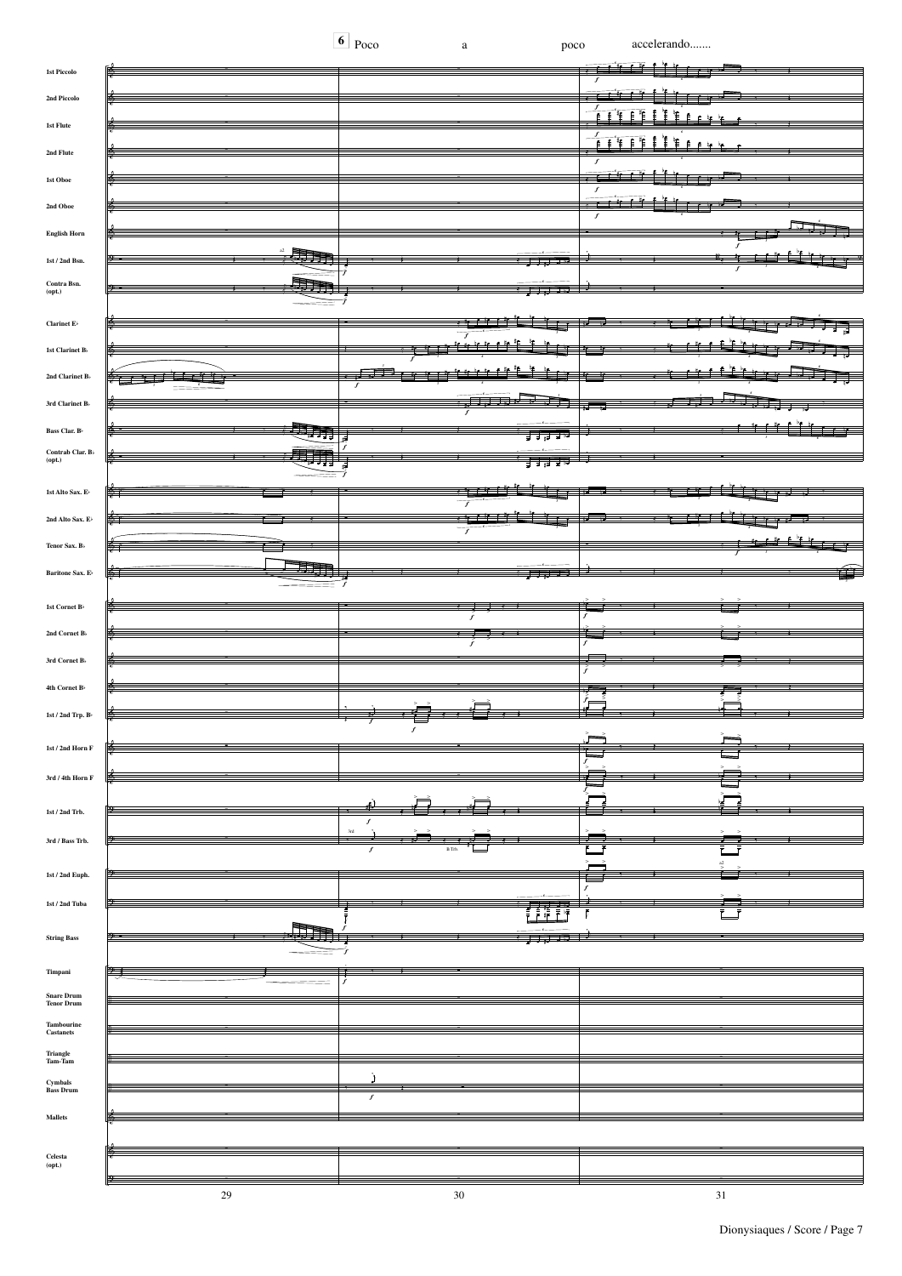| <b>1st Piccolo</b>                                                                                   |               |                                                                                                           |                                                                               | $\epsilon$ $\epsilon$ if $\epsilon$ if<br>$\overline{\phantom{a}}$ |
|------------------------------------------------------------------------------------------------------|---------------|-----------------------------------------------------------------------------------------------------------|-------------------------------------------------------------------------------|--------------------------------------------------------------------|
|                                                                                                      |               |                                                                                                           |                                                                               |                                                                    |
| 2nd Piccolo                                                                                          | ŕ.            |                                                                                                           |                                                                               |                                                                    |
| <b>1st Flute</b>                                                                                     |               |                                                                                                           |                                                                               | 作<br>E E E E E<br>Ě<br>里<br>$\epsilon$<br>$\epsilon$<br>۹e.        |
|                                                                                                      |               |                                                                                                           |                                                                               | $F$ $F$ $F$ $F$<br>重重生<br>$\mathbf{E}$<br>$\epsilon$<br>۹e         |
| 2nd Flute                                                                                            |               |                                                                                                           |                                                                               | f                                                                  |
| 1st Oboe                                                                                             |               |                                                                                                           |                                                                               |                                                                    |
|                                                                                                      |               |                                                                                                           |                                                                               |                                                                    |
| 2nd Oboe                                                                                             |               |                                                                                                           |                                                                               | — r ir<br>$\overline{\phantom{a}}$                                 |
| <b>English Horn</b>                                                                                  | 6             |                                                                                                           |                                                                               |                                                                    |
|                                                                                                      | a2<br>– ≫     |                                                                                                           |                                                                               | $B_{\sigma}$                                                       |
| 1st / 2nd Bsn.                                                                                       |               |                                                                                                           |                                                                               | $\boldsymbol{f}$                                                   |
| Contra Bsn.<br>$\left($ opt. $\right)$                                                               | $\mathcal{P}$ |                                                                                                           |                                                                               |                                                                    |
|                                                                                                      |               |                                                                                                           |                                                                               |                                                                    |
| <b>Clarinet E</b>                                                                                    | 6             |                                                                                                           | .                                                                             |                                                                    |
| 1st Clarinet $\rm B\ensuremath{\flat}$                                                               |               | $\frac{1}{2}$                                                                                             | 艳<br><u>#e #e #e #e</u>                                                       |                                                                    |
|                                                                                                      |               |                                                                                                           |                                                                               |                                                                    |
| 2nd Clarinet B                                                                                       | <b>te te</b>  | $\sqrt{12}$<br>te le<br>不知                                                                                |                                                                               |                                                                    |
| $3\text{rd}$ Clarinet $\text{B}\flat$                                                                |               |                                                                                                           | $\frac{1}{2}$ , $\frac{1}{2}$ , $\frac{1}{2}$ , $\frac{1}{2}$ , $\frac{1}{2}$ |                                                                    |
|                                                                                                      |               |                                                                                                           |                                                                               |                                                                    |
| Bass Clar. B                                                                                         | रहरू          |                                                                                                           | ₹<br><del>प्µा</del> न                                                        | r 10                                                               |
| $\begin{array}{l} \textbf{Control } \textbf{Char.} \textbf{ B} \flat \\ \textbf{(opt.)} \end{array}$ | 喬<br>₹₹<br>₩  |                                                                                                           | ਰੂਰ <sub>ਸ਼</sub> ਰਿਆ                                                         |                                                                    |
|                                                                                                      |               |                                                                                                           |                                                                               |                                                                    |
| 1st Alto Sax. E                                                                                      | 67            |                                                                                                           | $\cdots$<br>$\boldsymbol{f}$                                                  |                                                                    |
| 2nd Alto Sax. E                                                                                      | $\left( $     |                                                                                                           | ۴ <u>۲</u> م± ج                                                               |                                                                    |
|                                                                                                      |               |                                                                                                           | $\overline{f}$                                                                |                                                                    |
| Tenor Sax. $\rm B\textsubscript{>}$                                                                  | 6             |                                                                                                           |                                                                               | ≖                                                                  |
| Baritone Sax. $\rm E\!\!\succ$                                                                       | 五方<br>á.      |                                                                                                           |                                                                               | ఆ                                                                  |
|                                                                                                      |               |                                                                                                           |                                                                               |                                                                    |
| 1st Cornet $\rm B\flat$                                                                              |               |                                                                                                           |                                                                               |                                                                    |
| $2{\rm nd}$ Cornet ${\rm B}\flat$                                                                    |               |                                                                                                           |                                                                               |                                                                    |
|                                                                                                      |               |                                                                                                           |                                                                               |                                                                    |
| $3 \text{rd}$ Cornet $\text{B}\flat$                                                                 |               |                                                                                                           | $\boldsymbol{f}$                                                              | ¥<br>⇁<br>-                                                        |
| $4\text{th}$ Cornet $\text{B}\flat$                                                                  |               |                                                                                                           |                                                                               |                                                                    |
| $1$ st / 2nd Trp. B $\flat$                                                                          |               |                                                                                                           |                                                                               | $r_{\blacksquare}$                                                 |
|                                                                                                      |               | f                                                                                                         |                                                                               |                                                                    |
| $1\mathrm{st}$ / $2\mathrm{nd}$ Horn F                                                               |               |                                                                                                           |                                                                               | $\geq$                                                             |
|                                                                                                      |               |                                                                                                           |                                                                               |                                                                    |
| $3\mathrm{rd}\,/\,4\mathrm{th}$ Horn F                                                               | Ѩ             |                                                                                                           |                                                                               |                                                                    |
|                                                                                                      | ⋻             |                                                                                                           |                                                                               |                                                                    |
| $1\mathrm{st}$ / $2\mathrm{nd}$ Trb.                                                                 |               | $\boldsymbol{f}$                                                                                          |                                                                               |                                                                    |
| $3\mathrm{rd}$ / Bass Trb.                                                                           | ⊵             | $3\mathrm{rd}$<br>$\overline{\phantom{a}}$<br>.<br>$\rightarrow$<br>$\boldsymbol{f}$<br>$\, {\bf B}$ Trb. | $\rightarrow$ $\rightarrow$<br>∸<br>œ                                         | ⇁<br>⇁                                                             |
|                                                                                                      |               |                                                                                                           |                                                                               |                                                                    |
| $1\mathrm{st}$ / $2\mathrm{nd}$ Euph.                                                                | ⋺             |                                                                                                           |                                                                               |                                                                    |
| $1\mathrm{st}$ / $2\mathrm{nd}$ Tuba                                                                 | ⋺             |                                                                                                           |                                                                               |                                                                    |
|                                                                                                      |               |                                                                                                           | 青精<br>嬯                                                                       |                                                                    |
| $\mbox{String Bass}$                                                                                 | D.            |                                                                                                           |                                                                               |                                                                    |
|                                                                                                      |               |                                                                                                           |                                                                               |                                                                    |

**6** Poco a poco accelerando.......

![](_page_6_Figure_2.jpeg)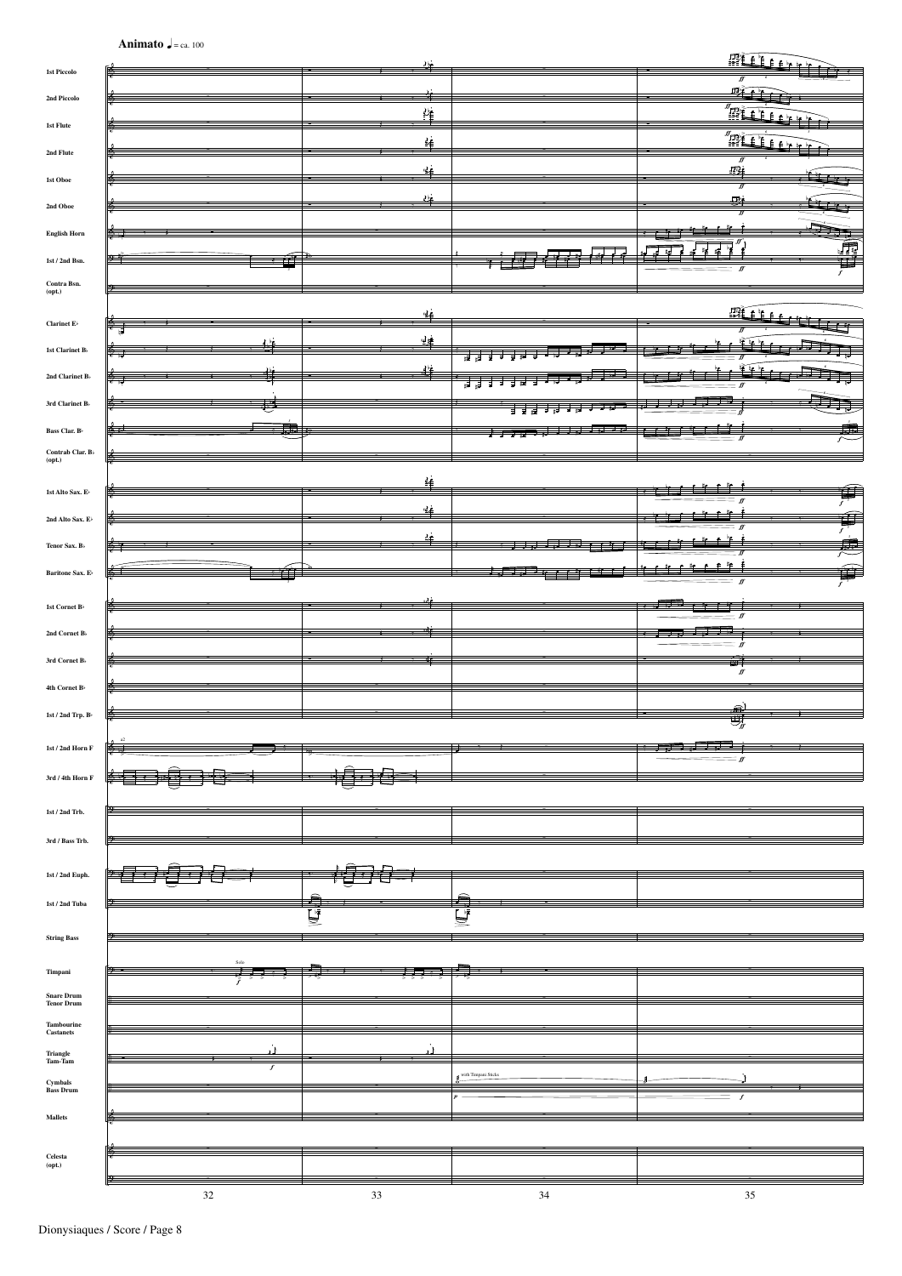|                                                                                        |            |                                   |                                                                                              | <b>ELECTION</b>                                                                                                                                                                                                                                                                                                                                                                                                                                                                                                                               |
|----------------------------------------------------------------------------------------|------------|-----------------------------------|----------------------------------------------------------------------------------------------|-----------------------------------------------------------------------------------------------------------------------------------------------------------------------------------------------------------------------------------------------------------------------------------------------------------------------------------------------------------------------------------------------------------------------------------------------------------------------------------------------------------------------------------------------|
| <b>1st Piccolo</b>                                                                     |            |                                   |                                                                                              | £Ï<br>巾                                                                                                                                                                                                                                                                                                                                                                                                                                                                                                                                       |
| 2nd Piccolo                                                                            | $\epsilon$ |                                   |                                                                                              | $\begin{array}{c}\n\overbrace{\qquad \qquad }^{f} \qquad \qquad \overbrace{\qquad \qquad }^{f} \qquad \qquad \overbrace{\qquad \qquad }^{f} \qquad \qquad \overbrace{\qquad \qquad }^{f} \qquad \qquad \overbrace{\qquad \qquad }^{f} \qquad \qquad \overbrace{\qquad \qquad }^{f} \qquad \qquad \overbrace{\qquad \qquad }^{f} \qquad \qquad \overbrace{\qquad \qquad }^{f} \qquad \qquad \overbrace{\qquad \qquad }^{f} \qquad \qquad \overbrace{\qquad \qquad }^{f} \qquad \qquad \overbrace{\qquad \qquad }^{f} \qquad \qquad \overbrace$ |
| $1st$ Flute                                                                            | Т.         | 维                                 |                                                                                              |                                                                                                                                                                                                                                                                                                                                                                                                                                                                                                                                               |
| $2\mathrm{nd}$ Flute                                                                   |            | 绰                                 |                                                                                              | $\mathcal{I}_{\text{per}}$<br>$E$ be                                                                                                                                                                                                                                                                                                                                                                                                                                                                                                          |
|                                                                                        |            | $\pm$                             |                                                                                              | $f\hspace{-0.1cm}f$<br>感                                                                                                                                                                                                                                                                                                                                                                                                                                                                                                                      |
| $1\mathrm{st}$ Oboe                                                                    |            |                                   |                                                                                              |                                                                                                                                                                                                                                                                                                                                                                                                                                                                                                                                               |
| $2\mathrm{nd}$ Oboe                                                                    |            | 址                                 |                                                                                              | فبالتيا                                                                                                                                                                                                                                                                                                                                                                                                                                                                                                                                       |
| <b>English Horn</b>                                                                    | 6          |                                   |                                                                                              |                                                                                                                                                                                                                                                                                                                                                                                                                                                                                                                                               |
| $1st$ / $2nd$ Bsn. $\,$                                                                | ヮ          | عقب                               |                                                                                              | <b>FILE</b><br>$\frac{1}{2}$ $\frac{1}{2}$                                                                                                                                                                                                                                                                                                                                                                                                                                                                                                    |
|                                                                                        |            |                                   |                                                                                              | $f\hspace{-0.1cm}f$<br>Ξ                                                                                                                                                                                                                                                                                                                                                                                                                                                                                                                      |
| $\begin{array}{ll} \mbox{Contra Bsn.} \\ \mbox{(opt.)} \end{array}$                    |            |                                   |                                                                                              |                                                                                                                                                                                                                                                                                                                                                                                                                                                                                                                                               |
| Clarinet $\mathbf{E}\flat$                                                             | ⊕          | 吐卡                                |                                                                                              | 四红牛牛                                                                                                                                                                                                                                                                                                                                                                                                                                                                                                                                          |
|                                                                                        |            | 進                                 |                                                                                              | P                                                                                                                                                                                                                                                                                                                                                                                                                                                                                                                                             |
| 1st Clarinet $\rm B\ensuremath{\flat}$                                                 | $\circ$    |                                   | $\frac{1}{\sqrt{2}}$<br>₹<br>₹<br>न्दा स्                                                    | he b                                                                                                                                                                                                                                                                                                                                                                                                                                                                                                                                          |
| 2nd Clarinet $\mathbf{B}\flat$                                                         | ᅊ          |                                   | $\frac{1}{\sqrt{2}}$ , $\frac{1}{\sqrt{2}}$ , $\frac{1}{\sqrt{2}}$<br>न्द्र स                |                                                                                                                                                                                                                                                                                                                                                                                                                                                                                                                                               |
| $3\text{rd}$ Clarinet $\text{B}\flat$                                                  | а.         |                                   | इ उच<br>ਜ਼<br>₹                                                                              | □                                                                                                                                                                                                                                                                                                                                                                                                                                                                                                                                             |
| Bass Clar. $B\flat$                                                                    |            | <u> Jp</u>                        | $\overline{\phantom{a}}$                                                                     | 愚<br>- 10                                                                                                                                                                                                                                                                                                                                                                                                                                                                                                                                     |
|                                                                                        |            |                                   |                                                                                              |                                                                                                                                                                                                                                                                                                                                                                                                                                                                                                                                               |
| $\begin{array}{ll} \mbox{Contrab } \mbox{Char.~B}\!\flat \\ \mbox{(opt.)} \end{array}$ |            |                                   |                                                                                              |                                                                                                                                                                                                                                                                                                                                                                                                                                                                                                                                               |
| 1st Alto Sax. $\rm E\flat$                                                             |            | 华                                 |                                                                                              | 奪                                                                                                                                                                                                                                                                                                                                                                                                                                                                                                                                             |
| 2nd Alto Sax. $\rm E\flat$                                                             |            | 峰                                 |                                                                                              |                                                                                                                                                                                                                                                                                                                                                                                                                                                                                                                                               |
|                                                                                        |            |                                   |                                                                                              | Ţ<br>f f                                                                                                                                                                                                                                                                                                                                                                                                                                                                                                                                      |
| Tenor Sax. $\rm B\ensuremath{\flat}$                                                   | 16-        |                                   |                                                                                              | 息                                                                                                                                                                                                                                                                                                                                                                                                                                                                                                                                             |
| Baritone Sax. $\mathbf{E}\flat$                                                        |            | مقعقع وينتق                       | → ⊷                                                                                          | Ţ<br>$f\hspace{-0.1cm}f$                                                                                                                                                                                                                                                                                                                                                                                                                                                                                                                      |
|                                                                                        |            |                                   |                                                                                              | $\frac{1}{2}$ $\frac{1}{2}$<br>- 1                                                                                                                                                                                                                                                                                                                                                                                                                                                                                                            |
| 1st Cornet $\mathbf{B}\flat$                                                           |            |                                   |                                                                                              |                                                                                                                                                                                                                                                                                                                                                                                                                                                                                                                                               |
| $2{\rm nd}$ Cornet ${\rm B}\flat$                                                      | 7.         |                                   |                                                                                              |                                                                                                                                                                                                                                                                                                                                                                                                                                                                                                                                               |
| $3\mathrm{rd}$ Cornet $\mathrm{B}\flat$                                                |            |                                   |                                                                                              | $\mathbb{H}^{\mathbb{N}}$                                                                                                                                                                                                                                                                                                                                                                                                                                                                                                                     |
| $4\text{th}$ Cornet $\text{B}\flat$                                                    |            |                                   |                                                                                              | .ff                                                                                                                                                                                                                                                                                                                                                                                                                                                                                                                                           |
|                                                                                        |            |                                   |                                                                                              |                                                                                                                                                                                                                                                                                                                                                                                                                                                                                                                                               |
| $1\mathrm{st}$ / $2\mathrm{nd}$ Trp. $\mathrm{B}\flat$                                 |            |                                   |                                                                                              | $\overrightarrow{f}$                                                                                                                                                                                                                                                                                                                                                                                                                                                                                                                          |
| $1\mathrm{st}$ / $2\mathrm{nd}$ Horn F                                                 | a2<br>ѭ    |                                   |                                                                                              |                                                                                                                                                                                                                                                                                                                                                                                                                                                                                                                                               |
| $3\mathrm{rd}$ / $4\mathrm{th}$ Horn F                                                 |            |                                   |                                                                                              | ff                                                                                                                                                                                                                                                                                                                                                                                                                                                                                                                                            |
|                                                                                        |            |                                   |                                                                                              |                                                                                                                                                                                                                                                                                                                                                                                                                                                                                                                                               |
| $1\mathrm{st}$ / $2\mathrm{nd}$ Trb.                                                   | ⋻          |                                   |                                                                                              |                                                                                                                                                                                                                                                                                                                                                                                                                                                                                                                                               |
| $3\mathrm{rd}$ / Bass Trb.                                                             | -9≔        |                                   |                                                                                              |                                                                                                                                                                                                                                                                                                                                                                                                                                                                                                                                               |
|                                                                                        |            |                                   |                                                                                              |                                                                                                                                                                                                                                                                                                                                                                                                                                                                                                                                               |
| $1\mathrm{st}$ / $2\mathrm{nd}$ Euph.                                                  |            |                                   |                                                                                              |                                                                                                                                                                                                                                                                                                                                                                                                                                                                                                                                               |
| $1st$ / $2nd$ ${\bf Tuba}$                                                             |            | $\frac{1}{\sqrt{2}}$              | $\bigoplus$                                                                                  |                                                                                                                                                                                                                                                                                                                                                                                                                                                                                                                                               |
|                                                                                        |            | $\boxed{\text{M}_{\text{min}}^2}$ | $\begin{bmatrix} \sqrt{1-\epsilon} & \epsilon \\ \sqrt{1-\epsilon} & \epsilon \end{bmatrix}$ |                                                                                                                                                                                                                                                                                                                                                                                                                                                                                                                                               |
| <b>String Bass</b>                                                                     |            |                                   |                                                                                              |                                                                                                                                                                                                                                                                                                                                                                                                                                                                                                                                               |

![](_page_7_Figure_3.jpeg)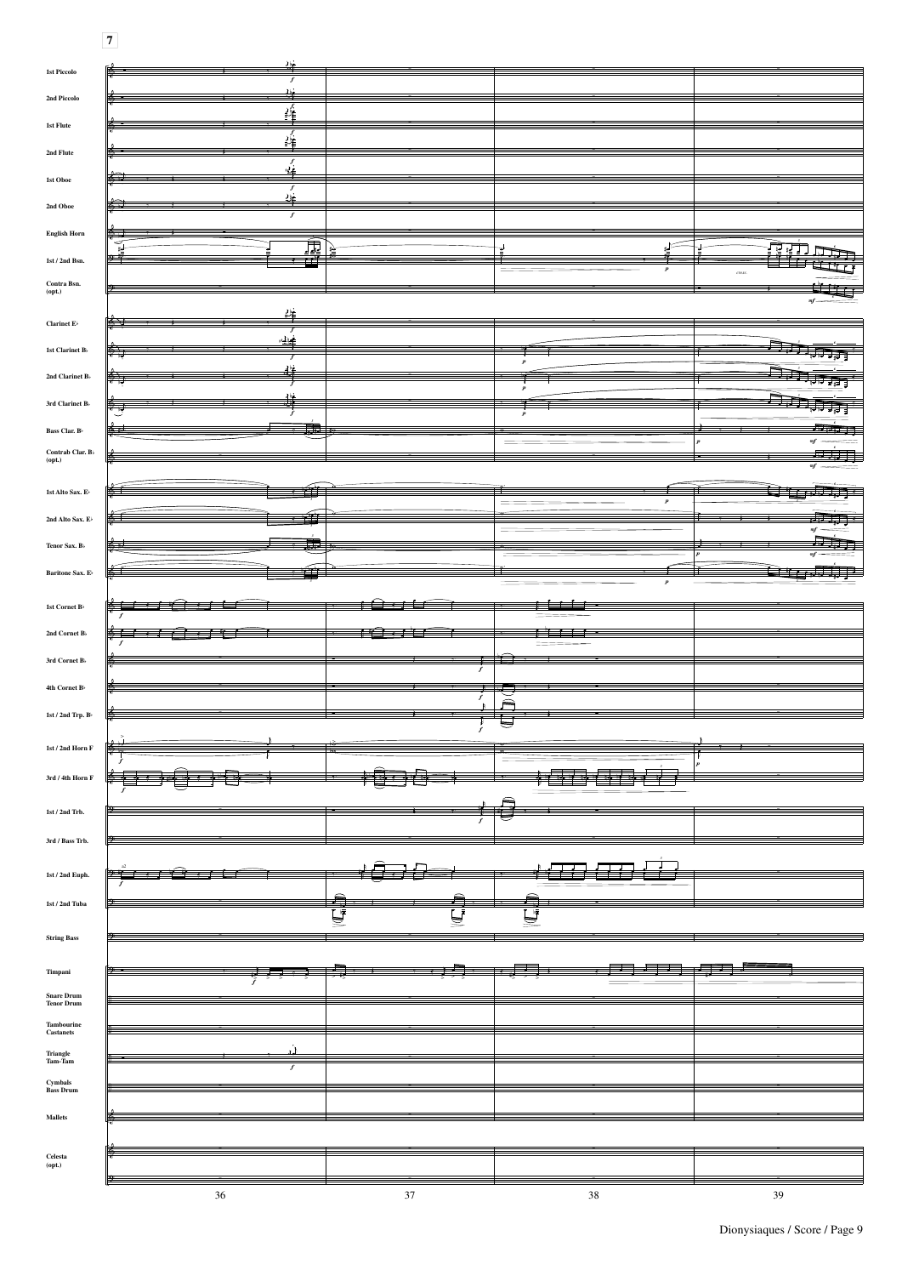| $1st$ Piccolo $\,$                                                                                     | 屩                 | $\boldsymbol{f}$                  |                      |                    |                         |                  |        |                          |
|--------------------------------------------------------------------------------------------------------|-------------------|-----------------------------------|----------------------|--------------------|-------------------------|------------------|--------|--------------------------|
| $2\mathbf{nd}$ Piccolo                                                                                 | 16                | 雙<br>$\mathcal{L}_{\mathbb{F}}^f$ |                      |                    |                         |                  |        |                          |
| $1st$ Flute $\,$                                                                                       | Ѩ                 |                                   |                      |                    |                         |                  |        |                          |
| $2\mathrm{nd}$ Flute                                                                                   | T6,               | 华                                 |                      |                    |                         |                  |        |                          |
|                                                                                                        |                   | $\frac{f}{\frac{1}{2}}$           |                      |                    |                         |                  |        |                          |
| $1\mathrm{st}$ Oboe                                                                                    | 65                | $\boldsymbol{f}$                  |                      |                    |                         |                  |        |                          |
| $2\mathbf{nd}$ Oboe                                                                                    | I <del>s 1</del>  | 準<br>$\overline{f}$               |                      |                    |                         |                  |        |                          |
| <b>English Horn</b>                                                                                    | 6,                |                                   |                      |                    |                         |                  |        |                          |
| $1st$ / $2nd$ Bsn. $\,$                                                                                | ے<br>⊕≕           | 一面                                | ∥≘<br>$\frac{1}{20}$ |                    |                         |                  |        | ्ख़िर                    |
|                                                                                                        |                   |                                   |                      |                    |                         | $\boldsymbol{p}$ | cresc. |                          |
| $\begin{array}{ll} \mbox{Contra Bsn.} \\ \mbox{(opt.)} \end{array}$                                    | ⇒                 |                                   |                      |                    |                         |                  |        | $m f$ –                  |
|                                                                                                        | 6                 | 雙                                 |                      |                    |                         |                  |        |                          |
| Clarinet $\mathbf{E}\flat$                                                                             |                   | 蝉                                 |                      |                    |                         |                  |        |                          |
| 1st Clarinet $\rm B\bar{\rm b}$                                                                        | 6≡                |                                   |                      |                    |                         |                  |        |                          |
| 2nd Clarinet $\rm B\ensuremath{\flat}$                                                                 | ँेक़<br>ba        | فأطله<br>ار ب                     |                      |                    |                         |                  |        |                          |
| $3\text{rd}$ Clarinet $\text{B}\flat$                                                                  | ∲ ,յ              |                                   |                      |                    | $\boldsymbol{p}$        |                  |        |                          |
|                                                                                                        | $\overline{ }$    |                                   |                      |                    | $\boldsymbol{p}$        |                  |        | ा <del>गे पेड़ा दु</del> |
| Bass Clar. $\rm B\ensuremath{\flat}$                                                                   | 6 F               | <del>∏7</del> †                   |                      |                    |                         |                  |        | m                        |
| $\begin{array}{ll} \textbf{Control } \textbf{Char.} \ \textbf{B} \flat \\ \textbf{(opt.)} \end{array}$ | Ѩ                 |                                   |                      |                    |                         |                  |        | $\it mf$                 |
|                                                                                                        |                   | ₩                                 |                      |                    |                         |                  |        |                          |
| 1st Alto Sax. $\rm E\flat$                                                                             |                   |                                   |                      |                    |                         | $\pmb{p}$        |        |                          |
| 2nd Alto Sax. $\rm E\flat$                                                                             |                   | محاملها                           |                      |                    |                         |                  |        | $m f -$                  |
| Tenor Sax. $\rm B\flat$                                                                                | 64                | 显                                 |                      |                    |                         |                  |        |                          |
| Baritone Sax. $\mathbf{E}\flat$                                                                        |                   |                                   |                      |                    |                         |                  |        |                          |
|                                                                                                        |                   |                                   |                      |                    |                         |                  |        |                          |
| 1st Cornet $\mathbf{B}\flat$                                                                           | Ѩ                 |                                   |                      |                    |                         |                  |        |                          |
| 2nd Cornet $\rm B\flat$                                                                                |                   |                                   |                      |                    |                         |                  |        |                          |
| $3\mathrm{rd}$ Cornet $\mathrm{B}\flat$                                                                |                   |                                   |                      |                    |                         |                  |        |                          |
|                                                                                                        |                   |                                   |                      | f                  |                         |                  |        |                          |
| $4\mbox{th}$ Cornet $\mbox{B}\flat$                                                                    |                   |                                   |                      |                    | $\widehat{\phantom{a}}$ |                  |        |                          |
| $1\mathrm{st}$ / $2\mathrm{nd}$ Trp. $\mathrm{B}\flat$                                                 |                   |                                   |                      |                    | $\blacktriangleright$   |                  |        |                          |
|                                                                                                        |                   |                                   | - 10                 |                    | $\overline{\mathbf{c}}$ |                  |        |                          |
| $1\mathrm{st}$ / $2\mathrm{nd}$ Horn F                                                                 | ௯                 |                                   |                      |                    |                         |                  |        |                          |
| $3\mathrm{rd}$ / $4\mathrm{th}$ Horn F                                                                 | ౹ౚ                |                                   |                      |                    |                         |                  |        |                          |
|                                                                                                        | ⋺                 |                                   |                      |                    | â                       |                  |        |                          |
| $1\mathrm{st}$ / $2\mathrm{nd}$ Trb.                                                                   |                   |                                   |                      |                    |                         |                  |        |                          |
| $3\mathrm{rd}$ / Bass Trb.                                                                             | ⋻                 |                                   |                      |                    |                         |                  |        |                          |
|                                                                                                        | $\rm{a2}$<br>19 r |                                   |                      |                    |                         |                  |        |                          |
| $1\mathrm{st}$ / $2\mathrm{nd}$ Euph.                                                                  |                   |                                   |                      |                    |                         |                  |        |                          |
| $1\mathrm{st}$ / $2\mathrm{nd}$ Tuba                                                                   | ு                 |                                   | €                    |                    |                         |                  |        |                          |
| $\mbox{String Bass}$                                                                                   |                   |                                   | <b>VU</b>            | $\trianglerighteq$ | $\mathbf{E}$            |                  |        |                          |
|                                                                                                        |                   |                                   |                      |                    |                         |                  |        |                          |

**7**

![](_page_8_Figure_2.jpeg)

Dionysiaques / Score / Page 9

 $\equiv$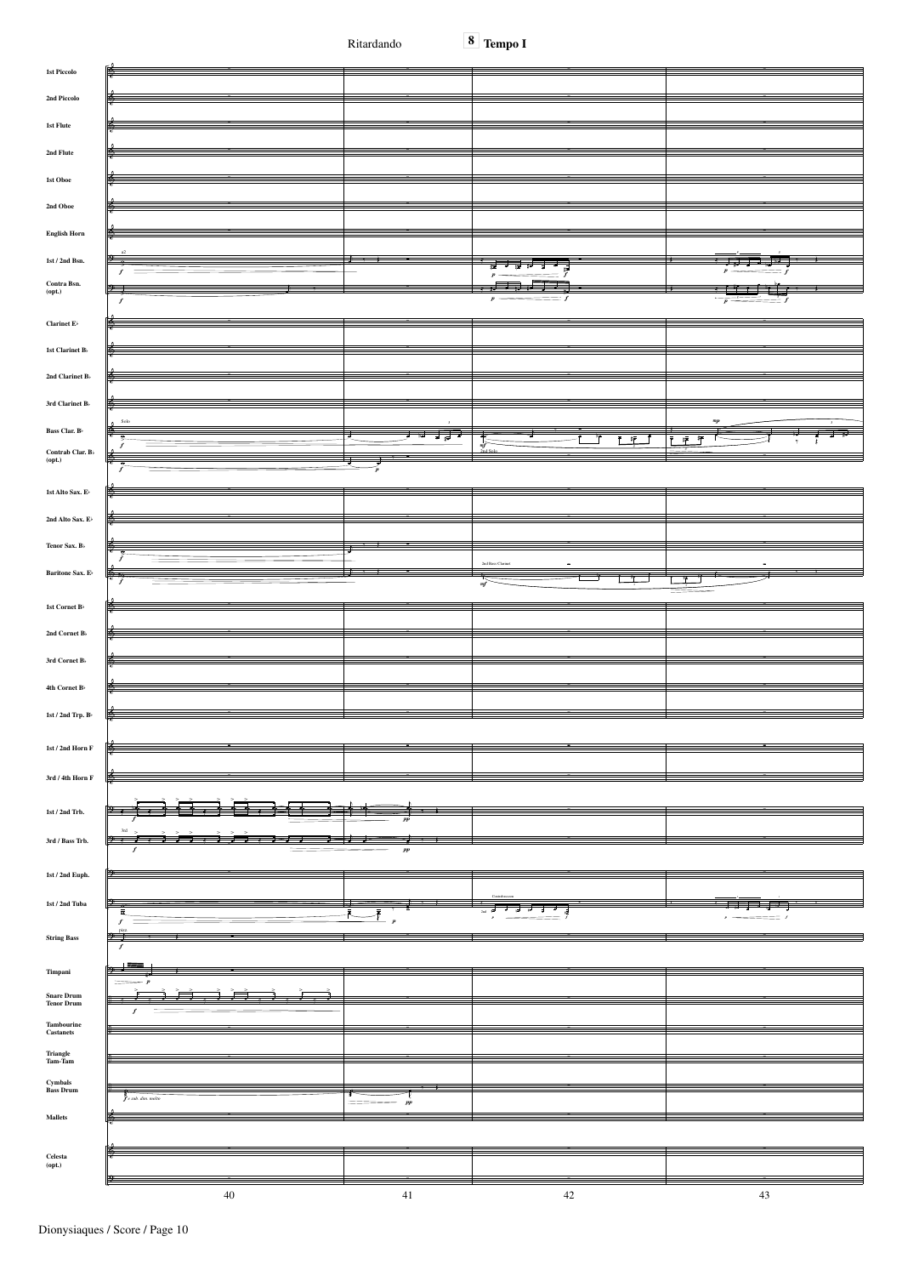![](_page_9_Figure_3.jpeg)

Ritardando

**8 Tempo I**

| $1\mathrm{st}$ Piccolo                                                                             | ౹ౚ                                                              |                                                                         |                                              |   |                     |   |
|----------------------------------------------------------------------------------------------------|-----------------------------------------------------------------|-------------------------------------------------------------------------|----------------------------------------------|---|---------------------|---|
| 2nd Piccolo                                                                                        |                                                                 |                                                                         |                                              |   |                     |   |
| $1st$ Flute                                                                                        |                                                                 |                                                                         |                                              |   |                     |   |
| $2\mathrm{nd}$ Flute                                                                               |                                                                 |                                                                         |                                              |   |                     |   |
| 1st Oboe                                                                                           |                                                                 |                                                                         |                                              |   |                     |   |
| 2nd Oboe                                                                                           |                                                                 |                                                                         |                                              |   |                     |   |
| English Horn $\,$                                                                                  |                                                                 |                                                                         |                                              |   |                     |   |
| $1st$ / $2nd$ Bsn. $\,$                                                                            | a <sub>2</sub><br>⋺                                             |                                                                         | ┲▀<br>ा≢ ‡र<br>₹                             |   |                     | ₩ |
| Contra Bsn.<br>(opt.)                                                                              | $\mathbf{P}$                                                    |                                                                         | $\boldsymbol{n}$<br>- J 1<br>-11             |   |                     | ≁ |
| Clarinet $\mathbf{E}\flat$                                                                         | $\boldsymbol{f}$                                                |                                                                         |                                              |   | $\boldsymbol{p}$    |   |
| 1st Clarinet $B\flat$                                                                              |                                                                 |                                                                         |                                              |   |                     |   |
| 2nd Clarinet $\rm B\ensuremath{\flat}$                                                             |                                                                 |                                                                         |                                              |   |                     |   |
| $3\text{rd}$ Clarinet B,                                                                           | ۵                                                               |                                                                         |                                              |   |                     |   |
| Bass Clar. B                                                                                       | Solo                                                            |                                                                         |                                              |   | $_{\it mp}$         |   |
| $\begin{array}{ll} \mbox{Contrab } \mbox{Char.~B}\!\! \triangleright \\ \mbox{(opt.)} \end{array}$ | ∙<br>τ                                                          | न्द्वा<br>₻<br>$\frac{m f}{\gamma_{\text{nd}} \underline{\text{Solo}}}$ |                                              | 粐 | $\overline{F}$<br>粐 |   |
|                                                                                                    | $\mathbf{C}$<br>$\bar{p}$<br>$\boldsymbol{f}$                   |                                                                         |                                              |   |                     |   |
|                                                                                                    |                                                                 |                                                                         |                                              |   |                     |   |
| 2nd Alto Sax. $\rm E\!\flat$                                                                       |                                                                 |                                                                         |                                              |   |                     |   |
| Tenor Sax. $\mathbf{B}\flat$                                                                       | ∲<br>ত                                                          |                                                                         | 2nd Bass Clarinet                            |   |                     |   |
|                                                                                                    | $\overline{\phantom{a}}$<br>⊕                                   |                                                                         |                                              |   |                     |   |
| 1st Cornet $\mathbf{B}\flat$                                                                       |                                                                 |                                                                         |                                              |   |                     |   |
| $2{\rm nd}$ Cornet ${\rm B}\flat$                                                                  |                                                                 |                                                                         |                                              |   |                     |   |
| $3 \text{rd}$ Cornet $\text{B}\flat$                                                               |                                                                 |                                                                         |                                              |   |                     |   |
| $4\text{th}$ Cornet $\text{B}\flat$                                                                |                                                                 |                                                                         |                                              |   |                     |   |
| $1\mathrm{st}$ / $2\mathrm{nd}$ Trp. $\mathrm{B}\flat$                                             |                                                                 |                                                                         |                                              |   |                     |   |
| $1\mathrm{st}$ / $2\mathrm{nd}$ Horn F                                                             |                                                                 |                                                                         |                                              |   |                     |   |
| $3 \mathrm{rd}$ / $4 \mathrm{th}$ Horn F                                                           |                                                                 |                                                                         |                                              |   |                     |   |
| $1st$ / $2nd$ Trb. $\,$                                                                            | $\mathcal{P}$                                                   | $\cdot$                                                                 |                                              |   |                     |   |
|                                                                                                    | 3rd<br><del>9 .</del>                                           | $_{pp}$                                                                 |                                              |   |                     |   |
| $3\mathrm{rd}$ / Bass Trb.                                                                         | $\boldsymbol{f}$                                                | $p\hspace{-0.5mm}p$                                                     |                                              |   |                     |   |
| $1\mathrm{st}$ / $2\mathrm{nd}$ Euph.                                                              | டு≔                                                             |                                                                         |                                              |   |                     |   |
| $1st$ / $2nd$ ${\bf Tuba}$                                                                         | $\mathcal{P}$ .<br>$\overline{\bar{t}}$<br>$\overline{\bullet}$ |                                                                         | Contrabas<br>⊭<br>2nd $\sharp \exists$<br>ş. |   |                     | = |
| $\mbox{String Bass}$                                                                               | $\boldsymbol{f}$<br>$\frac{pizz}{p}$<br>$\boldsymbol{f}$        |                                                                         |                                              |   |                     |   |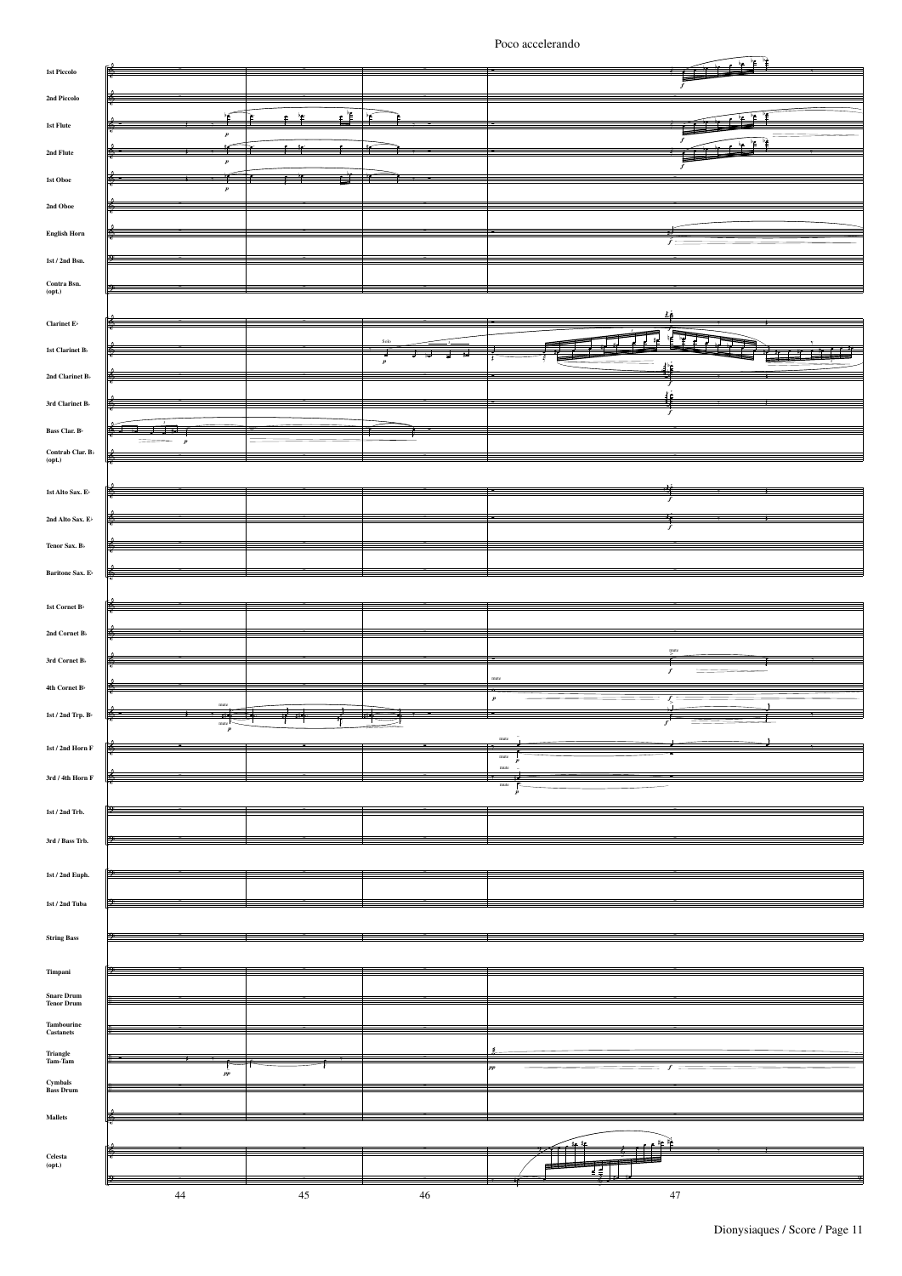|                                                                                                       |                  |                          |                  |                          | <sup>b</sup> €.<br>$\frac{1}{\frac{1}{2}+\frac{1}{2}}\frac{1}{\frac{1}{2}-\frac{1}{2}}\frac{1}{\frac{1}{2}-\frac{1}{2}}\frac{1}{\frac{1}{2}-\frac{1}{2}}\frac{1}{\frac{1}{2}-\frac{1}{2}}\frac{1}{\frac{1}{2}-\frac{1}{2}}\frac{1}{\frac{1}{2}-\frac{1}{2}}\frac{1}{\frac{1}{2}-\frac{1}{2}}\frac{1}{\frac{1}{2}-\frac{1}{2}}\frac{1}{\frac{1}{2}-\frac{1}{2}}\frac{1}{\frac{1}{2}-\frac{1}{2}}\frac{1}{\frac{1}{2$ |
|-------------------------------------------------------------------------------------------------------|------------------|--------------------------|------------------|--------------------------|---------------------------------------------------------------------------------------------------------------------------------------------------------------------------------------------------------------------------------------------------------------------------------------------------------------------------------------------------------------------------------------------------------------------|
| $1st$ Piccolo $\,$                                                                                    | 陼                |                          |                  |                          |                                                                                                                                                                                                                                                                                                                                                                                                                     |
| $2\mathrm{nd}$ Piccolo                                                                                | Ѩ                |                          |                  |                          | $\boldsymbol{f}$                                                                                                                                                                                                                                                                                                                                                                                                    |
|                                                                                                       |                  | $\epsilon^{\frac{b}{2}}$ |                  |                          |                                                                                                                                                                                                                                                                                                                                                                                                                     |
| $1st$ Flute $\,$                                                                                      | Ѩ<br>$\pmb{p}$   |                          |                  |                          |                                                                                                                                                                                                                                                                                                                                                                                                                     |
| $2\mathrm{nd}$ Flute                                                                                  | ౹⋨               |                          |                  |                          |                                                                                                                                                                                                                                                                                                                                                                                                                     |
|                                                                                                       | $\boldsymbol{p}$ |                          |                  |                          | f                                                                                                                                                                                                                                                                                                                                                                                                                   |
| $1\mathrm{st}$ Oboe                                                                                   | Ѩ                |                          |                  |                          |                                                                                                                                                                                                                                                                                                                                                                                                                     |
|                                                                                                       | $\boldsymbol{p}$ |                          |                  |                          |                                                                                                                                                                                                                                                                                                                                                                                                                     |
| 2nd Oboe                                                                                              | Ѩ                |                          |                  |                          |                                                                                                                                                                                                                                                                                                                                                                                                                     |
| English Horn                                                                                          | 质                |                          |                  |                          |                                                                                                                                                                                                                                                                                                                                                                                                                     |
|                                                                                                       |                  |                          |                  |                          |                                                                                                                                                                                                                                                                                                                                                                                                                     |
| $1st$ / $2nd$ Bsn. $\,$                                                                               | ヺ                |                          |                  |                          |                                                                                                                                                                                                                                                                                                                                                                                                                     |
| $\begin{array}{ll} \mbox{Contra Bsn.} \\ \mbox{(opt.)} \end{array}$                                   | 9≔               |                          |                  |                          |                                                                                                                                                                                                                                                                                                                                                                                                                     |
|                                                                                                       |                  |                          |                  |                          |                                                                                                                                                                                                                                                                                                                                                                                                                     |
| Clarinet $\mathrm{E}\flat$                                                                            | ⊯                |                          |                  | 砗                        |                                                                                                                                                                                                                                                                                                                                                                                                                     |
|                                                                                                       |                  |                          |                  | Ψ<br>₩                   |                                                                                                                                                                                                                                                                                                                                                                                                                     |
| 1st Clarinet $\rm B\bar{\nu}$                                                                         | т.               |                          | Solo             |                          |                                                                                                                                                                                                                                                                                                                                                                                                                     |
|                                                                                                       |                  |                          | $\boldsymbol{p}$ |                          |                                                                                                                                                                                                                                                                                                                                                                                                                     |
| 2nd Clarinet $\rm B\ensuremath{\flat}$                                                                | $\triangle$      |                          |                  |                          |                                                                                                                                                                                                                                                                                                                                                                                                                     |
| $3\mathrm{rd}$ Clarinet Bi                                                                            |                  |                          |                  |                          |                                                                                                                                                                                                                                                                                                                                                                                                                     |
|                                                                                                       |                  |                          |                  |                          |                                                                                                                                                                                                                                                                                                                                                                                                                     |
| Bass Clar. $B\flat$                                                                                   |                  |                          |                  |                          |                                                                                                                                                                                                                                                                                                                                                                                                                     |
| $\begin{array}{ll} \textbf{Contrab } \textbf{Clar.} \ \textbf{B}\flat \\ \textbf{(opt.)} \end{array}$ |                  |                          |                  |                          |                                                                                                                                                                                                                                                                                                                                                                                                                     |
|                                                                                                       |                  |                          |                  |                          |                                                                                                                                                                                                                                                                                                                                                                                                                     |
| 1st Alto Sax. $\rm E\flat$                                                                            | Ѩ                |                          |                  |                          |                                                                                                                                                                                                                                                                                                                                                                                                                     |
|                                                                                                       |                  |                          |                  | f                        |                                                                                                                                                                                                                                                                                                                                                                                                                     |
|                                                                                                       |                  |                          |                  |                          |                                                                                                                                                                                                                                                                                                                                                                                                                     |
| Tenor Sax. $\mathbf{B}\flat$                                                                          | T6               |                          |                  |                          |                                                                                                                                                                                                                                                                                                                                                                                                                     |
|                                                                                                       |                  |                          |                  |                          |                                                                                                                                                                                                                                                                                                                                                                                                                     |
| Baritone Sax. $\mathbf{E}\flat$                                                                       | ౹⋨               |                          |                  |                          |                                                                                                                                                                                                                                                                                                                                                                                                                     |
|                                                                                                       |                  |                          |                  |                          |                                                                                                                                                                                                                                                                                                                                                                                                                     |
| 1st Cornet $\mathbf{B}\flat$                                                                          | ѩ                |                          |                  |                          |                                                                                                                                                                                                                                                                                                                                                                                                                     |
| 2nd Cornet $\mathbf{B}\flat$                                                                          | Ѩ                |                          |                  |                          |                                                                                                                                                                                                                                                                                                                                                                                                                     |
|                                                                                                       |                  |                          |                  |                          | $\stackrel{\text{mute}}{>}$                                                                                                                                                                                                                                                                                                                                                                                         |
| $3\mathrm{rd}$ Cornet $\mathrm{B}\flat$                                                               | ౹ౚ               |                          |                  | $\boldsymbol{f}$         | ┮                                                                                                                                                                                                                                                                                                                                                                                                                   |
| $4\text{th}$ Cornet $\text{B}\flat$                                                                   | Т6,              |                          |                  | $_{\rm mult}$            |                                                                                                                                                                                                                                                                                                                                                                                                                     |
|                                                                                                       | $_{\rm mult}$    |                          |                  | $\boldsymbol{p}$         |                                                                                                                                                                                                                                                                                                                                                                                                                     |
| $1\mathrm{st}$ / $2\mathrm{nd}$ Trp. $\mathrm{B}\flat$                                                | ".<br>长<br>mute  | ᅖ.                       |                  | $\overline{\phantom{a}}$ |                                                                                                                                                                                                                                                                                                                                                                                                                     |
|                                                                                                       | $\boldsymbol{p}$ |                          |                  | mute                     |                                                                                                                                                                                                                                                                                                                                                                                                                     |
| $1$ st / 2nd Horn ${\bf F}$                                                                           |                  |                          |                  | h.<br>mute               |                                                                                                                                                                                                                                                                                                                                                                                                                     |
| $3\mathrm{rd}$ / $4\mathrm{th}$ Horn F                                                                | 唏                |                          |                  | $_{\rm mult}$<br>↣       |                                                                                                                                                                                                                                                                                                                                                                                                                     |
|                                                                                                       |                  |                          |                  | $_{\rm mute}$            |                                                                                                                                                                                                                                                                                                                                                                                                                     |
| $1\mathrm{st}$ / $2\mathrm{nd}$ Trb.                                                                  | Đ                |                          |                  |                          |                                                                                                                                                                                                                                                                                                                                                                                                                     |
|                                                                                                       |                  |                          |                  |                          |                                                                                                                                                                                                                                                                                                                                                                                                                     |
| $3\mathrm{rd}$ / Bass Trb.                                                                            | D.               |                          |                  |                          |                                                                                                                                                                                                                                                                                                                                                                                                                     |
|                                                                                                       |                  |                          |                  |                          |                                                                                                                                                                                                                                                                                                                                                                                                                     |
| $1\mathrm{st}$ / $2\mathrm{nd}$ Euph.                                                                 | 匥                |                          |                  |                          |                                                                                                                                                                                                                                                                                                                                                                                                                     |
|                                                                                                       |                  |                          |                  |                          |                                                                                                                                                                                                                                                                                                                                                                                                                     |
| $1\mathrm{st}$ / $2\mathrm{nd}$ Tuba                                                                  | ₽                |                          |                  |                          |                                                                                                                                                                                                                                                                                                                                                                                                                     |
|                                                                                                       |                  |                          |                  |                          |                                                                                                                                                                                                                                                                                                                                                                                                                     |
| <b>String Bass</b>                                                                                    | <del>D</del>     |                          |                  |                          |                                                                                                                                                                                                                                                                                                                                                                                                                     |

![](_page_10_Figure_2.jpeg)

Poco accelerando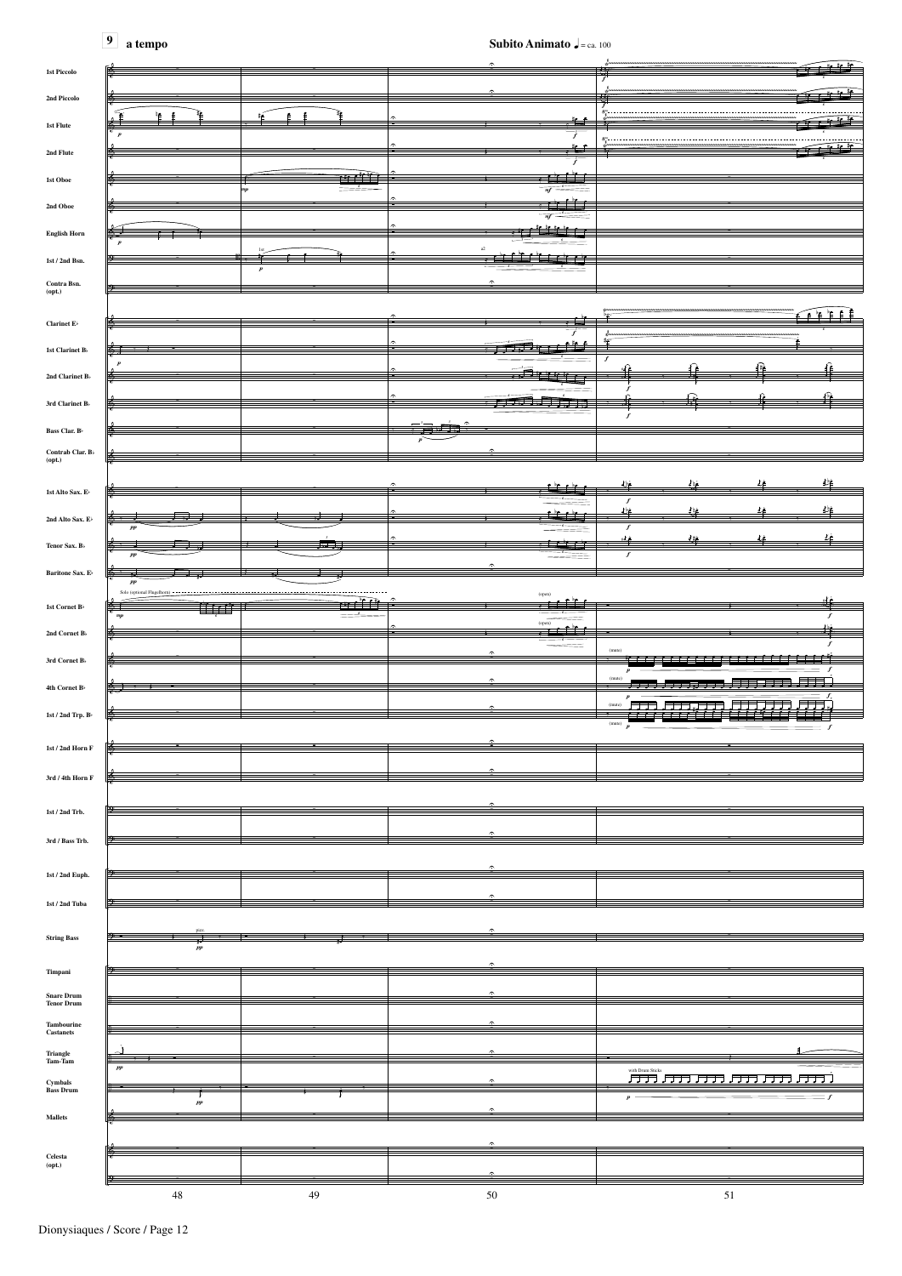| a tempo |
|---------|
|         |

| <b>1st Piccolo</b>                                                                                           | 蒢                                  |                               |           |                              |                                                      |                                                                                                                                                                                                                                                                                                                                                                                      |
|--------------------------------------------------------------------------------------------------------------|------------------------------------|-------------------------------|-----------|------------------------------|------------------------------------------------------|--------------------------------------------------------------------------------------------------------------------------------------------------------------------------------------------------------------------------------------------------------------------------------------------------------------------------------------------------------------------------------------|
|                                                                                                              |                                    |                               |           |                              |                                                      | $\pm$ is is<br>- 12                                                                                                                                                                                                                                                                                                                                                                  |
| 2nd Piccolo                                                                                                  | 恬<br>£                             | £                             |           |                              | $\delta^{va}$ -                                      |                                                                                                                                                                                                                                                                                                                                                                                      |
| <b>1st Flute</b>                                                                                             | $\boldsymbol{p}$                   |                               |           | <u>ئے: ,</u><br>$\vec{f}$    |                                                      | $\frac{1}{\sqrt{10}}$ $\frac{1}{\sqrt{10}}$ $\frac{1}{\sqrt{10}}$ $\frac{1}{\sqrt{10}}$                                                                                                                                                                                                                                                                                              |
| 2nd Flute                                                                                                    |                                    |                               | r,        | ئے:                          | $\delta^{va}_{\cdot}$                                | $\overline{C}$ $\overline{C}$ $\overline{C}$ $\overline{C}$ $\overline{C}$ $\overline{C}$ $\overline{C}$ $\overline{C}$ $\overline{C}$ $\overline{C}$ $\overline{C}$ $\overline{C}$ $\overline{C}$ $\overline{C}$ $\overline{C}$ $\overline{C}$ $\overline{C}$ $\overline{C}$ $\overline{C}$ $\overline{C}$ $\overline{C}$ $\overline{C}$ $\overline{C}$ $\overline{C}$ $\overline{$ |
|                                                                                                              |                                    | <u>स्करपंथि</u>               |           | $\overline{\overline{f}}$    |                                                      |                                                                                                                                                                                                                                                                                                                                                                                      |
| 1st Oboe                                                                                                     |                                    |                               |           | mf                           |                                                      |                                                                                                                                                                                                                                                                                                                                                                                      |
| 2nd Oboe                                                                                                     |                                    |                               |           | $-$ 6 $-$<br>$\overline{mf}$ |                                                      |                                                                                                                                                                                                                                                                                                                                                                                      |
| <b>English Horn</b>                                                                                          |                                    |                               | z         | <u> # 10 # 10 p</u>          |                                                      |                                                                                                                                                                                                                                                                                                                                                                                      |
|                                                                                                              |                                    |                               | $\rm{a2}$ |                              |                                                      |                                                                                                                                                                                                                                                                                                                                                                                      |
| 1st / 2nd Bsn.                                                                                               | D.                                 | ₩<br>รี ะ<br>$\boldsymbol{p}$ |           | مطم موطم                     |                                                      |                                                                                                                                                                                                                                                                                                                                                                                      |
| Contra Bsn.<br>(opt.)                                                                                        | ∍≖                                 |                               |           |                              |                                                      |                                                                                                                                                                                                                                                                                                                                                                                      |
|                                                                                                              |                                    |                               |           |                              |                                                      | ΡĒ                                                                                                                                                                                                                                                                                                                                                                                   |
| Clarinet $\mathbf{E}\flat$                                                                                   |                                    |                               | c<br>÷    |                              |                                                      | $ \uparrow$                                                                                                                                                                                                                                                                                                                                                                          |
| 1st Clarinet $\rm B\ensuremath{\flat}$                                                                       | 61<br>$\rightarrow$ $\rightarrow$  |                               |           |                              |                                                      |                                                                                                                                                                                                                                                                                                                                                                                      |
|                                                                                                              |                                    |                               |           | $\sqrt{2}$ is the second     |                                                      |                                                                                                                                                                                                                                                                                                                                                                                      |
| 2nd Clarinet $\rm B\ensuremath{\flat}$                                                                       |                                    |                               |           |                              |                                                      |                                                                                                                                                                                                                                                                                                                                                                                      |
| $3\text{rd}$ Clarinet B,                                                                                     |                                    |                               |           | $\overline{\phantom{a}}$     |                                                      |                                                                                                                                                                                                                                                                                                                                                                                      |
| Bass Clar. B                                                                                                 |                                    |                               |           |                              |                                                      |                                                                                                                                                                                                                                                                                                                                                                                      |
|                                                                                                              |                                    |                               |           |                              |                                                      |                                                                                                                                                                                                                                                                                                                                                                                      |
| $\begin{array}{l} \textbf{Control } \textbf{Char.} \text{ } \textbf{B} \flat \\ \textbf{(opt.)} \end{array}$ |                                    |                               |           |                              |                                                      |                                                                                                                                                                                                                                                                                                                                                                                      |
|                                                                                                              |                                    |                               |           |                              |                                                      | 丝                                                                                                                                                                                                                                                                                                                                                                                    |
|                                                                                                              |                                    |                               |           | <u>موجود من</u>              | f<br>垡                                               | 丝                                                                                                                                                                                                                                                                                                                                                                                    |
| 2nd Alto Sax. E                                                                                              | $\rightarrow$<br>pp                | $^{\circ}$                    |           | $-6$ —                       | $\boldsymbol{f}$                                     |                                                                                                                                                                                                                                                                                                                                                                                      |
| Tenor Sax. B                                                                                                 |                                    |                               |           |                              | ku.                                                  | おふ                                                                                                                                                                                                                                                                                                                                                                                   |
|                                                                                                              | ।ఈ                                 |                               |           |                              | $\boldsymbol{f}$                                     |                                                                                                                                                                                                                                                                                                                                                                                      |
|                                                                                                              | $\boldsymbol{pp}$                  |                               |           |                              |                                                      |                                                                                                                                                                                                                                                                                                                                                                                      |
| 1st Cornet $\mathbf{B}\flat$                                                                                 | $\sim$ $\sim$ $\sim$ $\sim$        | $\frac{1}{\sqrt{2}}$<br>6     |           | (open)                       |                                                      |                                                                                                                                                                                                                                                                                                                                                                                      |
| 2nd Cornet B                                                                                                 | $\binom{mp}{2}$                    |                               |           | (open)<br>$\cdots$           |                                                      |                                                                                                                                                                                                                                                                                                                                                                                      |
|                                                                                                              |                                    |                               |           | =                            | (mute)                                               |                                                                                                                                                                                                                                                                                                                                                                                      |
| $3 \text{rd}$ Cornet $\text{B}\flat$                                                                         |                                    |                               |           |                              | $\cdot$                                              |                                                                                                                                                                                                                                                                                                                                                                                      |
| $4\text{th}$ Cornet $\text{B}\flat$                                                                          | $\ddot{\phantom{1}}$<br><u> (b</u> |                               |           | ۶                            | (mute)<br>, , , , , , , , , , , , , , , , , , ,<br>ł |                                                                                                                                                                                                                                                                                                                                                                                      |
| $1\mathrm{st}$ / $2\mathrm{nd}$ Trp. $\mathrm{B}\flat$                                                       |                                    |                               |           | ↷                            | $\boldsymbol{p}$<br>555.<br>وتوجيد المتكار<br>(mute) |                                                                                                                                                                                                                                                                                                                                                                                      |
|                                                                                                              |                                    |                               |           |                              | (mute) $\boldsymbol{p}$                              |                                                                                                                                                                                                                                                                                                                                                                                      |
| $1\mathrm{st}$ / $2\mathrm{nd}$ Horn F                                                                       |                                    |                               |           |                              |                                                      |                                                                                                                                                                                                                                                                                                                                                                                      |
|                                                                                                              |                                    |                               |           |                              |                                                      |                                                                                                                                                                                                                                                                                                                                                                                      |
| $3 \mathrm{rd}$ / $4 \mathrm{th}$ Horn F                                                                     |                                    |                               |           |                              |                                                      |                                                                                                                                                                                                                                                                                                                                                                                      |
| $1st$ / $2nd$ Trb. $\,$                                                                                      | ₽                                  |                               |           |                              |                                                      |                                                                                                                                                                                                                                                                                                                                                                                      |
|                                                                                                              |                                    |                               |           | ⌒                            |                                                      |                                                                                                                                                                                                                                                                                                                                                                                      |
| $3\mathrm{rd}$ / Bass Trb.                                                                                   |                                    |                               |           |                              |                                                      |                                                                                                                                                                                                                                                                                                                                                                                      |
|                                                                                                              | P≠                                 |                               |           |                              |                                                      |                                                                                                                                                                                                                                                                                                                                                                                      |
| 1st / 2nd Euph.                                                                                              |                                    |                               |           |                              |                                                      |                                                                                                                                                                                                                                                                                                                                                                                      |
| $1st$ / $2nd$ ${\bf Tuba}$                                                                                   | Þ                                  |                               |           |                              |                                                      |                                                                                                                                                                                                                                                                                                                                                                                      |
|                                                                                                              | pizz.                              |                               |           |                              |                                                      |                                                                                                                                                                                                                                                                                                                                                                                      |
| <b>String Bass</b>                                                                                           | <u>y .</u><br>$p\hspace{-0.5mm}p$  |                               |           |                              |                                                      |                                                                                                                                                                                                                                                                                                                                                                                      |

![](_page_11_Figure_3.jpeg)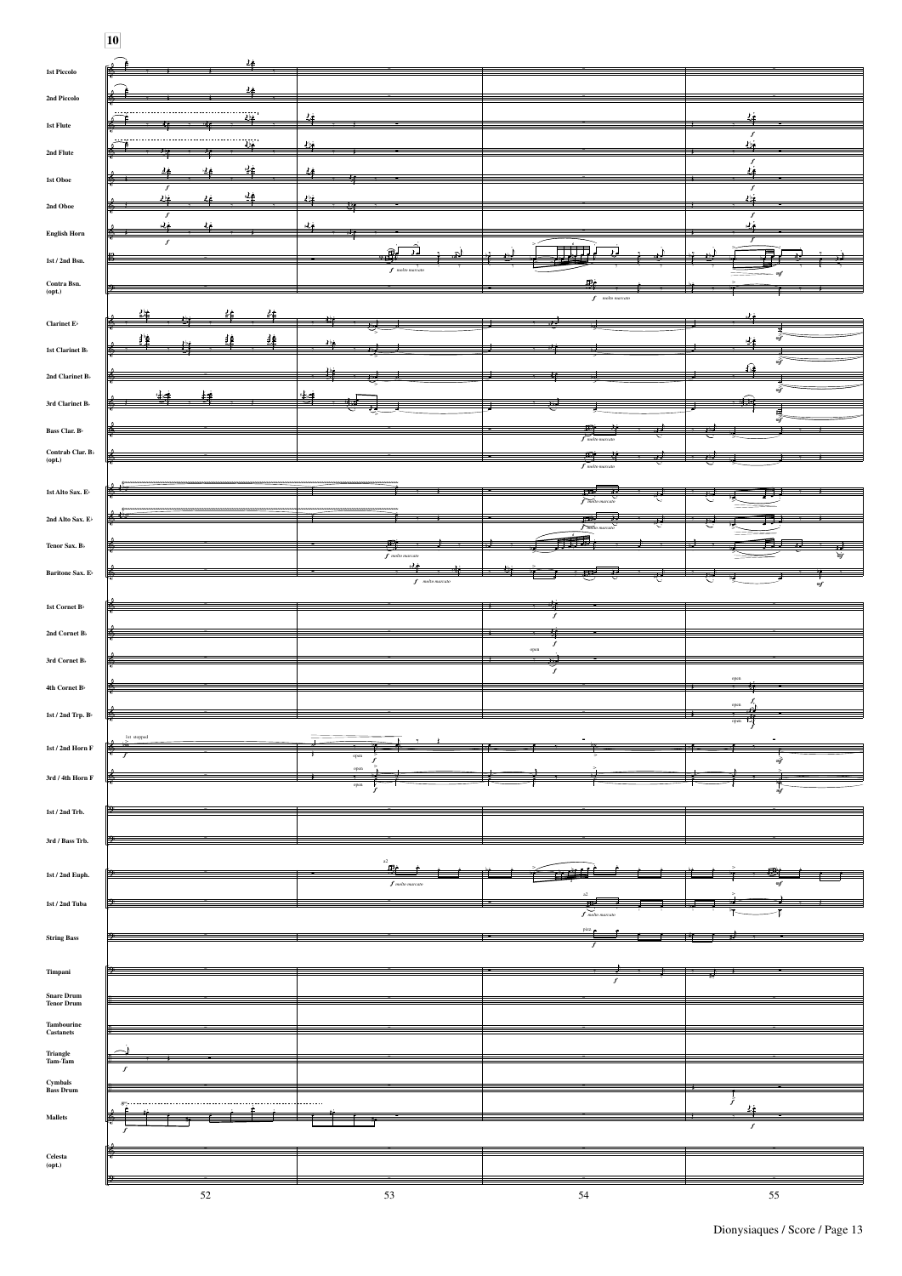| $1\mathrm{st}$ Piccolo                                                                               | 姜           |                                         |                                                                                                                                                                                                                                                                                                                                                                                                                                                                    |                                |
|------------------------------------------------------------------------------------------------------|-------------|-----------------------------------------|--------------------------------------------------------------------------------------------------------------------------------------------------------------------------------------------------------------------------------------------------------------------------------------------------------------------------------------------------------------------------------------------------------------------------------------------------------------------|--------------------------------|
|                                                                                                      | €.          |                                         |                                                                                                                                                                                                                                                                                                                                                                                                                                                                    |                                |
| $2\mathrm{nd}$ Piccolo                                                                               |             |                                         |                                                                                                                                                                                                                                                                                                                                                                                                                                                                    |                                |
| 1st Flute                                                                                            |             |                                         |                                                                                                                                                                                                                                                                                                                                                                                                                                                                    |                                |
| 2nd Flute                                                                                            |             | 纱                                       |                                                                                                                                                                                                                                                                                                                                                                                                                                                                    | ł bi                           |
| 1st Oboe                                                                                             | 些<br>44     | 샥                                       |                                                                                                                                                                                                                                                                                                                                                                                                                                                                    |                                |
| 2nd Oboe                                                                                             | ≝ ∉         | فواثله                                  |                                                                                                                                                                                                                                                                                                                                                                                                                                                                    | łή                             |
|                                                                                                      |             | فمناه                                   |                                                                                                                                                                                                                                                                                                                                                                                                                                                                    |                                |
| <b>English Horn</b>                                                                                  |             | 金                                       | $\overline{\phantom{a}}$                                                                                                                                                                                                                                                                                                                                                                                                                                           |                                |
| $1st$ / $2nd$ Bsn. $\,$                                                                              | 15          | $f$ molto marcato                       |                                                                                                                                                                                                                                                                                                                                                                                                                                                                    | $\boldsymbol{m}$               |
| Contra Bsn.<br>(opt.)                                                                                | ș≔          |                                         | $f$ molto marcato                                                                                                                                                                                                                                                                                                                                                                                                                                                  |                                |
| Clarinet $\mathbf{E}\flat$                                                                           | ₹ė          |                                         |                                                                                                                                                                                                                                                                                                                                                                                                                                                                    |                                |
|                                                                                                      | 韭           |                                         |                                                                                                                                                                                                                                                                                                                                                                                                                                                                    | 些                              |
| 1st Clarinet $B\flat$                                                                                |             |                                         |                                                                                                                                                                                                                                                                                                                                                                                                                                                                    |                                |
| 2nd Clarinet $B\flat$                                                                                |             |                                         |                                                                                                                                                                                                                                                                                                                                                                                                                                                                    |                                |
| $3\text{rd}$ Clarinet $\text{B}\flat$                                                                |             |                                         |                                                                                                                                                                                                                                                                                                                                                                                                                                                                    | مستجب                          |
| Bass Clar. $\rm B\ensuremath{\flat}$                                                                 |             |                                         | $\begin{array}{c}\n\overrightarrow{J} \stackrel{\bullet}{\longrightarrow} \\ \overrightarrow{J} \stackrel{molto}{\longrightarrow} \\ \end{array}$                                                                                                                                                                                                                                                                                                                  | ۰.                             |
| $\begin{array}{l} \textbf{Control } \textbf{Char.} \textbf{ B} \flat \\ \textbf{(opt.)} \end{array}$ |             |                                         | $\frac{1}{\sqrt{\frac{1}{1-\frac{1}{1-\frac{1}{1-\frac{1}{1-\frac{1}{1-\frac{1}{1-\frac{1}{1-\frac{1}{1-\frac{1}{1-\frac{1}{1-\frac{1}{1-\frac{1}{1-\frac{1}{1-\frac{1}{1-\frac{1}{1-\frac{1}{1-\frac{1}{1-\frac{1}{1-\frac{1}{1-\frac{1}{1-\frac{1}{1-\frac{1}{1-\frac{1}{1-\frac{1}{1-\frac{1}{1-\frac{1}{1-\frac{1}{1-\frac{1}{1-\frac{1}{1-\frac{1}{1-\frac{1}{1-\frac{1}{1-\frac{1}{1-\frac{1}{1-\frac{1}{1-\frac{$                                           | سوم ک                          |
|                                                                                                      | くど          |                                         | $\overline{\phantom{a}}$<br>₩                                                                                                                                                                                                                                                                                                                                                                                                                                      |                                |
| 1st Alto Sax. $\rm E\sp$                                                                             |             |                                         | $\begin{array}{c}\n\overrightarrow{f}\n\\ \n\overrightarrow{f}\n\\ \n\end{array}$                                                                                                                                                                                                                                                                                                                                                                                  |                                |
|                                                                                                      |             |                                         |                                                                                                                                                                                                                                                                                                                                                                                                                                                                    |                                |
| 2nd Alto Sax. $\rm E\flat$                                                                           |             |                                         | $\begin{array}{c}\n\overline{111} \\ \overline{111} \\ \overline{111} \\ \overline{111} \\ \overline{111} \\ \overline{111} \\ \overline{111} \\ \overline{111} \\ \overline{111} \\ \overline{111} \\ \overline{111} \\ \overline{111} \\ \overline{111} \\ \overline{111} \\ \overline{111} \\ \overline{111} \\ \overline{111} \\ \overline{111} \\ \overline{111} \\ \overline{111} \\ \overline{111} \\ \overline{111} \\ \overline{111} \\ \overline{1$<br>ਦ | ی‡                             |
| Tenor Sax. $\rm B\ensuremath{\scriptstyle{\circ}}$                                                   |             | шņ<br>$f$ molto marcato                 |                                                                                                                                                                                                                                                                                                                                                                                                                                                                    |                                |
| Baritone Sax. $\rm E\!\!\succ$                                                                       |             | ۋنگ<br>$f$ molto marcato                | Ł.                                                                                                                                                                                                                                                                                                                                                                                                                                                                 |                                |
|                                                                                                      |             |                                         | ⇉                                                                                                                                                                                                                                                                                                                                                                                                                                                                  | $_{mf}$                        |
| 1st Cornet $\rm B\ensuremath{\flat}$                                                                 |             |                                         | $\boldsymbol{f}$                                                                                                                                                                                                                                                                                                                                                                                                                                                   |                                |
| 2nd Cornet $\rm B\flat$                                                                              |             |                                         | →<br>$^{\rm open}$                                                                                                                                                                                                                                                                                                                                                                                                                                                 |                                |
| $3$ rd Cornet B                                                                                      |             |                                         | $\overline{\phantom{a}}$<br>$\rightarrow$                                                                                                                                                                                                                                                                                                                                                                                                                          |                                |
| $4\text{th}$ Cornet $\text{B}\flat$                                                                  |             |                                         |                                                                                                                                                                                                                                                                                                                                                                                                                                                                    | open<br>$\ddot{\phantom{1}}$   |
| $1\mathrm{st}$ / $2\mathrm{nd}$ Trp. $\mathrm{B}\flat$                                               |             |                                         |                                                                                                                                                                                                                                                                                                                                                                                                                                                                    | open<br>$\cdot$<br>open<br>۱., |
|                                                                                                      | 1st stopped |                                         |                                                                                                                                                                                                                                                                                                                                                                                                                                                                    |                                |
| $1\mathrm{st}$ / $2\mathrm{nd}$ Horn F                                                               |             | open<br>$^{\rm open}$                   |                                                                                                                                                                                                                                                                                                                                                                                                                                                                    |                                |
| 3rd / 4th Horn F                                                                                     |             | $\overline{\ }$<br>$^{\rm open}$        |                                                                                                                                                                                                                                                                                                                                                                                                                                                                    |                                |
| $1\mathrm{st}$ / $2\mathrm{nd}$ Trb.                                                                 | ⇒           |                                         |                                                                                                                                                                                                                                                                                                                                                                                                                                                                    |                                |
| $3\mathrm{rd}$ / Bass Trb.                                                                           | ୨           |                                         |                                                                                                                                                                                                                                                                                                                                                                                                                                                                    |                                |
|                                                                                                      |             |                                         |                                                                                                                                                                                                                                                                                                                                                                                                                                                                    |                                |
| $1\mathrm{st}$ / $2\mathrm{nd}$ Euph.                                                                | ⋺           | $\frac{a^2}{2a^2}$<br>$f$ molto marcato | $-$                                                                                                                                                                                                                                                                                                                                                                                                                                                                | $\it mf$                       |
| $1\mathrm{st}$ / $2\mathrm{nd}$ Tuba                                                                 | ヮ           |                                         | a2<br>$\begin{array}{c}\n\overline{1} \\ \overline{1} \\ \overline{1}\n\end{array}$                                                                                                                                                                                                                                                                                                                                                                                |                                |
| $\mbox{String Bass}$                                                                                 | 茡           |                                         | $\overset{\text{pizz.}}{\longrightarrow}$<br>$\boldsymbol{f}$                                                                                                                                                                                                                                                                                                                                                                                                      |                                |

![](_page_12_Figure_2.jpeg)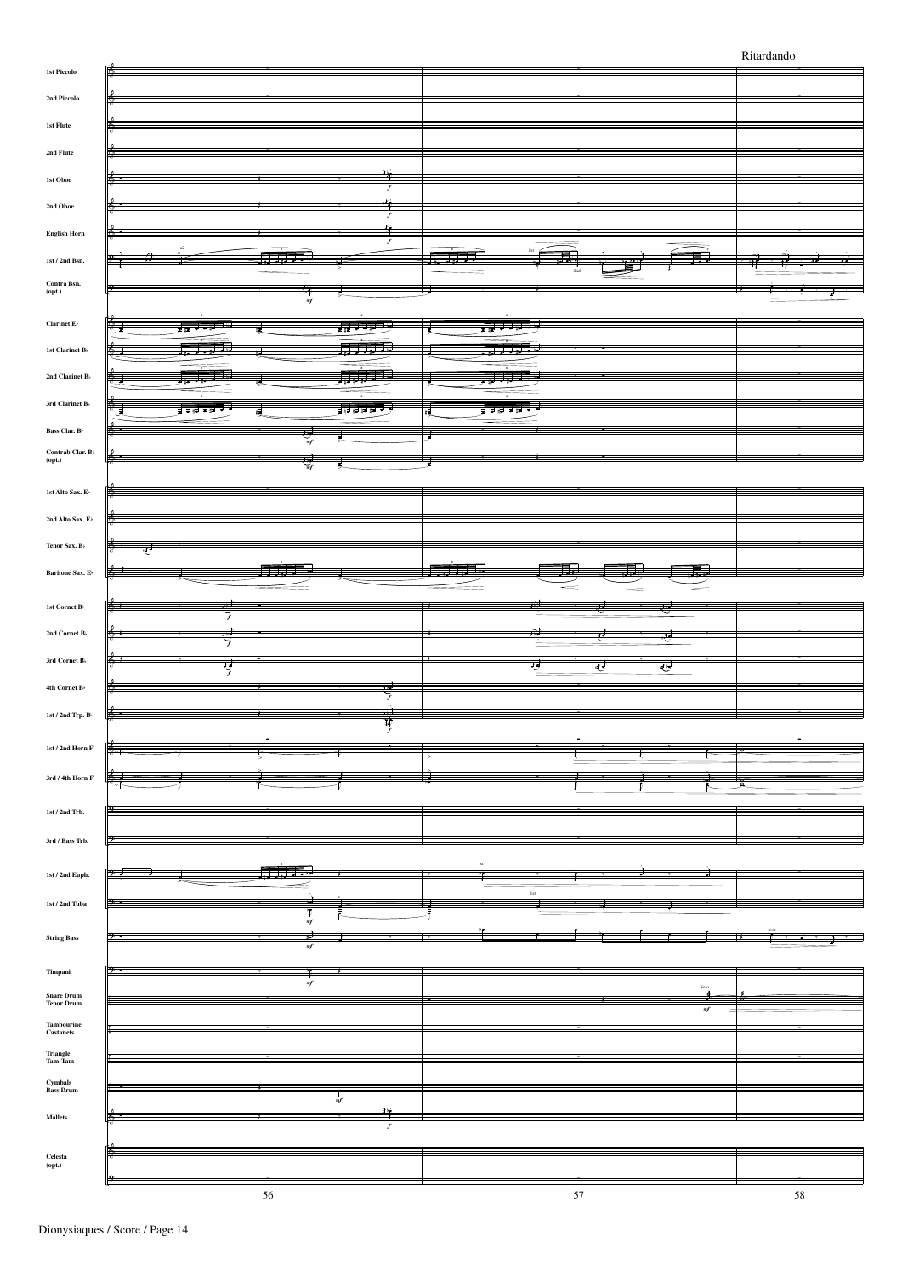| $1\mathrm{st}$ Piccolo                                                               | K                                                                                             |                                             |                                   |                        |   |
|--------------------------------------------------------------------------------------|-----------------------------------------------------------------------------------------------|---------------------------------------------|-----------------------------------|------------------------|---|
| $2\mathrm{nd}$ Piccolo                                                               | $\blacklozenge$                                                                               |                                             |                                   |                        |   |
| $1st$ Flute $\,$                                                                     | る                                                                                             |                                             |                                   |                        |   |
| $2\mathrm{nd}$ Flute                                                                 | る                                                                                             |                                             |                                   |                        |   |
| $1\mathrm{st}$ Oboe                                                                  | る                                                                                             | 纱<br>$\boldsymbol{f}$                       |                                   |                        |   |
| 2nd Oboe                                                                             | T.                                                                                            | ட்ட<br>$\boldsymbol{f}$                     |                                   |                        |   |
| English Horn                                                                         | る                                                                                             | 乡<br>$\boldsymbol{f}$                       |                                   |                        |   |
| $1st$ / $2nd$ Bsn. $\,$                                                              | a2                                                                                            |                                             | $1\mathrm{st}$<br>⋽⋼<br>⊶ د ر     | 2nd                    |   |
| Contra Bsn.<br>(opt.)                                                                | ∋≔                                                                                            | 笉<br>$\it mf$                               |                                   |                        | ⇉ |
| Clarinet $\mathbf{E}\flat$                                                           | ∲<br>उन्ने रोजन<br>Ξ                                                                          | <del>राय र राय</del>                        | <del>रहा रा</del> ह               |                        |   |
| 1st Clarinet $\rm B\ensuremath{\flat}$                                               | $\overline{\textbf{G}}$<br>$\frac{1}{2}$ , $\frac{1}{2}$ , $\frac{1}{2}$ , $\frac{1}{2}$<br>₹ | <u>Talan da</u>                             | <b>FIFTH THE PROPERTY OF SHIP</b> |                        |   |
| 2nd Clarinet $\rm B\ensuremath{\flat}$                                               | ∣∳च<br>$\overline{\phantom{a}}$<br>J 30 J 30                                                  | في موادا و                                  | فطولها ودوارد                     |                        |   |
| $3\text{rd}$ Clarinet $\text{B}\flat$                                                | $ \cdot $                                                                                     | <u> इत्त्वेद्यम्</u>                        | <del>के सम्</del> त               | ł                      |   |
| Bass Clar. $\rm B\ensuremath{\flat}$                                                 | ŕ.                                                                                            | 过                                           | 屓<br>手                            |                        |   |
| $\begin{array}{ll} \mbox{Contrab } \mbox{Char.~B}\flat \\ \mbox{(opt.)} \end{array}$ |                                                                                               | च्चे<br>‴<br>$\overline{\overrightarrow{H}$ |                                   |                        |   |
|                                                                                      | ѩ                                                                                             |                                             |                                   |                        |   |
|                                                                                      |                                                                                               |                                             |                                   |                        |   |
| 2nd Alto Sax. $\rm E\flat$<br>Tenor Sax. B                                           | $\mathbb{R}$ .                                                                                |                                             |                                   |                        |   |
|                                                                                      | ಕ್ಷ<br>▫<br>laS J                                                                             |                                             | ▛▟▜                               | فبالبراز               |   |
|                                                                                      |                                                                                               |                                             | $\hspace{.05cm}$                  | .<br>$\!=$<br>$\!=$    |   |
| 1st Cornet $\rm B\ensuremath{\flat}$                                                 | 陈玉                                                                                            |                                             |                                   |                        |   |
| 2nd Cornet $\mathbf{B}\flat$                                                         | ∣≰ ≀                                                                                          |                                             | ∓                                 | ਦ                      |   |
| $3 \text{rd}$ Cornet $\text{B}\flat$                                                 | ∣≰ र<br>र्नु                                                                                  |                                             | ₹₹                                | $\cdot$<br>न्ट<br>ৰ্চ্ |   |
| $4\mbox{th}$ Cornet $\mbox{B}\flat$                                                  | fa                                                                                            | $\frac{1}{2}$                               |                                   |                        |   |
| $1\mathrm{st}$ / $2\mathrm{nd}$ Trp. $\mathrm{B}\flat$                               |                                                                                               | ł.,<br>$\overline{\mathfrak{g}}$            |                                   |                        |   |
| $1\mathrm{st}$ / $2\mathrm{nd}$ Horn F                                               | Ѩ                                                                                             |                                             |                                   |                        |   |
| $3 \mathrm{rd}$ / $4 \mathrm{th}$ Horn F                                             |                                                                                               |                                             |                                   |                        |   |
| $1st$ / $2nd$ Trb. $\,$                                                              | ₽                                                                                             |                                             |                                   |                        |   |
| $3\mathrm{rd}$ / Bass Trb.                                                           | ÞЕ                                                                                            |                                             |                                   |                        |   |
|                                                                                      |                                                                                               |                                             | $1\rm{st}$                        |                        |   |
| $1st$ / $2nd$ Euph.                                                                  | ।≫.                                                                                           | मर्गन                                       | $1\mathrm{st}$                    |                        |   |
| 1st / 2nd Tuba                                                                       | D -                                                                                           | ₩<br>$\overline{v}$<br>$\it mf$             |                                   |                        |   |
| <b>String Bass</b>                                                                   | -y -                                                                                          | ŧ<br>$\it mf$                               |                                   |                        |   |

![](_page_13_Figure_2.jpeg)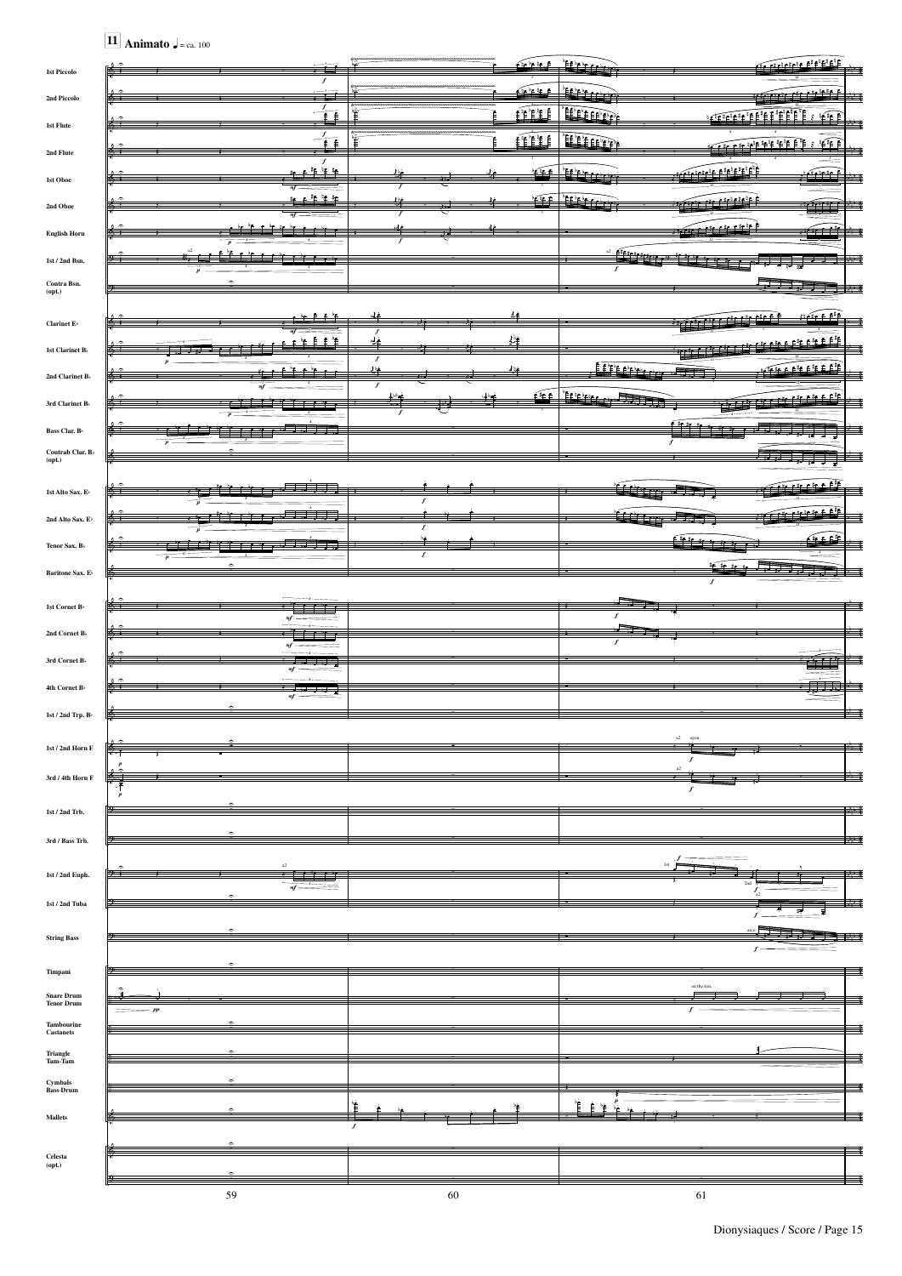$\boxed{11}$  **Animato**  $\sqrt{ }$  = ca. 100

| <b>1st Piccolo</b>                     | $\cdot$ $\cdot$<br>$\leftarrow$                                           | becker complete<br><u>Frede e</u> |                                                                                                                        | <u>electebriche eigheighe</u>                  |
|----------------------------------------|---------------------------------------------------------------------------|-----------------------------------|------------------------------------------------------------------------------------------------------------------------|------------------------------------------------|
| 2nd Piccolo                            | $\boldsymbol{f}$<br>ک :<br>6 स                                            | PERPERPENDANT<br><u>Elebric P</u> |                                                                                                                        | <del>eletetek ete etetete e</del>              |
|                                        | $\frac{\bar{f}}{\bar{f}}$<br>É<br>≲                                       | EEEFFEED<br>≨፟ቘ፞ቘ                 |                                                                                                                        | 毕毕三                                            |
| 1st Flute                              | $\frac{f}{\pm}$<br>憧                                                      | EE'E'E EEPP<br>€髻筐筐               |                                                                                                                        | 毛生毛<br>Property to the first part of the first |
| 2nd Flute                              | $\leftarrow$ +<br>$\sim$ $-$<br>f<br>艳<br>坚壮                              | <u>reper</u><br>5.125             | <u> Leterricie etcietei</u>                                                                                            |                                                |
| 1st Oboe                               | 61                                                                        |                                   |                                                                                                                        | ملعامة                                         |
| 2nd Oboe                               | 轻轻轻<br>c.<br>6∃                                                           | EFLA<br>عملما                     | <b>See the check of the field of contract of the contract of the contract of the contract of the contract of the c</b> | $\sqrt{2}$                                     |
| <b>English Horn</b>                    | க≠                                                                        |                                   | <del>to the clock</del>                                                                                                | é le principal de l'                           |
| 1st / 2nd Bsn.                         | $\overline{\phantom{a}}$<br>$\rightarrow$<br>$\overline{\phantom{a}}$     |                                   | <u>- Greener Barrell</u>                                                                                               |                                                |
| Contra Bsn.<br>(opt.)                  |                                                                           |                                   | $\boldsymbol{f}$                                                                                                       |                                                |
|                                        |                                                                           |                                   |                                                                                                                        | عقم معققا                                      |
| Clarinet $\mathrm{E}\flat$             | $\hat{z}$<br>61<br>f                                                      |                                   | <del>electe citeris sin c</del>                                                                                        |                                                |
| 1st Clarinet B                         | 些<br>≛ ≝<br>€<br>$\boldsymbol{f}$                                         | 孕                                 | <u>vere e skrisk</u>                                                                                                   | <u> eterneter freskesk</u>                     |
| 2nd Clarinet $B\flat$                  | 筚<br>⋐<br>$\boldsymbol{f}$                                                |                                   | $E$ $E$ <sup>2</sup> $E$ <sup>2</sup> $E$ <sup>2</sup> $E$ <sup>2</sup> $E$ <sup>2</sup> $E$ <sup>2</sup><br>لوالعوالج | <b>Appertect</b>                               |
| 3rd Clarinet B                         | 6 ≢                                                                       | Efflere<br>∉‡e ∉                  |                                                                                                                        | :⊪<br><u>n for circle circle circ</u>          |
| Bass Clar. B                           |                                                                           |                                   | e te te te<br>光华杯                                                                                                      |                                                |
| Contrab Clar. B $($ opt. $)$           |                                                                           |                                   | f                                                                                                                      |                                                |
|                                        |                                                                           |                                   |                                                                                                                        |                                                |
| 1st Alto Sax. E                        | .<br>61                                                                   |                                   | <u>f forte ebele be</u>                                                                                                | to the change of                               |
| 2nd Alto Sax. E                        | $+$ $+$ $+$<br>6 ⊧<br>$\pm$ $\pm$<br>$\boldsymbol{f}$<br>$\boldsymbol{p}$ |                                   | of their cheese                                                                                                        | <u>Le proprier e sit</u>                       |
| Tenor Sax. $\rm B\flat$                | $\hat{ }$<br>ंदिक<br>$\sim$ $\sim$ $\sim$<br>$\boldsymbol{f}$             |                                   | ما جا                                                                                                                  |                                                |
|                                        |                                                                           |                                   | 拉斯卡<br>$\mathcal{F}$                                                                                                   |                                                |
|                                        | $\frac{1}{6}$                                                             |                                   |                                                                                                                        |                                                |
| 1st Cornet $\mathbf{B}\flat$           |                                                                           |                                   | $\boldsymbol{f}$                                                                                                       |                                                |
| 2nd Cornet $\rm B\ensuremath{\flat}$   |                                                                           |                                   | $\boldsymbol{f}$                                                                                                       |                                                |
| $3 \text{rd}$ Cornet B                 | $\leftarrow$<br>m f                                                       |                                   |                                                                                                                        | $\blacksquare$                                 |
| $4\mbox{th}$ Cornet $\mbox{B}\flat$    | 61<br>mf                                                                  |                                   |                                                                                                                        |                                                |
| $1$ t / 2nd Trp. B $\flat$             |                                                                           |                                   |                                                                                                                        |                                                |
| $1\mathrm{st}$ / $2\mathrm{nd}$ Horn F |                                                                           |                                   | a2<br>open<br>÷                                                                                                        |                                                |
|                                        | Ѩ                                                                         |                                   | f<br>$\rm{a2}$                                                                                                         |                                                |
| 3rd / 4th Horn F                       |                                                                           |                                   | $\boldsymbol{f}$                                                                                                       |                                                |
| $1st$ / $2nd$ Trb.                     |                                                                           |                                   |                                                                                                                        | $\rightarrow$                                  |
| 3rd / Bass Trb.                        | $\hat{\phantom{a}}$<br>→                                                  |                                   |                                                                                                                        | $\frac{1}{2}$                                  |
|                                        | a2<br>$\hat{\phantom{a}}$<br>$\mathbb{R}$<br>$\sim$                       |                                   | 1st                                                                                                                    |                                                |
| $1\mathrm{st}$ / $2\mathrm{nd}$ Euph.  |                                                                           |                                   | $2\mathrm{nd}$                                                                                                         | $\frac{1}{2}$                                  |
| 1st / 2nd Tuba                         |                                                                           |                                   |                                                                                                                        |                                                |
| $\mbox{String Bass}$                   | $\hat{\phantom{a}}$<br><del>של</del>                                      |                                   |                                                                                                                        |                                                |
|                                        |                                                                           |                                   |                                                                                                                        |                                                |

![](_page_14_Figure_2.jpeg)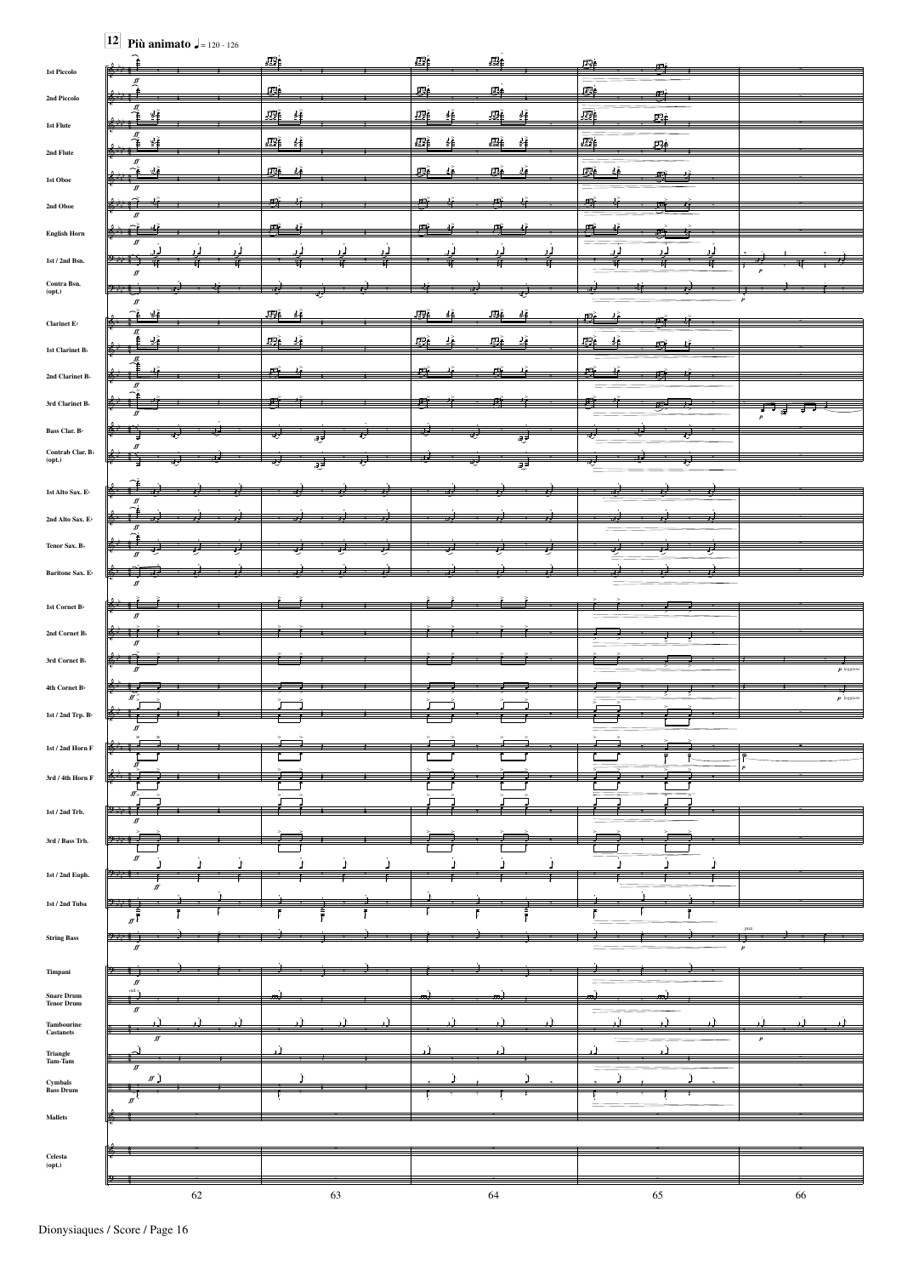**12 Più animato**  $\sqrt{ }$  = 120 - 126

| <b>1st Piccolo</b>                                                                                           | 险                                                              | 斝      | 唾<br>耍           | 厨<br>1de                    |                               |
|--------------------------------------------------------------------------------------------------------------|----------------------------------------------------------------|--------|------------------|-----------------------------|-------------------------------|
|                                                                                                              | IJ                                                             | 辱      | 鹀<br>郾           | 鹀<br>显                      |                               |
| 2nd Piccolo                                                                                                  | 633<br>£ľ                                                      | 垂<br>手 | 壁<br>辱<br>丝<br>犟 | 辱                           |                               |
| 1st Flute                                                                                                    | 6世<br>IJ                                                       |        |                  | 感                           |                               |
| 2nd Flute                                                                                                    | $\left( 6,1\right)$                                            | 垂<br>埑 | 壁<br>丝<br>丝<br>兵 | 辱<br>辱                      |                               |
| 1st Oboe                                                                                                     | ,ff<br>くじ                                                      | 屏      | 唾<br>π,          | 鹀<br>垤                      |                               |
|                                                                                                              | ⊝ী                                                             | 野      | 戶                | 馵                           |                               |
| $2\mathrm{nd}$ Oboe                                                                                          | ff                                                             |        |                  |                             |                               |
| <b>English Horn</b>                                                                                          | $6 + 3$<br>f f                                                 |        |                  |                             |                               |
| 1st / 2nd Bsn.                                                                                               | $\mathcal{F}$ , $\mathcal{F}$<br>f f                           |        |                  |                             |                               |
| Contra Bsn.<br>$($ opt. $)$                                                                                  | $\mathcal{F} \mapsto \mathcal{F}$                              |        |                  |                             |                               |
|                                                                                                              | .fJ                                                            | 孕<br>耍 | 垤<br>辱<br>竓<br>辱 | 兵                           |                               |
| Clarinet $\mathbf{E}\flat$                                                                                   |                                                                |        |                  |                             |                               |
| 1st Clarinet B                                                                                               | $\leftarrow$                                                   | 興<br>埑 | 辱<br>绰<br>呼      | 華<br>劈                      |                               |
| 2nd Clarinet B                                                                                               | K⇒<br>ff                                                       |        | 吗                | 野                           |                               |
| 3rd Clarinet B                                                                                               | $\bullet$                                                      |        | निषय             | <b>1976</b><br>π.           |                               |
| Bass Clar. B                                                                                                 | 侾                                                              |        |                  | ↴⇁<br>过<br>$\boldsymbol{p}$ |                               |
|                                                                                                              |                                                                | ∉≵     | ಕ್ತ              |                             |                               |
| $\begin{array}{l} \textbf{Control } \textbf{Char.} \text{ } \textbf{B} \flat \\ \textbf{(opt.)} \end{array}$ | ౹ౚ                                                             | ₹₹     | ₹                | لوسي<br>€                   |                               |
| 1st Alto Sax. E                                                                                              | ⊯<br>$3^{\prime}$                                              |        | ж.               | 7•                          |                               |
|                                                                                                              |                                                                |        |                  |                             |                               |
| 2nd Alto Sax. E                                                                                              | ff<br>$\frac{1}{6}$ $\frac{1}{3}$ $\frac{1}{2}$                |        |                  |                             |                               |
|                                                                                                              | f f                                                            |        |                  |                             |                               |
| Tenor Sax. B                                                                                                 | ।≴≠<br>ff                                                      |        |                  | وتو                         |                               |
|                                                                                                              | 险<br>f f                                                       |        |                  | ا ہے۔                       |                               |
| 1st Cornet $\mathbf{B}\flat$                                                                                 | 险                                                              |        |                  |                             |                               |
|                                                                                                              | $f\hspace{-0.1cm}f$<br>≰∛                                      |        |                  |                             |                               |
| 2nd Cornet $\mathbf{B}\flat$                                                                                 | ff                                                             |        |                  |                             |                               |
| $3\mathrm{rd}$ Cornet $\mathrm{B}\flat$                                                                      | $\overline{6}$<br>ff                                           |        |                  |                             | $\cdot$<br>$p$ leggiero       |
| $4\mbox{th}$ Cornet $\mbox{B}\flat$                                                                          | ≰∍<br>$f\bar{f}$                                               |        |                  |                             | $\overrightarrow{p}$ leggiero |
| $1\mathrm{st}$ / $2\mathrm{nd}$ Trp. $\mathrm{B}\flat$                                                       | <b>16</b>                                                      |        |                  |                             |                               |
|                                                                                                              | ff                                                             |        |                  |                             |                               |
| $1\mathrm{st}$ / $2\mathrm{nd}$ Horn F                                                                       | 6, 3                                                           |        |                  |                             |                               |
| $3 {\rm rd}$ / $4 {\rm th}$ Horn F                                                                           | K≑                                                             |        |                  |                             |                               |
| $1st$ / $2nd$ $\operatorname{Trb.}$                                                                          | $f\hspace{-0.1cm}f$ ,<br>$\mathcal{F} \rightarrow \mathcal{F}$ |        |                  |                             |                               |
|                                                                                                              | ff                                                             |        |                  |                             |                               |
| $3\mathrm{rd}$ / Bass Trb.                                                                                   | $\mathcal{F} \rightarrow \mathcal{F}$<br>$f\hspace{-0.1cm}f$   |        |                  |                             |                               |
| $1\mathrm{st}$ / $2\mathrm{nd}$ Euph.                                                                        | $\mathcal{F}\rightarrow\mathcal{F}$                            |        |                  |                             |                               |
| $1st$ / $2nd$ ${\bf Tuba}$                                                                                   | $\mathcal{F} \mapsto \mathbf{3}$                               |        |                  |                             |                               |
|                                                                                                              | $\mathcal{F} \rightarrow \mathcal{F}$                          |        |                  | pizz.                       |                               |

![](_page_15_Figure_2.jpeg)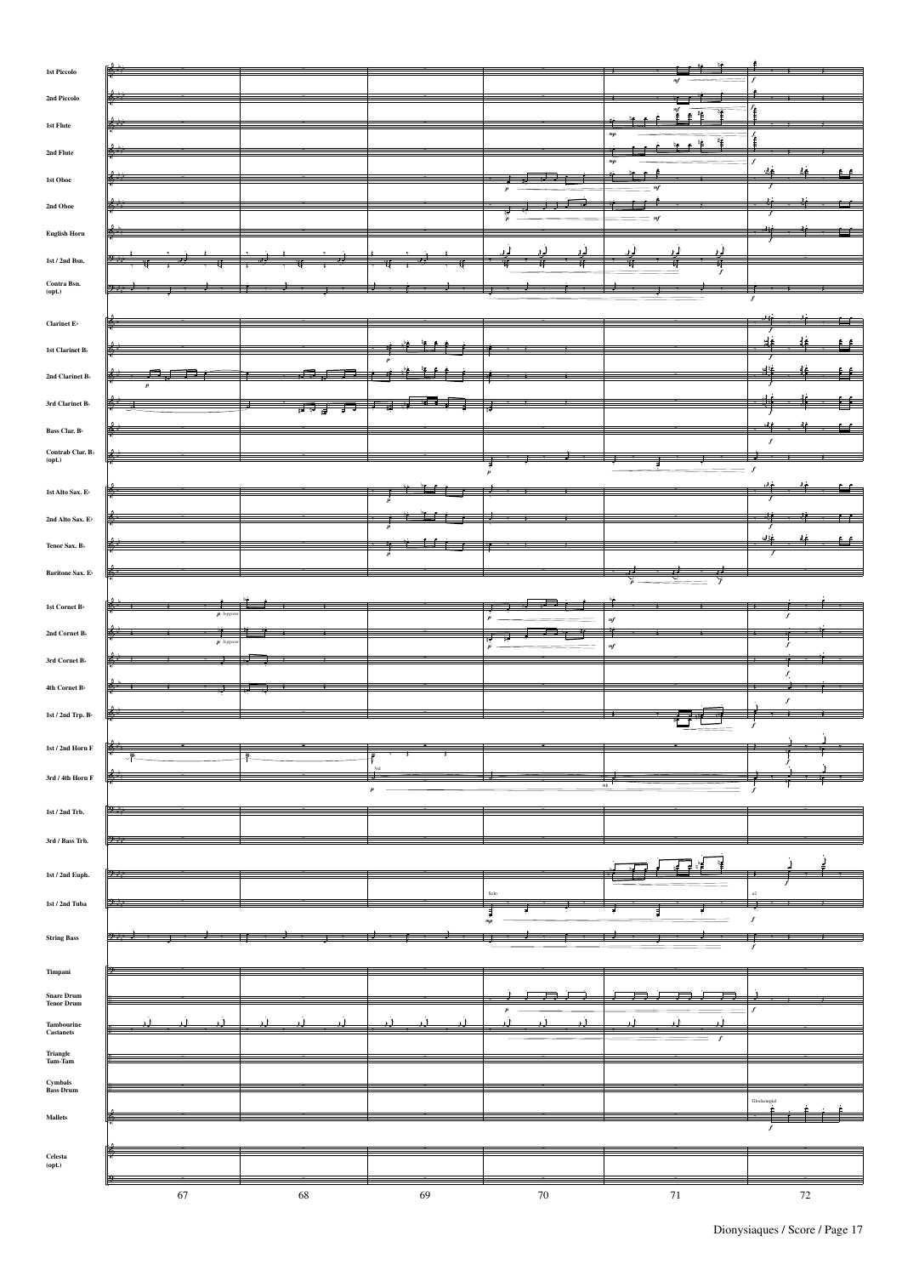| <b>1st Piccolo</b>                                                                                           | ⊯≸                             |                    |          |                      |                                  |                                                                    |
|--------------------------------------------------------------------------------------------------------------|--------------------------------|--------------------|----------|----------------------|----------------------------------|--------------------------------------------------------------------|
|                                                                                                              |                                |                    |          |                      | $\it mf$                         |                                                                    |
| 2nd Piccolo                                                                                                  | $\frac{2}{6}$                  |                    |          |                      | mf<br>†Ē<br>毕                    | 仁                                                                  |
| $1st$ Flute $\,$                                                                                             | $\frac{2}{5}$                  |                    |          |                      |                                  |                                                                    |
|                                                                                                              | 63                             |                    |          |                      | $_{\mathit{mp}}$<br>桂<br>艳<br>۹e | J.<br>Ê                                                            |
| 2nd Flute                                                                                                    |                                |                    |          |                      | $\it mp$                         | f                                                                  |
| 1st Oboe                                                                                                     | 65                             |                    |          |                      |                                  | 肇<br>≐<br>$\mathbf{r}$                                             |
| 2nd Oboe                                                                                                     | 65                             |                    |          |                      |                                  |                                                                    |
|                                                                                                              |                                |                    |          | $\overrightarrow{r}$ |                                  |                                                                    |
| <b>English Horn</b>                                                                                          | 63                             |                    |          |                      |                                  |                                                                    |
| 1st / 2nd Bsn.                                                                                               | $\Rightarrow$                  |                    |          |                      |                                  |                                                                    |
| Contra Bsn.                                                                                                  |                                |                    |          |                      |                                  |                                                                    |
| $\left($ opt. $\right)$                                                                                      | $\mathcal{P}$                  |                    |          |                      |                                  |                                                                    |
| Clarinet $\mathrm{E}\flat$                                                                                   | 险                              |                    |          |                      |                                  |                                                                    |
|                                                                                                              |                                |                    |          |                      |                                  | 旗                                                                  |
| 1st Clarinet $\mathbf{B}\flat$                                                                               | K                              |                    | $\gamma$ |                      |                                  |                                                                    |
| 2nd Clarinet $\rm B\$                                                                                        | 6*                             |                    |          |                      |                                  | موالي<br>جملس                                                      |
|                                                                                                              | $\boldsymbol{p}$               |                    |          |                      |                                  |                                                                    |
| $3\text{rd}$ Clarinet B                                                                                      | $\leftarrow$                   | ਜ਼ਾਂ<br>ार्ज<br>нĒ |          |                      |                                  | $7 - 11$                                                           |
| Bass Clar. $\rm B\ensuremath{\flat}$                                                                         | る                              |                    |          |                      |                                  |                                                                    |
| $\begin{array}{l} \textbf{Control } \textbf{Char.} \text{ } \textbf{B} \flat \\ \textbf{(opt.)} \end{array}$ | 菕                              |                    |          |                      |                                  | $\boldsymbol{f}$                                                   |
|                                                                                                              |                                |                    |          |                      |                                  |                                                                    |
| 1st Alto Sax. $\rm E\!\flat$                                                                                 | 长                              |                    |          |                      |                                  | خ <u>لا</u> نية<br>ا<br>$\blacksquare$<br>$\overline{\phantom{a}}$ |
|                                                                                                              |                                |                    |          |                      |                                  |                                                                    |
| 2nd Alto Sax. $\rm E\flat$                                                                                   | Ѩ                              |                    |          |                      |                                  | <b>FEL</b><br>$\mathbf{F}$                                         |
| Tenor Sax. $\rm B\ensuremath{\scriptstyle{\circ}}$                                                           | 嗪                              |                    |          |                      |                                  |                                                                    |
|                                                                                                              | Ѩ                              |                    |          |                      | ہے۔                              |                                                                    |
|                                                                                                              |                                |                    |          |                      |                                  |                                                                    |
| 1st Cornet $\rm B\ensuremath{\flat}$                                                                         | 医<br>$\boldsymbol{p}$ leggiero |                    |          |                      |                                  |                                                                    |
| 2nd Cornet $\rm B\ensuremath{\flat}$                                                                         | ‴                              |                    |          | $\boldsymbol{p}$     | $\it mf$                         |                                                                    |
|                                                                                                              | $p$ leggiero                   |                    |          | ान<br>१              | $\it mf$                         |                                                                    |
| $3 \text{rd}$ Cornet $\text{B}\flat$                                                                         |                                |                    |          |                      |                                  |                                                                    |
| $4\text{th}$ Cornet $\text{B}\flat$                                                                          | ≴∍                             |                    |          |                      |                                  |                                                                    |
|                                                                                                              | Ѩ                              |                    |          |                      |                                  |                                                                    |
| $1\mathrm{st}$ / $2\mathrm{nd}$ Trp. $\mathrm{B}\flat$                                                       |                                |                    |          |                      |                                  |                                                                    |
| $1\mathrm{st}$ / $2\mathrm{nd}$ Horn F                                                                       | 佑                              |                    |          |                      |                                  |                                                                    |
|                                                                                                              |                                |                    | 3rc      |                      |                                  |                                                                    |
| $3 \mathrm{rd}$ / $4 \mathrm{th}$ Horn F                                                                     | É                              |                    |          |                      | 4th                              |                                                                    |
| $1\mathrm{st}$ / $2\mathrm{nd}$ Trb.                                                                         | 「ジャー                           |                    |          |                      |                                  |                                                                    |
|                                                                                                              |                                |                    |          |                      |                                  |                                                                    |
| $3\mathrm{rd}$ / Bass Trb.                                                                                   | $\mathbb{P}^+$                 |                    |          |                      |                                  |                                                                    |
|                                                                                                              |                                |                    |          |                      |                                  |                                                                    |
| $1\mathrm{st}$ / $2\mathrm{nd}$ Euph.                                                                        | 李莽                             |                    |          |                      |                                  |                                                                    |
| $1\mathrm{st}$ / $2\mathrm{nd}$ Tuba                                                                         | フォー                            |                    |          | Solo                 |                                  | a2                                                                 |
|                                                                                                              |                                |                    |          | ₹                    |                                  |                                                                    |
| $\mbox{String Bass}$                                                                                         | 少學                             |                    |          |                      |                                  |                                                                    |

![](_page_16_Figure_1.jpeg)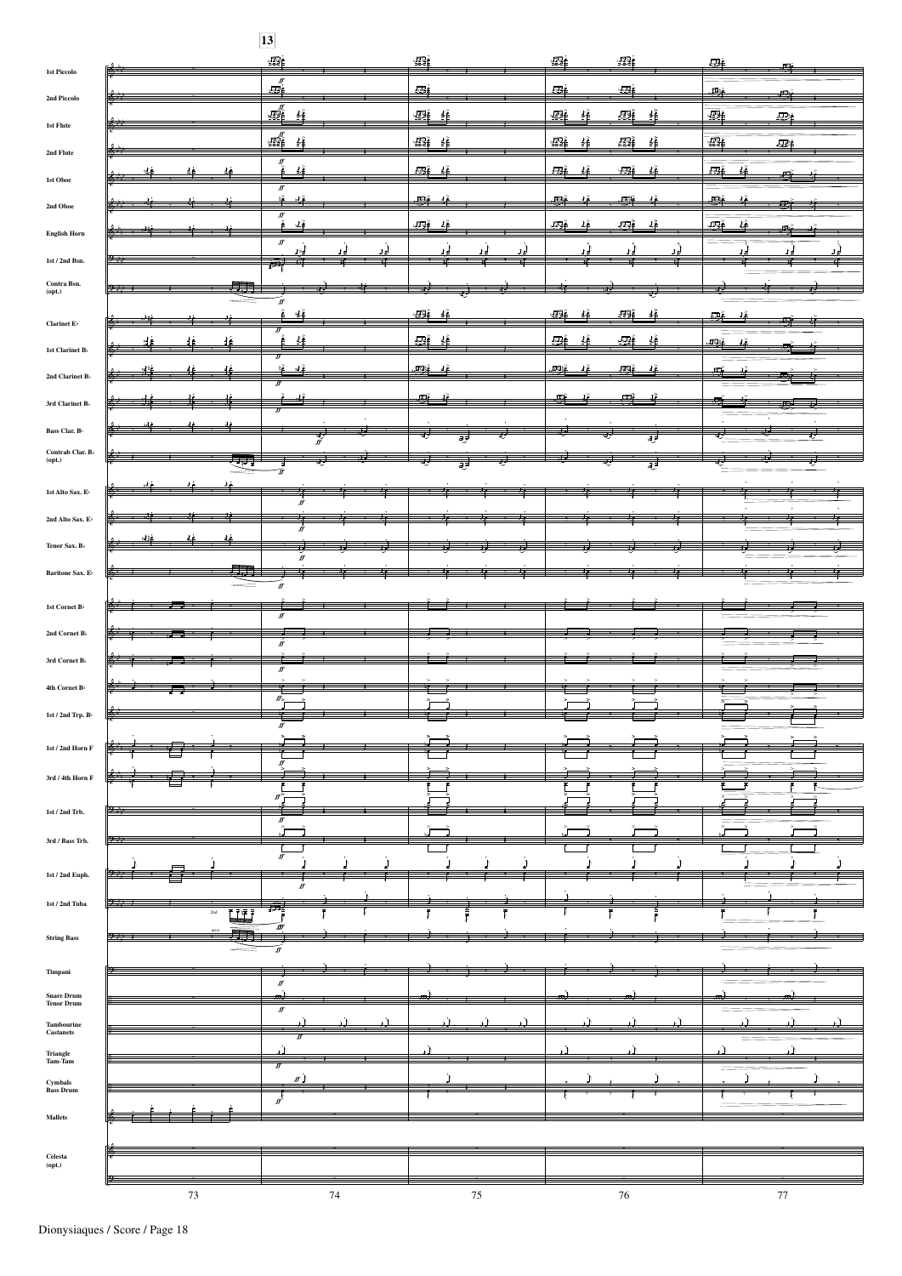| <b>1st Piccolo</b>                                                                    | 一                                                             | 壁                                                       | 壁                     | 四<br>壓                                    | 琴                         |
|---------------------------------------------------------------------------------------|---------------------------------------------------------------|---------------------------------------------------------|-----------------------|-------------------------------------------|---------------------------|
| 2nd Piccolo                                                                           | $\left( 1-\frac{1}{2}\right)$                                 | $\frac{f}{\frac{\sum_{i=1}^{n}f_i}{\sum_{i=1}^{n}f_i}}$ | 鹀                     | $\overline{\mathbb{Z}}_{\mathbb{F}}$<br>四 | 母<br>فالتكب               |
| 1st Flute                                                                             | $\left  \left\langle \cdot \right  \right $                   | $\mathbb{E}^{\mathbf{f}}_{\mathbb{F}}$<br>壅             | $\mathbb{Z}_+^2$<br>丝 | 壁<br>丝<br>母<br>犟                          | 县<br>四特                   |
|                                                                                       | $\left  \mathcal{L} \right $                                  | 犟                                                       | 壁<br>犟                | 壁<br>唾<br>丝<br>髸                          | 曝<br>四特                   |
| 2nd Flute                                                                             |                                                               | $\frac{f}{f}$<br>琒                                      | 辱<br>垤                | 昼<br>ሙ                                    | 昼<br>丝<br>季               |
| 1st Oboe                                                                              | $\leftarrow$                                                  | $f\hspace{-0.1cm}f$<br>庢                                | <u>Je</u>             | 哪                                         | 雪                         |
| 2nd Oboe                                                                              | $\left\langle \left\langle \cdot \right\rangle \right\rangle$ | $f\hspace{-0.1cm}f$<br>峰                                | $\mathbb{E}$<br>迳     | 画<br>零<br>Łé<br>乓                         | 住<br>唾                    |
| <b>English Horn</b>                                                                   | $\rightarrow$                                                 | $f\hspace{-0.1cm}f$<br>łb.                              |                       |                                           | غ <sup>4</sup> آل پ<br>ł. |
| 1st / 2nd Bsn.                                                                        | ファ                                                            | 壽                                                       |                       |                                           |                           |
| Contra Bsn.<br>$\left($ opt. $\right)$                                                | 妻<br>ブルー                                                      | f f                                                     |                       | z.                                        |                           |
| Clarinet $\rm E\ensuremath{\scriptstyle{\circ}}$                                      | $\leftarrow$                                                  | 嵯                                                       | ♨<br>竓                | 四<br>垤<br>感<br>竓                          | 壓<br>مبدل                 |
| 1st Clarinet $\rm B\bar{\nu}$                                                         |                                                               | 達                                                       | 蜂<br>嬖                | 霉<br>極難<br>兵<br>₹É                        | <u> مراجعی</u>            |
| 2nd Clarinet $\mathbf{B}\flat$                                                        |                                                               | $\overline{f}$<br>ř                                     | <u>است.</u>           | أو ∏ل.<br>ال                              | المواطن                   |
| 3rd Clarinet B                                                                        | $\leftrightarrow$                                             |                                                         | 辱                     | 野                                         | 孁                         |
| Bass Clar. B                                                                          | $\leftarrow$                                                  |                                                         |                       |                                           |                           |
| $\begin{array}{l} \mbox{Control Car. } \mathbf{B} \flat \\ \mbox{(opt.)} \end{array}$ | $\leftarrow$                                                  | $\overline{\overline{\overline{t_{\hspace{-.1em}y}}}}$  | ₹₹                    | فوقة                                      | ₩                         |
|                                                                                       | रुन                                                           |                                                         | मुर्                  | ₹                                         |                           |
| 1st Alto Sax. $\rm E\!\flat$                                                          | 6                                                             |                                                         |                       |                                           | 女                         |
| 2nd Alto Sax. E                                                                       | $\leftarrow$                                                  | रंत<br>ff                                               |                       |                                           | र्टन                      |
| Tenor Sax. B                                                                          |                                                               | ff                                                      |                       |                                           |                           |
| Baritone Sax. $\rm E\hspace{-0.55ex}$                                                 | ुन्ना                                                         | $f\hspace{-0.1cm}f$                                     |                       |                                           |                           |
| 1st Cornet $\mathbf{B}\flat$                                                          |                                                               |                                                         |                       |                                           |                           |
| 2nd Cornet $\mathbf{B}\flat$                                                          | 6"                                                            | $f\hspace{-0.1cm}f$                                     |                       |                                           |                           |
| $3 \text{rd}$ Cornet $\text{B}\flat$                                                  |                                                               | ff                                                      |                       |                                           | $\rightarrow$             |
| $4\text{th}$ Cornet $\text{B}\flat$                                                   |                                                               | f f<br>₩                                                |                       |                                           |                           |
| $1\mathrm{st}$ / $2\mathrm{nd}$ Trp. $\mathrm{B}\flat$                                |                                                               | $f_{\mathcal{F}}$<br>÷                                  |                       |                                           |                           |
|                                                                                       |                                                               | f f                                                     |                       |                                           |                           |
| $1\mathrm{st}$ / $2\mathrm{nd}$ Horn F                                                | 16                                                            |                                                         |                       |                                           |                           |
| $3 \mathrm{rd}$ / $4 \mathrm{th}$ Horn F                                              | T.                                                            |                                                         |                       |                                           |                           |
| $1\mathrm{st}$ / $2\mathrm{nd}$ Trb.                                                  | $\mathcal{I} \rightarrow$                                     | $f f^>$                                                 |                       |                                           |                           |
| $3\mathrm{rd}$ / Bass Trb.                                                            | プ中                                                            | $f\hspace{-0.1cm}f$                                     |                       |                                           | $\rightarrow$             |
|                                                                                       |                                                               | $f\hspace{-0.1cm}f$                                     |                       |                                           |                           |
| $1st$ / $2nd$ Euph.                                                                   | ブデ                                                            | $f\hspace{-0.1cm}f$                                     |                       |                                           |                           |
| $1st$ / $2nd$ ${\bf Tuba}$                                                            | $\mathcal{F} \rightarrow \mathcal{F}$<br>$2\mathsf{nd}$<br>華  | क्ति के संस्था हो।<br>जन्म                              |                       |                                           |                           |
| <b>String Bass</b>                                                                    | arco<br>ジャー<br>्न.                                            | ₩                                                       |                       |                                           |                           |
|                                                                                       |                                                               | $\boldsymbol{\mathit{f}}$                               |                       |                                           |                           |

![](_page_17_Figure_2.jpeg)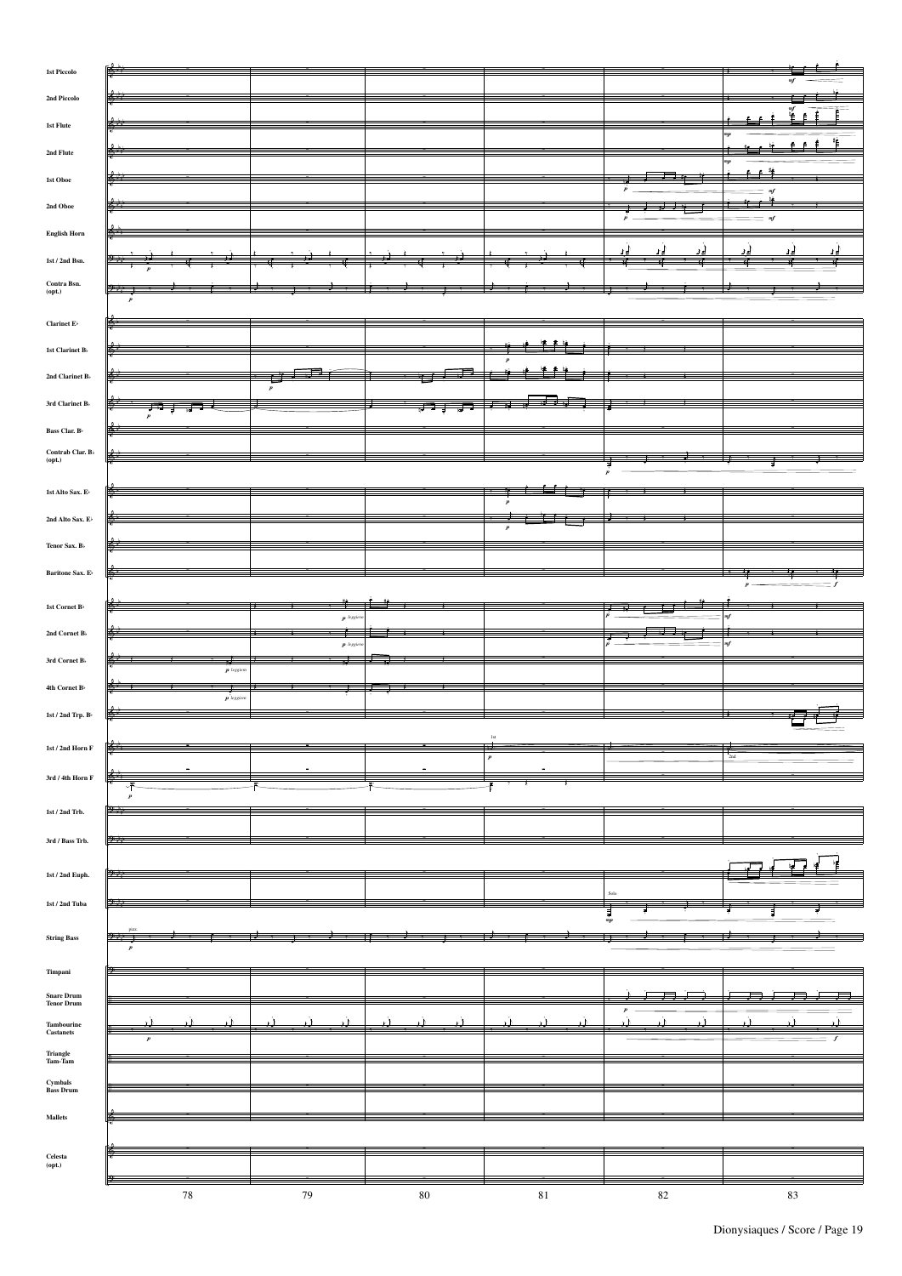| $1\mathrm{st}$ Piccolo                                                                                       | 【命》                                        |                                   |    |                                             |                       | ∍       |
|--------------------------------------------------------------------------------------------------------------|--------------------------------------------|-----------------------------------|----|---------------------------------------------|-----------------------|---------|
| $2\mathrm{nd}$ Piccolo                                                                                       | 63                                         |                                   |    |                                             |                       | mf      |
|                                                                                                              | $ \mathcal{E} $                            |                                   |    |                                             |                       | ۴<br>١e |
| 1st Flute                                                                                                    |                                            |                                   |    |                                             |                       |         |
| 2nd Flute                                                                                                    | 长                                          |                                   |    |                                             |                       | mp      |
| 1st Oboe                                                                                                     | 6                                          |                                   |    |                                             | $\boldsymbol{p}$      |         |
| 2nd Oboe                                                                                                     | 6                                          |                                   |    |                                             |                       | mf      |
| <b>English Horn</b>                                                                                          | 长                                          |                                   |    |                                             |                       |         |
| $1st$ / $2nd$ Bsn. $\,$                                                                                      | $\mathbb{P}$                               |                                   | ₩  |                                             | r.                    | x,      |
| Contra Bsn.<br>(opt.)                                                                                        | プー                                         |                                   |    |                                             |                       |         |
|                                                                                                              |                                            |                                   |    |                                             |                       |         |
| Clarinet $\mathbf{E}\flat$                                                                                   | 险                                          |                                   |    |                                             |                       |         |
| 1st Clarinet $\mathbf{B}\flat$                                                                               | $\blacklozenge$                            |                                   |    | $\cdot$<br>$\boldsymbol{p}$                 |                       |         |
| 2nd Clarinet $\mathbf{B}\flat$                                                                               | 奋                                          | $\rightarrow$<br>$\boldsymbol{p}$ |    |                                             |                       |         |
| 3rd Clarinet B                                                                                               | 6                                          |                                   | bz |                                             |                       |         |
| Bass Clar. B                                                                                                 |                                            |                                   |    |                                             |                       |         |
| $\begin{array}{l} \textbf{Control } \textbf{Char.} \text{ } \textbf{B} \flat \\ \textbf{(opt.)} \end{array}$ | ⊯                                          |                                   |    |                                             |                       |         |
|                                                                                                              |                                            |                                   |    |                                             |                       |         |
| 1st Alto Sax. E                                                                                              | 险                                          |                                   |    | $\sim$ 10 $\sim$<br>tė.<br>$\boldsymbol{p}$ |                       |         |
| 2nd Alto Sax. $\rm E\flat$                                                                                   | T6,                                        |                                   |    | $\ddot{\phantom{1}}$<br>$\pmb{p}$           |                       |         |
| Tenor Sax. $\rm B\flat$                                                                                      | ѩ                                          |                                   |    |                                             |                       |         |
|                                                                                                              | $\blacktriangle$                           |                                   |    |                                             |                       |         |
| 1st Cornet $\mathbf{B}\flat$                                                                                 | 蒢                                          |                                   |    |                                             |                       |         |
| $2{\rm nd}$ Cornet ${\rm B}\flat$                                                                            | $\blacklozenge$                            | $\boldsymbol{p}$ leggiero         |    |                                             |                       | mf      |
|                                                                                                              |                                            | $\boldsymbol{p}$ leggiero         |    |                                             |                       | m f     |
| $3 \text{rd}$ Cornet $\text{B}\flat$                                                                         | $\leftarrow$<br>$\boldsymbol{p}$ leggiero  |                                   |    |                                             |                       |         |
| $4\text{th}$ Cornet $\text{B}\flat$                                                                          | $\blacklozenge$<br>$\overline{p}$ leggiero |                                   |    |                                             |                       |         |
| $1\mathrm{st}$ / $2\mathrm{nd}$ Trp. $\mathrm{B}\flat$                                                       | $\epsilon$                                 |                                   |    |                                             |                       | ⇉       |
| $1\mathrm{st}$ / $2\mathrm{nd}$ Horn F                                                                       | 险                                          |                                   |    | $1\,\mathrm{st}$<br>$\pm$                   |                       | Ð.      |
| $3\mathrm{rd}\,/\,4\mathrm{th}$ Horn F                                                                       | ☞                                          |                                   |    | $\boldsymbol{p}$                            |                       | 2nd     |
|                                                                                                              | $\boldsymbol{v}$                           |                                   |    |                                             |                       |         |
| $1\mathrm{st}$ / $2\mathrm{nd}$ Trb.                                                                         | 「ジャー                                       |                                   |    |                                             |                       |         |
| $3\mathrm{rd}$ / Bass Trb.                                                                                   | $\mathcal{F}$                              |                                   |    |                                             |                       |         |
| $1\mathrm{st}$ / $2\mathrm{nd}$ Euph.                                                                        | $\mathbb{P}$ , $\mathbb{P}$                |                                   |    |                                             |                       |         |
|                                                                                                              |                                            |                                   |    |                                             | $\operatorname{Solo}$ |         |
| $1st$ / $2nd$ ${\bf Tuba}$                                                                                   | $\mathcal{P}$                              |                                   |    |                                             | mp                    |         |
| $\mbox{String Bass}$                                                                                         | pizz.<br>$\mathcal{F}_{\mathcal{H}}$       |                                   |    |                                             |                       |         |

![](_page_18_Figure_1.jpeg)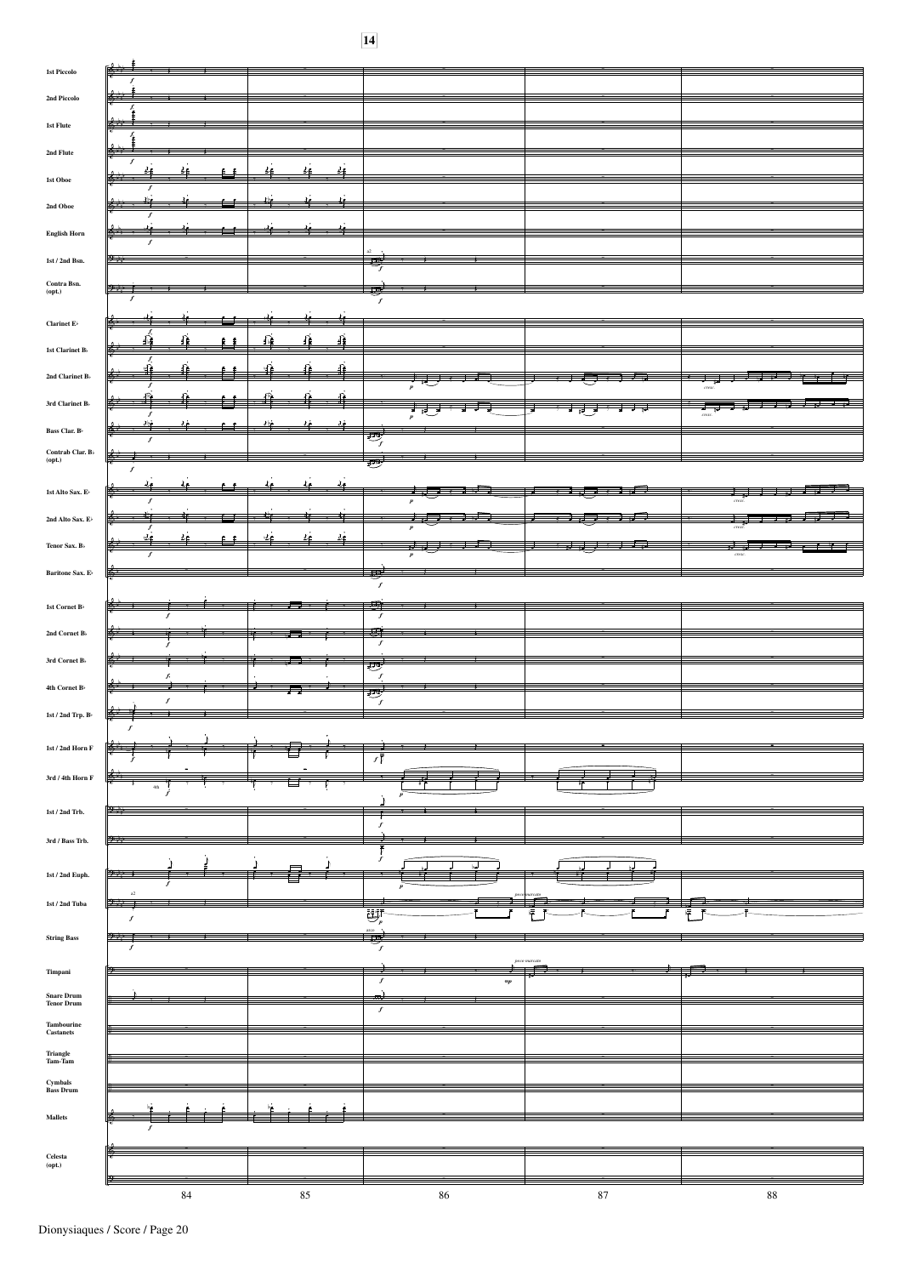.

 $\stackrel{\leftrightarrow}{\circ}$  $\textcircled{k}\rightarrow\textcircled{k}\longrightarrow\textcircled{k}$  $\textcolor{red}{\textcolor{black}{\textcolor{black}{k}}}$ & & &  $\overline{\bullet^+}$ ?  $\mathcal{P} \mapsto \mathcal{P} \longrightarrow \mathcal{P}$  $\overline{\bullet}$ & & & & & & & & & & & & &  $\textcolor{red}{\textcolor{black}{\textcolor{black}{k}}}$  $\frac{2}{9}$ & ? ? 9; p 1  $\mathcal{F}^{\flat\flat}$  )  $r$  , b b b b b b b b b b b b b b b b b b b b b b b b b b b b b b b b b b b b b b b b b b b b b b b b b b b b b b b **1st Piccolo 2nd Piccolo 1st Flute 2nd Flute 1st Oboe 2nd Oboe English Horn 1st / 2nd Bsn. Contra Bsn. (opt.) Clarinet E**b **1st Clarinet B**b **2nd Clarinet B**b **3rd Clarinet B**b **Bass Clar. B**b **Contrab Clar. B**b **(opt.) 1st Alto Sax. E**b **2nd Alto Sax. E**b **Tenor Sax. B**b **Baritone Sax. E**b **1st Cornet B**b **2nd Cornet B**b **3rd Cornet B**b **4th Cornet B**b **1st / 2nd Trp. B**b **1st / 2nd Horn F 3rd / 4th Horn F 1st / 2nd Trb. 3rd / Bass Trb. 1st / 2nd Euph. 1st / 2nd Tuba String Bass** J œ  $\cdot$   $\cdot$   $\cdot$   $\cdot$ œ . J œ .  $\overline{r}$  and  $\overline{r}$ J œ .  $\mathbf{r}$  and  $\mathbf{r}$ ‰ .<br>د ´ ‰ j œ J œ ´ ‰ œ œ ‰ j œ J œb ´ ‰ j œ J œ ´ ‰ œ œ ‰ j œn J œ ´ ‰ j œ J œ ´ ‰ œ œ ∑ . ‰ j œ# J œ ´ ‰ j œ J œ ´ ‰ œ œ ‰ j œ œ J œ œb ´ ‰ j œ œ J œ œ ´ ‰ œ œ œ œ ‰ j œ œ n œ œ J ´ ‰  $\frac{\Omega}{\Gamma}$ œ œ ´ ‰ œ œ œ œ ‰ j<br>J œ œ b ´ ‰ j œ œ J œ œ ´ ‰ œ œ œ œ ‰ j œ J œb ´ ‰ j œ J œ ´ ‰ œ œ j œ .  $\cdot$   $\cdot$   $\cdot$   $\cdot$ ‰ j œ J œ ´ ‰ j œ J œ ´ ‰ œ œ ‰ j œ J œb ´ ‰ j œ J œ ´ ‰  $\overline{\phantom{a}}$ ‰ ضي<br>ك ´ ‰ j œ J œ ´ ‰ œ œ ∑ Œ J œ ´ ‰ J œ ´ ‰ Œ J œn ´ ‰ J œn ´ ‰ Œ J œn ´ ‰ J œn ´ ‰ Œ j œ ´ ‰ P è ´ ‰ j œ# .  $\overline{r}$  and  $\overline{r}$ J  $\frac{1}{\sqrt{2}}$  $\rightarrow$ j œ ´ ‰ h œ ´ ‰ J J œn P œn ∑ Œ J œn ÿ  $\,$ œn ÿ ‰ ∑ ∑  $\overline{a}$ œ ´ ‰ h œ ´  $\frac{1}{2}$  ,  $\frac{1}{2}$  , J œ ‰ J œ .  $\mathbf{r}$   $\mathbf{r}$   $\mathbf{r}$  $\cdots$ f f f f f f f f f f f f f f f f f f f f f f f f  $\boldsymbol{J}$ f a2 f 4th ∑ ∑ ∑ ∑ ‰ .<br>ك ´ ‰ j œ J œ ´ ‰ .<br>د ´ ‰ j œ J œb ´ ‰ j œ J œ ´ ‰ j œ J œ ´ ‰ j œn J œ ´ ‰ j œ J œ ´ ‰ j œ J œ ´ ∑ ∑ ‰ ł œ# J œ ´ ‰ j œ J œ ´ ‰ j œ J œ ´ ‰  $\mathbb{R}$ œ œb ´ ‰ j œ œ J è ´ ‰ j œ œ J è ´ ‰  $\frac{1}{2}$ œ œ ´ ‰ j œ œ œ œ J ´ ‰  $\frac{\Omega}{\Gamma}$ œ œ ´ ‰ j œ œn J œ œ b ´ ‰ j œ œ J œ œ ´ ‰ j œ œ J œ œ ´ ‰ j œ J œb ´ ‰ j œ J œ ´ ‰ j œ J œ ´ ∑ ‰ j œ J œ ´ ‰ j œ J œ ´ ‰ j œ J œ ´ ‰ j œ J œb ´ ‰ j œ J œ ´ ‰ j œ J œ ´ ‰ j œn J œ ´ ‰ j œ J œ ´ ‰ j œ J œ ´ ∑ J œ ´ ‰  $\overline{\phantom{a}}$ ‰ J œ ´ ‰ J œn ´ ‰ œn œ ‰ J œ ´ ‰ J œn ´ ‰ P. ‰ J œ ´ ‰ j œ ´ ‰ œ œ ‰ j œ ´ ‰ ∑  $\overline{A}$ œ ´  $\frac{1}{2}$   $\frac{1}{2}$   $\frac{1}{2}$   $\frac{1}{2}$   $\frac{1}{2}$ j œ ´ ‰ J J ē ∑ J œn ÿ ‰  $\overline{\cdot}$   $\overline{\cdot}$ ‰ J œ ÿ ‰ ∑ ∑ j œ ´ ‰  $\overline{\phantom{a}}$ ‰  $\overline{a}$ œ ´ ‰ J œ  $\colon$  ∶ J œ ∑ ∑ ∑ ∑ ∑ ∑ ∑ ∑ ∑ ر<br>م<del>ربع</del> ´  $\mathbb{R}$   $\longrightarrow$ ن<br>فر<del>س</del> ´  $\mathcal{F}$   $\longrightarrow$ ∑ ∑ ‰. r  $\overline{\bm{k}}$ ≈ ३ ─ ३ ─ ३ ‰.  $\frac{1}{p}$  is  $\overline{C}$ ≈ œ œ œ. œ œn œ# j œ ´  $%$   $\frac{1}{2}$   $\frac{1}{2}$   $\frac{1}{2}$   $\frac{1}{2}$   $\frac{1}{2}$   $\frac{1}{2}$   $\frac{1}{2}$   $\frac{1}{2}$   $\frac{1}{2}$   $\frac{1}{2}$   $\frac{1}{2}$   $\frac{1}{2}$   $\frac{1}{2}$   $\frac{1}{2}$   $\frac{1}{2}$   $\frac{1}{2}$   $\frac{1}{2}$   $\frac{1}{2}$   $\frac{1}{2}$   $\frac{1}{2}$   $\frac{1}{2}$   $\frac{1}{2$ œ œn œ# j œ ´  $%$   $\frac{1}{2}$   $\frac{1}{2}$   $\frac{1}{2}$   $\frac{1}{2}$   $\frac{1}{2}$   $\frac{1}{2}$   $\frac{1}{2}$   $\frac{1}{2}$   $\frac{1}{2}$   $\frac{1}{2}$   $\frac{1}{2}$   $\frac{1}{2}$   $\frac{1}{2}$   $\frac{1}{2}$   $\frac{1}{2}$   $\frac{1}{2}$   $\frac{1}{2}$   $\frac{1}{2}$   $\frac{1}{2}$   $\frac{1}{2}$   $\frac{1}{2}$   $\frac{1}{2$ ‰.  $\mathcal{F}$ ≈ œ œb œ. ‰.  $\mathcal{E}$ ≈ œ œb œ. ‰. "♪ "<del>\_\_\_\_\_\_\_\_</del>\_\_\_\_ .<br>م<del>ربي</del> ´  $\mathbb{R}$   $\longrightarrow$ œ œn œ# J œ ´  $\mathbb{R}$   $\mathbb{R}$   $\mathbb{R}$   $\mathbb{R}$ œ œn œ# J œ ´  $%$   $\frac{1}{2}$   $\frac{1}{2}$   $\frac{1}{2}$   $\frac{1}{2}$   $\frac{1}{2}$   $\frac{1}{2}$   $\frac{1}{2}$   $\frac{1}{2}$   $\frac{1}{2}$   $\frac{1}{2}$   $\frac{1}{2}$   $\frac{1}{2}$   $\frac{1}{2}$   $\frac{1}{2}$   $\frac{1}{2}$   $\frac{1}{2}$   $\frac{1}{2}$   $\frac{1}{2}$   $\frac{1}{2}$   $\frac{1}{2}$   $\frac{1}{2}$   $\frac{1}{2$ œ œn œ# j œ ´  $\mathcal{F}$   $\mathcal{F}$ —<br>⊕ ´  $\mathcal{F}$   $\longrightarrow$ ∑ j œ ´  $\overline{r}$   $\overline{r}$   $\overline{r}$  $\overline{\bar{\bar{\mathfrak p}}}$  $\begin{array}{ccc} \frac{1}{\sqrt{2}} & \frac{1}{\sqrt{2}} & \frac{1}{\sqrt{2}} & \frac{1}{\sqrt{2}} & \frac{1}{\sqrt{2}} & \frac{1}{\sqrt{2}} & \frac{1}{\sqrt{2}} & \frac{1}{\sqrt{2}} & \frac{1}{\sqrt{2}} & \frac{1}{\sqrt{2}} & \frac{1}{\sqrt{2}} & \frac{1}{\sqrt{2}} & \frac{1}{\sqrt{2}} & \frac{1}{\sqrt{2}} & \frac{1}{\sqrt{2}} & \frac{1}{\sqrt{2}} & \frac{1}{\sqrt{2}} & \frac{1}{\sqrt{2}} & \frac{1}{\sqrt{2}} & \frac{1$  $\frac{1}{2}$   $\frac{1}{2}$   $\frac{1}{2}$   $\frac{1}{2}$   $\frac{1}{2}$   $\frac{1}{2}$ <mark>∉ ⊯ ∉ ∉ ∉</mark> h œ ´  $\overline{r}$   $\overline{r}$   $\overline{r}$ J <sup>œ</sup> Œ j œ ´  $\mathbb{R}$   $\longrightarrow$ J œ Œ ‰ <u>d bd e bd e</u> œn œ# œ œ œ ˙ œ œ <sup>œ</sup> œn œn ˙ œ ≈ œ arco<br>Japan ´  $\mathbb{R}$   $\longrightarrow$ f f  $\boldsymbol{f}$ f f p p p f p f f f f p p *poco marcato* f a2 p ∑ ∑ ∑ ∑ ∑ ∑ ∑ ∑ ∑ ∑ ∑ œ ≈ म्हा, ≈ œ œ œn . œ ≈ ₹≢छ ≈ ३ म् ∑ ∑ œ ≈ œ œ# œ ≈ œ œ# œ. œ ≈ œ œ# œ , ∃ ॄ, ¯ ृ. œ ≈ œ# œ# œ ₹ . . . . ∑ ∑ ∑ ∑ ∑ ∑ ∑ ‰  $\cdot$   $\cdot$   $\cdot$   $\cdot$   $\cdot$ <u>e e de la compa</u> <mark>≠ ∉ ≠ ≠</mark> ∑ ∑ ‰ œ œn œ œn œ <del>w</del>e et de la comme de la comme de la comme de la comme de la comme de la comme de la comme de la comme de la œb  $\sim$   $\rightarrow$   $\rightarrow$   $\rightarrow$   $\rightarrow$   $\rightarrow$ œb œ. œ œ ≈ œ ∑ ∑ ∑ ∑ ∑ ∑ ∑ ∑ ∑ ∑ ∑ ∑ ≈  $\overline{\phantom{a}}$ . .  $\overline{\cdot}$ œb œb œ œn ≈  $\overline{J}_{\scriptscriptstyle \text{B}}$ ∑ ∑ ‰. r <sup>œ</sup> œ# <sup>œ</sup> <sup>œ</sup> œ# <sup>œ</sup> œ# <sup>œ</sup> <sup>œ</sup>  $\mathcal{F}$  $\overline{\mathcal{L}}$ ‰. resc.<br>
eresc.<br>
eresc. ∑ ∑ ∑ ∑ ∑ ∑ ∑ ∑ ∑ ∑ ∑ œb œ. ˙ œb œ. ˙ ∑ *cresc. cresc. cresc. cresc.*

![](_page_19_Figure_3.jpeg)

**14**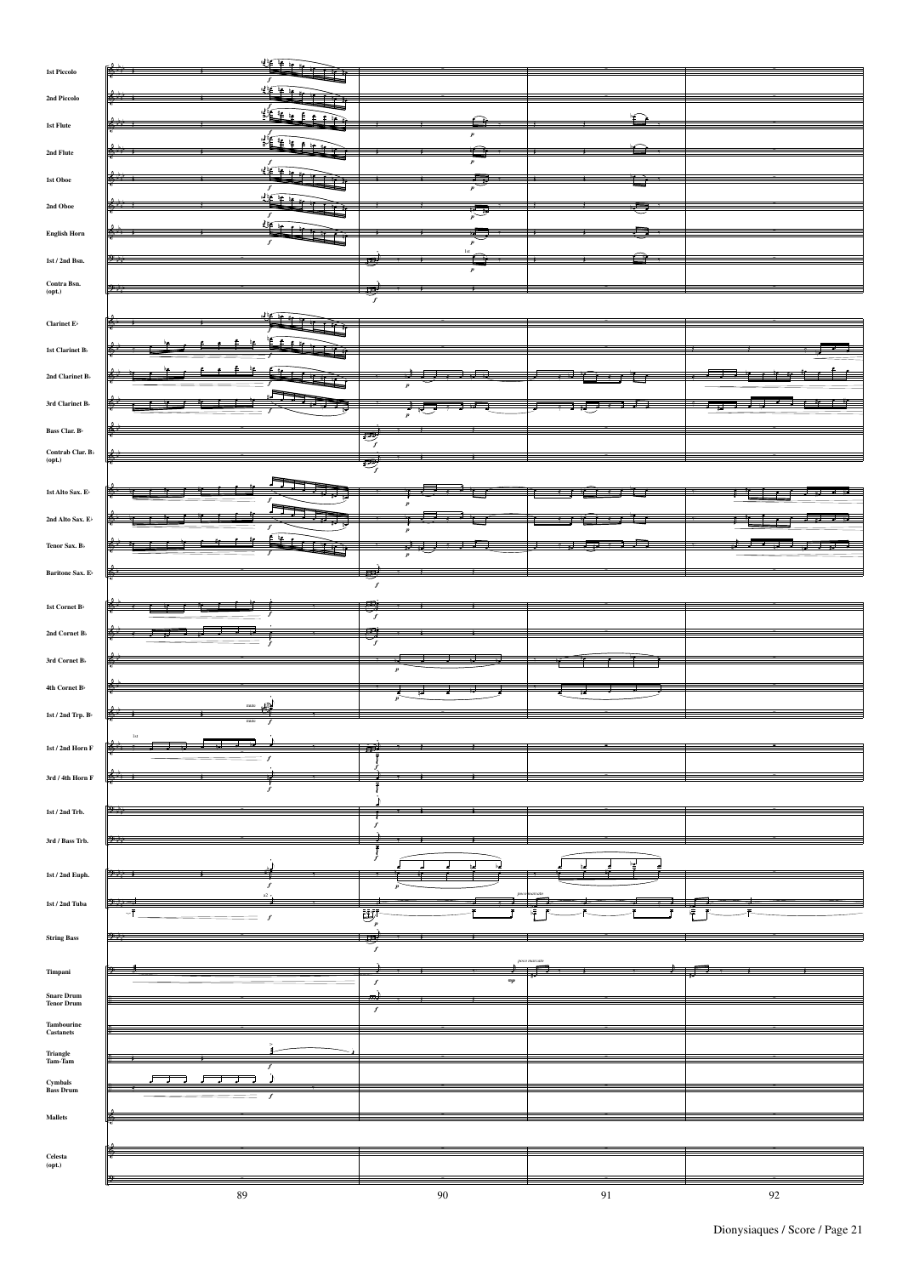|                                                                              | $\frac{1}{2}$                                          |                               |               |                  |
|------------------------------------------------------------------------------|--------------------------------------------------------|-------------------------------|---------------|------------------|
| <b>1st Piccolo</b>                                                           | $\mathbb{R}^n$ :<br>$\boldsymbol{f}$                   |                               |               |                  |
|                                                                              | 选中午午                                                   |                               |               |                  |
| 2nd Piccolo                                                                  | $\frac{1}{2}$                                          |                               |               |                  |
|                                                                              | 進生生<br>$\epsilon$<br>$\epsilon$                        |                               | ٠e            |                  |
| <b>1st Flute</b>                                                             | $\mathbb{K}^{\mathbb{N}}$ :                            |                               |               |                  |
|                                                                              | 逃生<br>١e<br>$E_{\perp}$                                | $\boldsymbol{p}$              |               |                  |
| 2nd Flute                                                                    | ÷<br>るり                                                |                               |               |                  |
|                                                                              | $\boldsymbol{f}$                                       | $\boldsymbol{p}$              |               |                  |
| 1st Oboe                                                                     | 选年<br>$\leftarrow$                                     |                               |               |                  |
|                                                                              | $\boldsymbol{f}$                                       | $\boldsymbol{p}$              |               |                  |
| 2nd Oboe                                                                     | 地平<br>$\frac{1}{6}$                                    |                               |               |                  |
|                                                                              |                                                        | ₹.                            |               |                  |
|                                                                              | ماستجانكه<br>$\frac{1}{6}$ $\frac{1}{2}$ $\frac{1}{2}$ |                               | ⊣             |                  |
| <b>English Horn</b>                                                          |                                                        |                               |               |                  |
|                                                                              |                                                        | 1st<br>$\sim$                 | $\rightarrow$ |                  |
| 1st / 2nd Bsn.                                                               | $\mathcal{F}_{\mathbb{Z}^p}$                           | $\boldsymbol{p}$              |               |                  |
|                                                                              |                                                        |                               |               |                  |
| Contra Bsn.<br>$\left( \text{opt.} \right)$                                  | $\mathcal{P}_{\text{sp}}$                              | 思                             |               |                  |
|                                                                              |                                                        | $\boldsymbol{f}$              |               |                  |
|                                                                              | ٩e                                                     |                               |               |                  |
| Clarinet $\rm E\ensuremath{\flat}$                                           | 6.                                                     |                               |               |                  |
|                                                                              |                                                        |                               |               |                  |
| 1st Clarinet B                                                               |                                                        |                               |               |                  |
|                                                                              |                                                        |                               |               |                  |
| 2nd Clarinet $\mathbf{B}\flat$                                               |                                                        | $\overline{\phantom{a}}$<br>∸ |               |                  |
|                                                                              |                                                        | $\boldsymbol{p}$              |               |                  |
| 3rd Clarinet B                                                               | ๘                                                      | 丰                             |               |                  |
|                                                                              |                                                        | $\boldsymbol{v}$              |               |                  |
| Bass Clar. B                                                                 | 4                                                      |                               |               |                  |
|                                                                              |                                                        | 國<br>$\boldsymbol{f}$         |               |                  |
| $\begin{array}{l} \mbox{Control Car. B}\rangle \\ \mbox{(opt.)} \end{array}$ | Ѩ                                                      |                               |               |                  |
|                                                                              |                                                        | 瓔                             |               |                  |
|                                                                              |                                                        |                               |               |                  |
| 1st Alto Sax. E                                                              | $\leftarrow$                                           | $\cdot$                       |               | $\sim$ $\approx$ |
|                                                                              |                                                        |                               |               |                  |
| 2nd Alto Sax. E                                                              |                                                        |                               |               | ⊣≠               |
|                                                                              | $\boldsymbol{f}$                                       | $\boldsymbol{p}$              |               |                  |
| Tenor Sax. $\rm B\ensuremath{\flat}$                                         | - 64                                                   |                               |               |                  |
|                                                                              |                                                        |                               |               |                  |
|                                                                              | $\left( $                                              |                               |               |                  |
|                                                                              |                                                        | $\boldsymbol{f}$              |               |                  |
|                                                                              |                                                        |                               |               |                  |
| 1st Cornet $\mathbf{B}\flat$                                                 | ⊯                                                      | 显                             |               |                  |
|                                                                              |                                                        | $\boldsymbol{f}$              |               |                  |
| 2nd Cornet $\mathbf{B}\flat$                                                 |                                                        | مس                            |               |                  |
|                                                                              |                                                        | $\boldsymbol{f}$              |               |                  |
| $3 \text{rd}$ Cornet $\text{B}\flat$                                         | $\blacktriangle$                                       |                               |               |                  |
|                                                                              |                                                        | $\boldsymbol{p}$              |               |                  |
| $4\text{th}$ Cornet $\text{B}\flat$                                          |                                                        |                               |               |                  |
|                                                                              |                                                        | φ                             |               |                  |
|                                                                              | $_{\rm mult}$                                          |                               |               |                  |
| $1\mathrm{st}$ / $2\mathrm{nd}$ Trp. $\mathrm{B}\flat$                       | 杰<br>$_{\rm mute}$<br>f                                |                               |               |                  |
|                                                                              | $1\,\mathrm{st}$                                       |                               |               |                  |
| $1\mathrm{st}$ / $2\mathrm{nd}$ Horn F                                       | [秦光二》                                                  |                               |               |                  |
|                                                                              |                                                        |                               |               |                  |
|                                                                              |                                                        |                               |               |                  |
| $3\mathrm{rd}\,/\,4\mathrm{th}$ Horn F                                       | 6                                                      |                               |               |                  |
|                                                                              |                                                        |                               |               |                  |
| $1\mathrm{st}$ / $2\mathrm{nd}$ Trb.                                         | $\mathcal{F}_{\mathbb{Z}^p}$                           |                               |               |                  |
|                                                                              |                                                        |                               |               |                  |
|                                                                              |                                                        |                               |               |                  |
| $3\mathrm{rd}$ / Bass Trb.                                                   | $\mathbb{P}$ if                                        |                               |               |                  |
|                                                                              |                                                        |                               | Ь,            |                  |
| $1\mathrm{st}$ / $2\mathrm{nd}$ Euph.                                        | $\rightarrow$ $\rightarrow$                            |                               |               |                  |
|                                                                              |                                                        |                               |               |                  |
|                                                                              | a2                                                     |                               |               |                  |
| $1st$ / $2nd$ ${\bf Tuba}$                                                   | フォー                                                    |                               |               |                  |
|                                                                              | ₫.                                                     | 要                             |               |                  |
| <b>String Bass</b>                                                           | $\mathcal{F}$ , $\mathcal{F}$                          | <b>1994</b>                   |               |                  |
|                                                                              |                                                        |                               |               |                  |

![](_page_20_Figure_1.jpeg)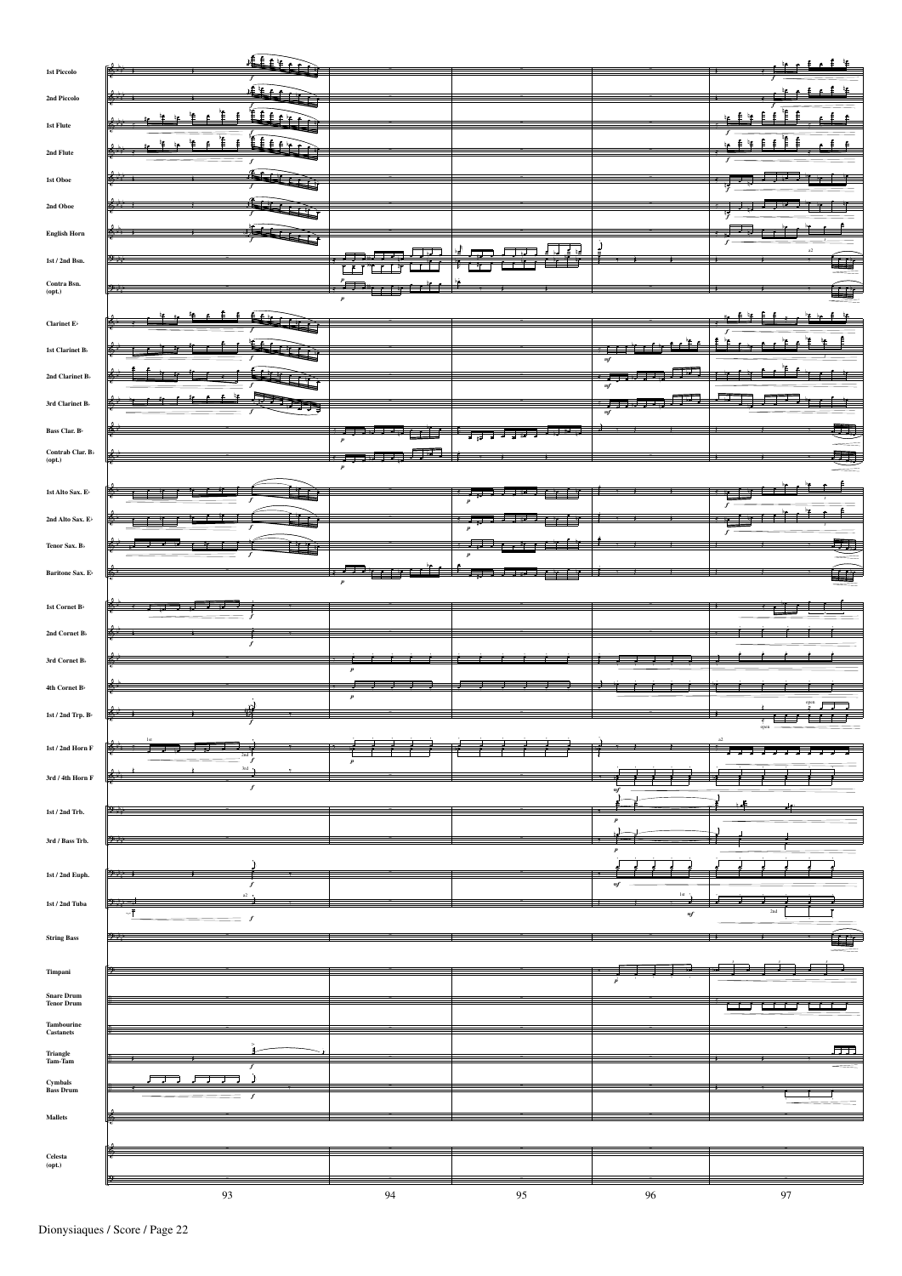| <b>1st Piccolo</b>                                                                                   | 难<br>62                       |                  |                                  |                  |                                     |
|------------------------------------------------------------------------------------------------------|-------------------------------|------------------|----------------------------------|------------------|-------------------------------------|
|                                                                                                      | Ê le                          |                  |                                  |                  |                                     |
| 2nd Piccolo                                                                                          | 大学                            |                  |                                  |                  |                                     |
| <b>1st Flute</b>                                                                                     | €.                            |                  |                                  |                  |                                     |
| $2\mathrm{nd}$ Flute                                                                                 |                               |                  |                                  |                  |                                     |
| 1st Oboe                                                                                             | 67                            |                  |                                  |                  | V                                   |
| 2nd Oboe                                                                                             | డ≭                            |                  |                                  |                  | ए                                   |
| <b>English Horn</b>                                                                                  | $6^{\circ}$                   |                  |                                  |                  | $\overline{\phantom{a}}$<br>$\cdot$ |
| $1st$ / $2nd$ Bsn. $\,$                                                                              | ファ                            |                  | 로피                               |                  | $^{\rm a2}$                         |
|                                                                                                      |                               |                  |                                  |                  |                                     |
| Contra Bsn.<br>(opt.)                                                                                | ジャ                            | $\boldsymbol{p}$ |                                  |                  | Œ                                   |
| Clarinet $\rm E\flat$                                                                                | $f$ is $f$                    |                  |                                  |                  |                                     |
| 1st Clarinet $\rm B\flat$                                                                            |                               |                  |                                  |                  |                                     |
| 2nd Clarinet $\rm B\bar{\nu}$                                                                        |                               |                  |                                  | $\it mf$         |                                     |
|                                                                                                      |                               |                  |                                  | $\it mf$         |                                     |
| $3\text{rd}$ Clarinet $\text{B}\flat$                                                                |                               |                  |                                  | $\it mf$         |                                     |
| Bass Clar. $\rm B\ensuremath{\flat}$                                                                 |                               | $\boldsymbol{p}$ | ⋣<br>ಕ≠                          |                  | マホ                                  |
| $\begin{array}{l} \textbf{Control } \textbf{Char.} \textbf{ B} \flat \\ \textbf{(opt.)} \end{array}$ |                               | $\ddot{\,}$      |                                  |                  | Œ                                   |
|                                                                                                      |                               |                  |                                  |                  |                                     |
| 2nd Alto Sax. E                                                                                      | $\boldsymbol{f}$              |                  | $\boldsymbol{p}$                 |                  |                                     |
|                                                                                                      | $\boldsymbol{f}$              |                  | ₩<br>$\boldsymbol{p}$            |                  |                                     |
| Tenor Sax. $\rm B\flat$                                                                              | بوسعه                         |                  | <del>.</del><br>$\boldsymbol{p}$ |                  | IJ,                                 |
|                                                                                                      |                               | $\pmb{p}$        |                                  |                  | í                                   |
| 1st Cornet $\mathbf{B}\flat$                                                                         | ⊯                             |                  |                                  |                  |                                     |
| $2{\rm nd}$ Cornet ${\rm B}\flat$                                                                    |                               |                  |                                  |                  |                                     |
| $3\text{rd}$ Cornet $\text{B}\flat$                                                                  |                               | ⊢                |                                  |                  |                                     |
|                                                                                                      |                               | $\pmb{p}$        |                                  |                  |                                     |
| $4\mbox{th}$ Cornet $\mbox{B}\flat$                                                                  |                               | $\boldsymbol{p}$ |                                  |                  | open                                |
| $1\mathrm{st}$ / $2\mathrm{nd}$ Trp. $\mathrm{B}\flat$                                               |                               |                  |                                  |                  | open                                |
| $1\mathrm{st}$ / $2\mathrm{nd}$ Horn F                                                               | 63<br>$2nd$                   |                  |                                  |                  | a2<br>÷                             |
| $3\mathrm{rd}$ / $4\mathrm{th}$ Horn F                                                               | $\boldsymbol{f}$<br>$3rd - 1$ | $\pmb{p}$        |                                  |                  |                                     |
|                                                                                                      | $\boldsymbol{f}$              |                  |                                  | $m$ f            |                                     |
| $1st$ / $2nd$ Trb. $\,$                                                                              | ファ                            |                  |                                  | $\boldsymbol{p}$ |                                     |
| $3\mathrm{rd}$ / Bass Trb.                                                                           | $\mathcal{F}$                 |                  |                                  | $\boldsymbol{p}$ |                                     |
|                                                                                                      | <b>D 井田</b>                   |                  |                                  |                  |                                     |
| $1\mathrm{st}$ / $2\mathrm{nd}$ Euph.                                                                | $^{\rm a2}$                   |                  |                                  | m f<br>$1st-$    |                                     |
| $1st$ / $2nd$ ${\bf Tuba}$                                                                           | $\mathcal{F}$<br>$=$ f        |                  |                                  | $\it mf$         | $2\mathrm{nd}$                      |
| $\mbox{String Bass}$                                                                                 | 艺弄                            |                  |                                  |                  | ĹĽ                                  |

![](_page_21_Figure_1.jpeg)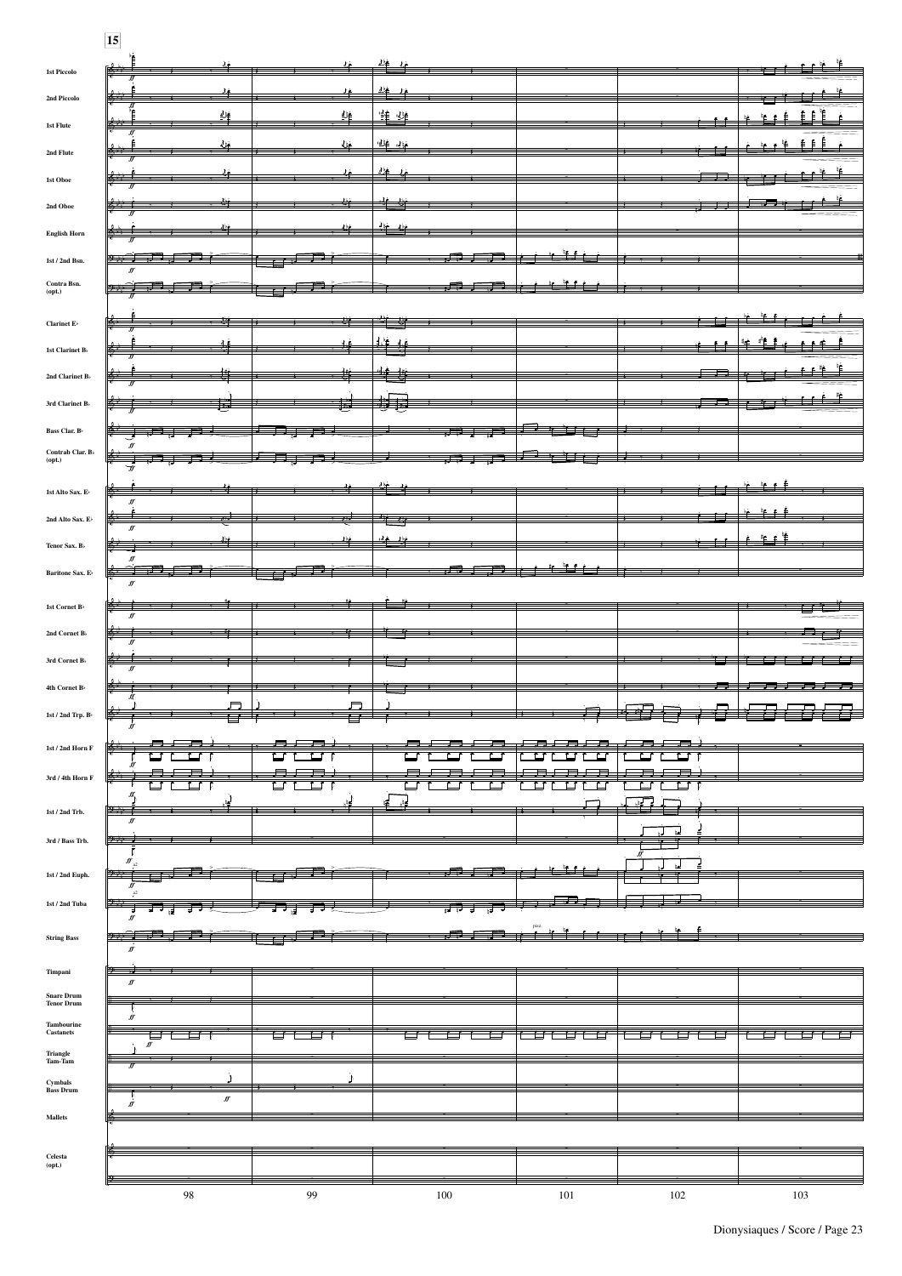| ×<br>۰. |  |
|---------|--|
|---------|--|

| <b>1st Piccolo</b>                                                                                           | 6.                                |                                                |                                        |            |                                                                      |                                                      |          |
|--------------------------------------------------------------------------------------------------------------|-----------------------------------|------------------------------------------------|----------------------------------------|------------|----------------------------------------------------------------------|------------------------------------------------------|----------|
|                                                                                                              |                                   |                                                | 些                                      |            |                                                                      |                                                      |          |
| 2nd Piccolo                                                                                                  | $\frac{2}{2}$                     | غِڭ                                            | 肇<br>準<br>唑库                           |            |                                                                      |                                                      | ŧ<br>₿   |
| $1st$ Flute $\,$                                                                                             | ≰≢                                |                                                |                                        |            |                                                                      |                                                      |          |
| 2nd Flute                                                                                                    | $\frac{2}{9}$                     | غوڭ                                            | <u>غوايي.</u><br>غوك<br>خالف           |            |                                                                      |                                                      | Ē<br>ما  |
| 1st Oboe                                                                                                     | $\frac{2}{6}$                     |                                                |                                        |            |                                                                      |                                                      |          |
| 2nd Oboe                                                                                                     | 不一                                |                                                |                                        |            |                                                                      |                                                      |          |
| <b>English Horn</b>                                                                                          | ਛ                                 |                                                |                                        |            |                                                                      |                                                      |          |
|                                                                                                              |                                   |                                                |                                        |            |                                                                      |                                                      |          |
| 1st / 2nd Bsn.                                                                                               | 习录<br>$f\hspace{-0.8mm}f$         |                                                |                                        |            |                                                                      |                                                      |          |
| Contra Bsn.<br>$\left( \text{opt.} \right)$                                                                  | フォー<br>f f                        | $\cdot$ $\cdot$                                |                                        |            |                                                                      |                                                      |          |
| Clarinet $\mathbf{E}\flat$                                                                                   | 南                                 |                                                |                                        |            |                                                                      |                                                      |          |
|                                                                                                              |                                   |                                                |                                        |            |                                                                      |                                                      | 押手<br>‡ė |
| 1st Clarinet $\rm B\ensuremath{\flat}$                                                                       | 6                                 |                                                |                                        |            |                                                                      |                                                      |          |
| 2nd Clarinet B                                                                                               | া                                 |                                                |                                        |            |                                                                      |                                                      |          |
| 3rd Clarinet B                                                                                               | 长                                 |                                                |                                        |            |                                                                      |                                                      |          |
| Bass Clar. $B\flat$                                                                                          | €                                 |                                                |                                        |            |                                                                      |                                                      |          |
| $\begin{array}{l} \textbf{Control } \textbf{Char.} \text{ } \textbf{B} \flat \\ \textbf{(opt.)} \end{array}$ | 桳                                 |                                                |                                        |            |                                                                      |                                                      |          |
|                                                                                                              | Í                                 |                                                |                                        |            |                                                                      |                                                      |          |
|                                                                                                              | 险<br>ff                           |                                                |                                        |            |                                                                      |                                                      |          |
| 2nd Alto Sax. E                                                                                              | ⊯<br>ff                           | $\rightarrow$                                  | -150                                   |            |                                                                      |                                                      | ۹e       |
| Tenor Sax. B                                                                                                 | ′∕के                              |                                                |                                        |            |                                                                      |                                                      | 脂<br>‡₽  |
|                                                                                                              | .f)<br>险                          |                                                |                                        |            |                                                                      |                                                      |          |
|                                                                                                              | $f\hspace{-0.8mm}f$               |                                                |                                        |            |                                                                      |                                                      |          |
| 1st Cornet $\rm B\flat$                                                                                      | 降<br>ff                           |                                                |                                        |            |                                                                      |                                                      | 样        |
| 2nd Cornet $\rm B\flat$                                                                                      | ⊯<br>f f                          |                                                |                                        |            |                                                                      |                                                      |          |
| $3 \text{rd}$ Cornet $\text{B}\flat$                                                                         | $\leftrightarrow$<br>$f\!f$       |                                                |                                        |            |                                                                      |                                                      |          |
| $4\rm{th}$ Cornet $\rm{B\ensuremath{\flat}}$                                                                 | $\blacklozenge$                   |                                                |                                        |            |                                                                      |                                                      |          |
| $1\mathrm{st}$ / $2\mathrm{nd}$ Trp. $\mathrm{B}\flat$                                                       | াক                                |                                                |                                        |            |                                                                      |                                                      |          |
|                                                                                                              |                                   |                                                |                                        |            |                                                                      |                                                      |          |
| $1\mathrm{st}$ / $2\mathrm{nd}$ Horn F                                                                       | 65<br>$\overline{\phantom{a}}$    | <u>л,</u><br>, , ,<br>$\overline{\phantom{a}}$ | $\overline{\phantom{a}}$               |            | ⇁<br>. <i>. .</i>                                                    |                                                      |          |
| $3 {\rm rd}$ / $4 {\rm th}$ Horn F                                                                           | K≑                                | <u>л (</u><br>.<br>⇁<br>ᆸ                      | $\overline{\phantom{a}}$<br>$\sqrt{2}$ |            | $\overline{\phantom{a}}$<br>$\overline{\phantom{a}}$<br>. <i>.</i> . | $\overline{\phantom{a}}$<br>$\overline{\phantom{a}}$ | ×        |
|                                                                                                              |                                   |                                                |                                        |            |                                                                      |                                                      |          |
| $1st$ / $2nd$ $\operatorname{Trb.}$                                                                          | ビ丼                                |                                                |                                        |            |                                                                      |                                                      |          |
| $3\mathrm{rd}$ / Bass Trb.                                                                                   | $\mathbb{P}^+$                    |                                                |                                        |            |                                                                      | IJ                                                   |          |
| $1st$ / $2nd$ Euph.                                                                                          | IJ<br>$\mathbb{P}$ , $\mathbb{P}$ |                                                |                                        |            |                                                                      | 브                                                    |          |
|                                                                                                              |                                   |                                                |                                        |            |                                                                      |                                                      |          |
| 1st / 2nd Tuba                                                                                               | ビー                                |                                                |                                        | ⊭≠∣ਵ<br>⊩≢ |                                                                      |                                                      |          |
| $\mbox{String Bass}$                                                                                         | 之一                                |                                                |                                        |            | pizz                                                                 |                                                      |          |

![](_page_22_Figure_2.jpeg)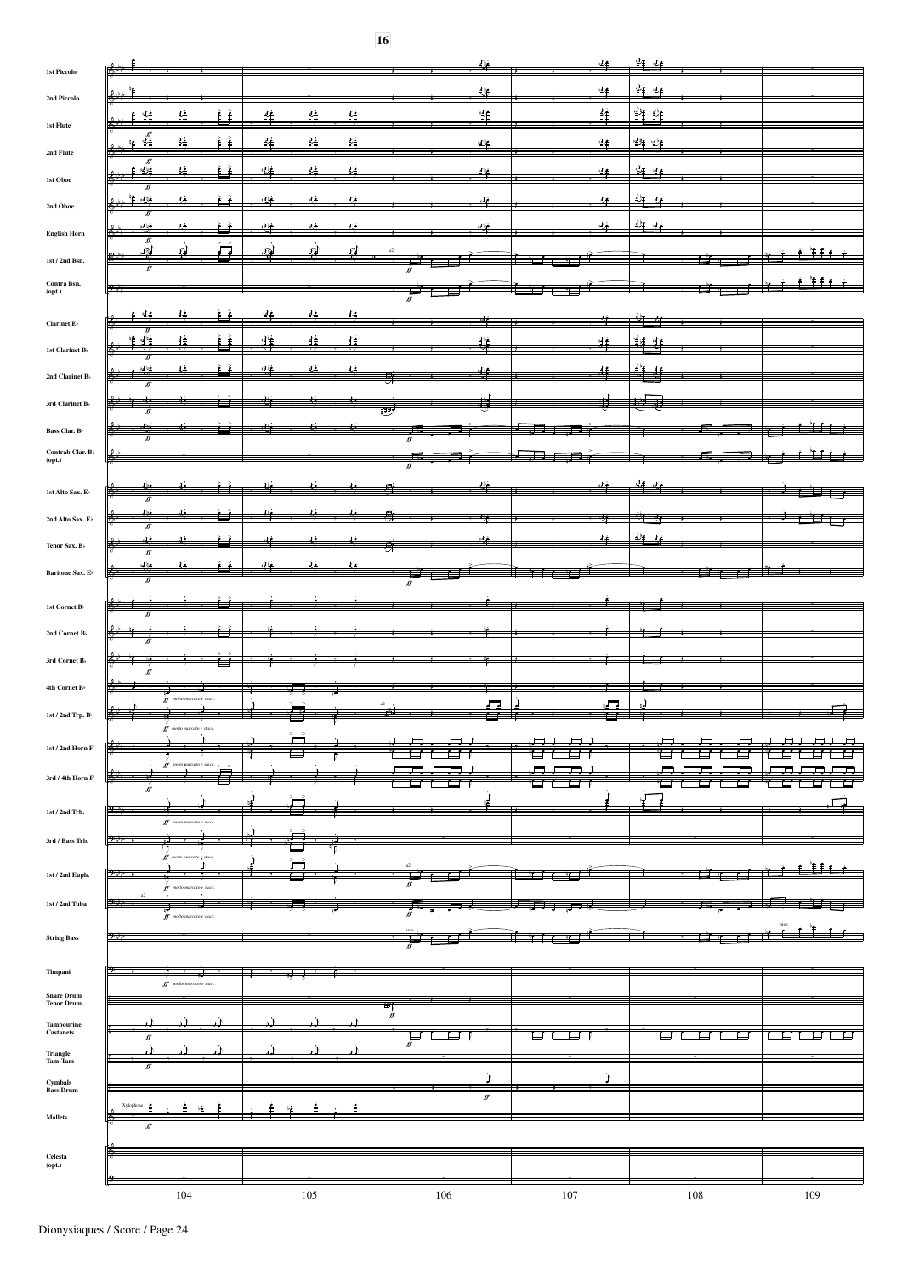| <b>1st Piccolo</b>                                     | 的                                                                                                                                                  |                     | 牮<br>$\frac{1}{2}$<br>峥     |                                                           |
|--------------------------------------------------------|----------------------------------------------------------------------------------------------------------------------------------------------------|---------------------|-----------------------------|-----------------------------------------------------------|
|                                                        | 6"                                                                                                                                                 | ╩                   | 埄<br>些<br>خمطا              |                                                           |
| 2nd Piccolo                                            | 坒<br>纤<br>纤<br>È<br>⊎4                                                                                                                             | 壁                   | 雙维<br>鏶                     |                                                           |
| 1st Flute                                              | 车<br>毕<br>绰<br>È                                                                                                                                   | غايي                | 準些<br>雏                     |                                                           |
| 2nd Flute                                              | غطلته<br>地                                                                                                                                         |                     | 毕<br>些                      |                                                           |
| 1st Oboe                                               | 长号                                                                                                                                                 | غك                  |                             |                                                           |
| 2nd Oboe                                               |                                                                                                                                                    |                     | 샥                           |                                                           |
| <b>English Horn</b>                                    | া≼ੈ<br>.ff                                                                                                                                         |                     | 纱                           |                                                           |
| 1st / 2nd Bsn.                                         | ьÑ,<br>$^{\rm a2}$<br>F.<br>A<br>$\mathbb{B}^n$<br>f f                                                                                             |                     |                             |                                                           |
| Contra Bsn.<br>$($ opt. $)$                            | $\mathbb{P}^+$                                                                                                                                     | f f<br><u>r 19</u>  |                             |                                                           |
|                                                        | 刍<br>44<br>:4                                                                                                                                      | f f                 |                             |                                                           |
| Clarinet E                                             | 6<br>ψ<br>驻宅<br>₽<br>₽                                                                                                                             | 進                   | 蚯<br>蟭<br>牡                 |                                                           |
| 1st Clarinet B                                         |                                                                                                                                                    |                     | 扑色                          |                                                           |
| 2nd Clarinet $\mathbf{B}\flat$                         |                                                                                                                                                    |                     | 과                           |                                                           |
| 3rd Clarinet B                                         | ऻॕ<br>夛                                                                                                                                            |                     |                             |                                                           |
| Bass Clar. B                                           | $f\hspace{-0.8mm}f$                                                                                                                                |                     |                             |                                                           |
| Contrab Clar. B<br>$($ opt. $)$                        | ౹ౚ                                                                                                                                                 | $f\hspace{-0.1cm}f$ |                             |                                                           |
| 1st Alto Sax. E                                        | ౹⋦                                                                                                                                                 | 学                   |                             | $\overline{\phantom{0}}$<br>≁<br>$\overline{\phantom{a}}$ |
| 2nd Alto Sax. E                                        | $\overline{\bullet}$                                                                                                                               |                     |                             |                                                           |
|                                                        | ⊯                                                                                                                                                  |                     |                             |                                                           |
| Tenor Sax. B                                           |                                                                                                                                                    |                     |                             |                                                           |
| Baritone Sax. $\rm E\hspace{-0.55ex}$                  | ff                                                                                                                                                 | $f\hspace{-0.1cm}f$ |                             |                                                           |
| 1st Cornet $\mathrm{B}\flat$                           | 【秦<br>ff                                                                                                                                           |                     |                             |                                                           |
| 2nd Cornet $\mathbf{B}\flat$                           | . .<br>ff                                                                                                                                          | ₹                   |                             |                                                           |
| $3\text{rd}$ Cornet $\text{B}\flat$                    | l notari<br>$\cdot$ $\cdot$                                                                                                                        |                     |                             |                                                           |
| $4\mbox{th}$ Cornet $\mbox{B}\flat$                    | $\rightarrow$<br>T.<br>×<br>$\boldsymbol{f} \boldsymbol{f}$ molto marcato e stacc.                                                                 | ⇉                   | ł                           |                                                           |
| $1\mathrm{st}$ / $2\mathrm{nd}$ Trp. $\mathrm{B}\flat$ | a2<br>⊫ਨ                                                                                                                                           |                     | ⊮⊐<br>$\bullet$             |                                                           |
| $1st$ / $2nd$ Horn ${\bf F}$                           | $ff$ molto marcato e stacc.<br>$\sqrt{2}$<br>→                                                                                                     | ▖▀▖▗                | ر ص<br>--                   | $\mathcal{F}_{\mathcal{L}}$<br>$\overline{\phantom{a}}$   |
|                                                        | $f\hspace{-0.1cm}f$ molto piarcato e stacc.                                                                                                        | <u>л</u><br>—<br>∸  | <u>一,</u><br><del>. .</del> | $\overline{u}$<br>$\overline{\phantom{a}}$<br>╶┹┵<br>. .  |
| $3 \mathrm{rd}$ / $4 \mathrm{th}$ Horn F               | $\frac{1}{2}$<br>$\rightarrow$<br>r 1<br>$f\hspace{-0.1cm}f$                                                                                       |                     |                             |                                                           |
| $1st$ / $2nd$ Trb. $\,$                                | $\mathcal{P} \rightarrow \mathcal{P}$<br>$\overline{\phantom{a}}$<br>$ff$ molto marcato e stacc.                                                   |                     |                             |                                                           |
| 3rd / Bass Trb.                                        | $\mathcal{F} \rightarrow \mathcal{F}$<br>≖<br>w                                                                                                    |                     |                             |                                                           |
| $1st$ / $2nd$ Euph.                                    | $ff$ molto marcato $\xi$ stacc.<br>$^{\rm a2}$<br>$\mathbb{P} \rightarrow \mathbb{R}$<br>$\overline{\phantom{a}}$<br>≖<br>$\overline{\phantom{a}}$ | ≁"                  |                             | ገግ                                                        |
|                                                        | $ff$ molto marcato e stacc.<br>a2                                                                                                                  | $f\hspace{-0.1cm}f$ |                             |                                                           |
| $1st$ / $2nd$ ${\bf Tuba}$                             | $\mathcal{F} \rightarrow \mathcal{F}$<br>$ff$ molto marcato e stacc.                                                                               | $\Box$<br>₹<br>∯    |                             | pizz                                                      |
| <b>String Bass</b>                                     | arcc<br>罗森                                                                                                                                         | تسا<br>$\bar{f}$    |                             |                                                           |

![](_page_23_Figure_2.jpeg)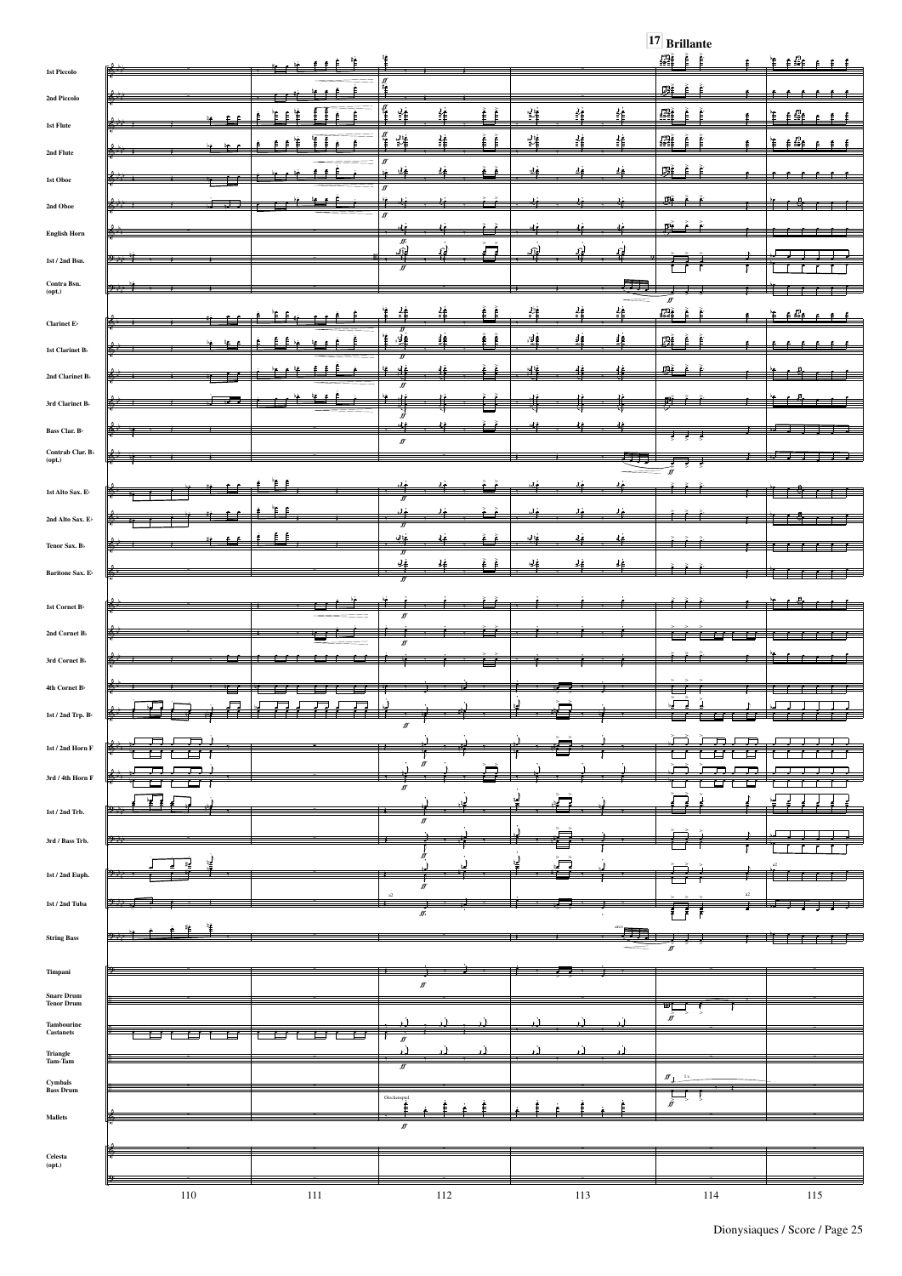|                                                                                      | 长                                        |                            | 管                                                                     |   |                                                       |              |   |                         | $\sum\limits_{i=1}^{\infty}$<br>壁<br>$\tilde{\mathbf{f}}$ | ₽                        | <u>ੀ ਉ</u><br>"≣         | Ē.                                                                            |
|--------------------------------------------------------------------------------------|------------------------------------------|----------------------------|-----------------------------------------------------------------------|---|-------------------------------------------------------|--------------|---|-------------------------|-----------------------------------------------------------|--------------------------|--------------------------|-------------------------------------------------------------------------------|
| $1st$ Piccolo $\,$                                                                   |                                          |                            | $\begin{array}{c} \mathbf{f} \\ \mathbf{f} \\ \mathbf{f} \end{array}$ |   |                                                       |              |   |                         | 毭<br>Ê                                                    |                          |                          |                                                                               |
| $2\mathrm{nd}$ Piccolo                                                               | 长安<br>₽                                  | €<br>€<br>Ė<br>₽<br>È<br>Έ | $\frac{df}{dt}$<br>螼                                                  | 辇 | $\sum_{i=1}^{\infty}$<br>$\sum_{i=1}^{\infty}$        | 準            | 賛 | $\frac{1}{\frac{1}{2}}$ | 壁<br>Ê<br>$\mathbf{f}$                                    | ۴.                       | ‡ੌ≩<br>"自                | $\epsilon$<br>E<br>. .                                                        |
| 1st Flute                                                                            | 大学                                       | ₽<br>ė                     | $\frac{df}{dx}$<br>犨                                                  | 辇 | $\sum_{i=1}^{\infty}$<br>$\check{\tilde{\mathbf{f}}}$ | 準            | 维 |                         | 壁<br>Ê<br>É                                               |                          |                          |                                                                               |
| $2\mathbf{nd}$ Flute                                                                 | 大学                                       |                            | $f\hspace{-0.1cm}f$                                                   |   |                                                       |              |   | 美                       |                                                           | ₽                        | ‡ੂ£<br>'≣                |                                                                               |
| $1\mathrm{st}$ Oboe                                                                  | 65                                       |                            | 峰<br>hè.<br>$f\hspace{-0.1cm}f$                                       | 华 | ř<br>é                                                | 些            | 舂 | 华                       | $\tilde{\tilde{E}}$<br>È<br>毭                             |                          |                          |                                                                               |
| 2nd Oboe                                                                             | $\mathbb{Z}$                             |                            |                                                                       |   |                                                       |              |   |                         | 乒                                                         |                          |                          |                                                                               |
| <b>English Horn</b>                                                                  | $6 -$                                    |                            | $f\hspace{-0.8mm}f$<br>$\Rightarrow$                                  |   |                                                       |              |   |                         | př                                                        |                          |                          |                                                                               |
| $1st$ / $2nd$ Bsn. $\,$                                                              | ファー                                      |                            |                                                                       | Ą | $\Rightarrow$                                         | <u> 1914</u> |   | ภ                       |                                                           |                          |                          |                                                                               |
|                                                                                      |                                          |                            | $f\hspace{-0.8mm}f$                                                   |   |                                                       |              |   |                         |                                                           |                          |                          |                                                                               |
| $\begin{array}{ll} \mbox{Contra Bsn.} \\ \mbox{(opt.)} \end{array}$                  | $\mathbb{P} \mathbb{P}$<br>$\rightarrow$ |                            |                                                                       |   |                                                       |              |   | ₹                       | f f                                                       |                          |                          |                                                                               |
| Clarinet $\rm E\ensuremath{\flat}$                                                   | ⊯                                        |                            | 鲑<br>惶<br>IJ                                                          | 肇 | Ě<br>È                                                | 维            | 纤 | 肇                       | 耍                                                         |                          | <u>f Er</u>              | Æ                                                                             |
| 1st Clarinet $\rm B\flat$                                                            | <u>اموا</u>                              |                            | È<br>進                                                                | 隼 | Ě<br>É                                                | 進            | 韭 | 隼                       | Ě<br>毭<br>£                                               |                          |                          |                                                                               |
| 2nd Clarinet $\rm B\flat$                                                            |                                          |                            | y.<br>he.                                                             |   |                                                       | ≖            |   | ≖                       | 唾                                                         |                          |                          |                                                                               |
|                                                                                      |                                          |                            | ff                                                                    |   |                                                       |              |   |                         |                                                           |                          |                          |                                                                               |
| $3\text{rd}$ Clarinet B                                                              | ਛ                                        |                            |                                                                       |   |                                                       |              |   |                         |                                                           |                          |                          |                                                                               |
| Bass Clar. B                                                                         | €                                        |                            | ≝<br>┭<br>$f\hspace{-0.8mm}f$                                         |   |                                                       |              |   |                         | ₹<br>₹<br>र्के                                            |                          | $\overline{\phantom{a}}$ | $\overline{\phantom{a}}$                                                      |
| $\begin{array}{ll} \mbox{Contrab } \mbox{Char.~B}\flat \\ \mbox{(opt.)} \end{array}$ | 倖                                        |                            |                                                                       |   |                                                       |              |   |                         | ff                                                        |                          |                          |                                                                               |
|                                                                                      | ⊯                                        | 乍                          |                                                                       |   |                                                       |              |   |                         |                                                           |                          |                          | $\frac{1}{2}$ , $\frac{1}{2}$ , $\frac{1}{2}$ , $\frac{1}{2}$ , $\frac{1}{2}$ |
| 2nd Alto Sax. $\rm E\flat$                                                           | 停                                        | 乍                          | $\ddot{\phantom{1}}$                                                  |   |                                                       |              |   |                         |                                                           |                          | イヤー                      |                                                                               |
|                                                                                      |                                          |                            | $\overline{f}$<br>فالحو                                               |   |                                                       | فالحد        |   |                         |                                                           |                          |                          |                                                                               |
| Tenor Sax. $\rm B\flat$                                                              |                                          |                            | 峰                                                                     | 丝 |                                                       | 峰            | 乒 | ₹€                      |                                                           |                          |                          |                                                                               |
| Baritone Sax. $\mathbf{E}\flat$                                                      |                                          |                            |                                                                       |   |                                                       |              |   |                         |                                                           |                          |                          |                                                                               |
| 1st Cornet $\mathrm{B}\flat$                                                         |                                          |                            | $f\hspace{-0.8mm}f$                                                   |   |                                                       |              |   |                         |                                                           |                          |                          |                                                                               |
| 2nd Cornet $\rm B\ensuremath{\flat}$                                                 |                                          |                            |                                                                       |   |                                                       |              |   |                         |                                                           |                          |                          |                                                                               |
| $3\mathrm{rd}$ Cornet $\mathrm{B}\flat$                                              |                                          |                            | $f\hspace{-0.8mm}f$                                                   |   |                                                       |              |   |                         |                                                           |                          |                          |                                                                               |
| $4\mbox{th}$ Cornet $\mbox{B}\flat$                                                  |                                          |                            |                                                                       |   |                                                       |              |   |                         |                                                           |                          |                          |                                                                               |
|                                                                                      |                                          |                            |                                                                       |   |                                                       |              |   |                         |                                                           |                          |                          |                                                                               |
| 1st / 2nd Trp. $\rm B\ensuremath{\flat}$                                             |                                          |                            | $f\hspace{-0.8mm}f$                                                   |   |                                                       |              |   |                         |                                                           |                          |                          |                                                                               |
| $1\mathrm{st}$ / $2\mathrm{nd}$ Horn F                                               | K                                        |                            |                                                                       |   |                                                       |              |   |                         |                                                           |                          |                          |                                                                               |
| $3 \mathrm{rd}$ / $4 \mathrm{th}$ Horn F                                             | Ѩ                                        |                            |                                                                       |   |                                                       |              |   |                         |                                                           | $\overline{\phantom{a}}$ |                          |                                                                               |
|                                                                                      |                                          |                            | $f\hspace{-0.1cm}f$                                                   |   |                                                       |              |   |                         |                                                           |                          |                          |                                                                               |
| $1st$ / $2nd$ $\operatorname{Trb.}$                                                  |                                          |                            | ff                                                                    |   |                                                       |              |   |                         |                                                           |                          |                          |                                                                               |
| $3\mathrm{rd}$ / Bass Trb.                                                           | $\mathbb{P}$ $\mathbb{P}$                |                            |                                                                       |   |                                                       |              |   |                         |                                                           |                          |                          |                                                                               |
| $1\mathrm{st}$ / $2\mathrm{nd}$ Euph.                                                | 層<br>栏<br>$9 +$                          |                            |                                                                       |   |                                                       | $\Box$       |   |                         |                                                           |                          | a2                       |                                                                               |
|                                                                                      |                                          |                            | ff<br>a <sub>2</sub>                                                  |   |                                                       |              |   |                         |                                                           | $\rm{a2}$                |                          |                                                                               |
| $1\mathrm{st}$ / $2\mathrm{nd}$ Tuba                                                 | ビー                                       |                            | $f\hspace{-0.1cm}f$                                                   |   |                                                       |              |   |                         |                                                           |                          |                          |                                                                               |
| $\mbox{String Bass}$                                                                 | 肇<br>ヴァ                                  |                            |                                                                       |   |                                                       |              |   |                         | $f\hspace{-0.1cm}f$                                       |                          |                          |                                                                               |
|                                                                                      |                                          |                            |                                                                       |   |                                                       |              |   |                         |                                                           |                          |                          |                                                                               |

![](_page_24_Figure_2.jpeg)

**Brillante 17**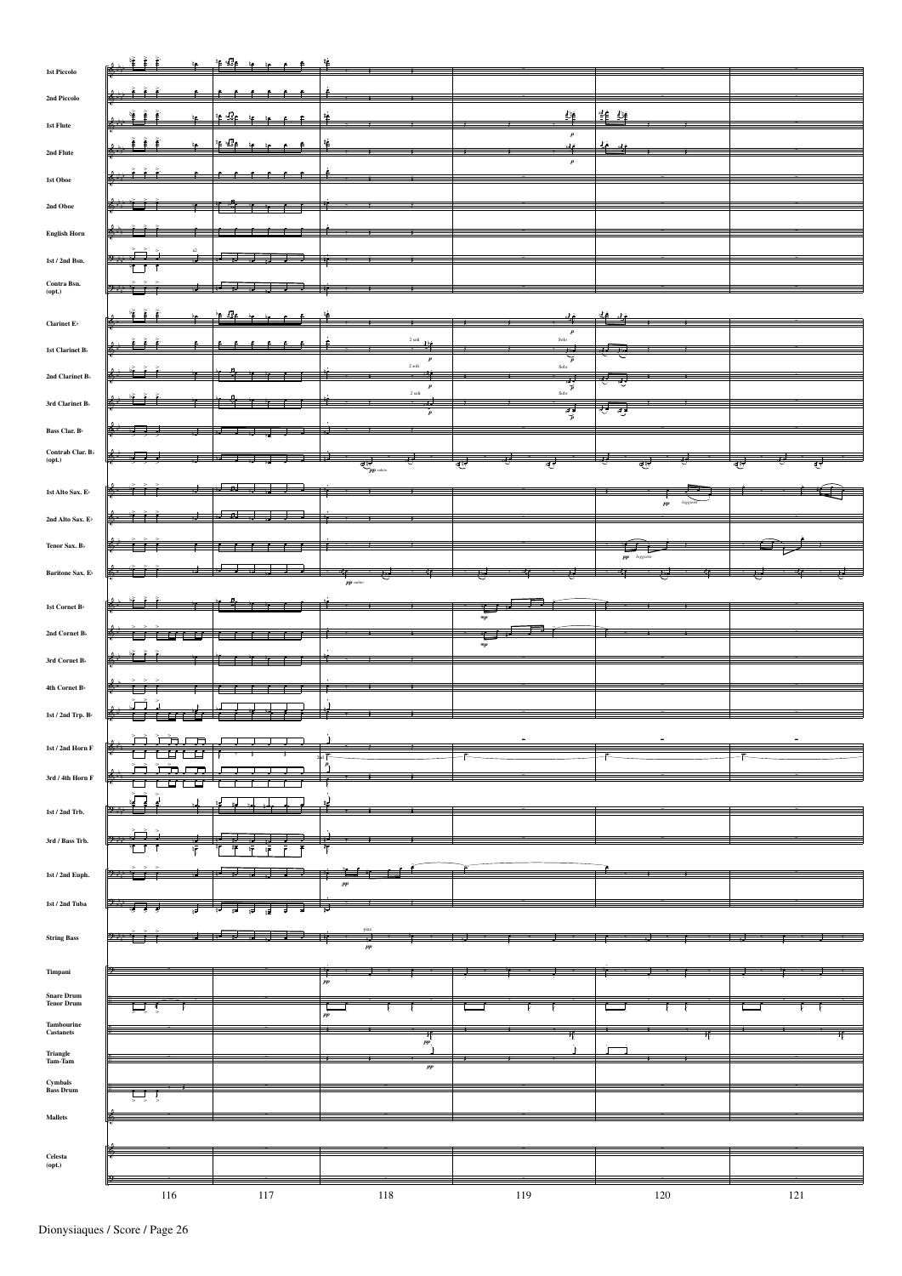| $1\mathrm{st}$ Piccolo                                                                                       | 憧<br>١e.<br>【参考】                  | $\underline{\mathbf{F}}$<br>l۴. |                                               |                                    |               |                                                                              |                         |  |
|--------------------------------------------------------------------------------------------------------------|-----------------------------------|---------------------------------|-----------------------------------------------|------------------------------------|---------------|------------------------------------------------------------------------------|-------------------------|--|
|                                                                                                              |                                   |                                 |                                               |                                    |               |                                                                              |                         |  |
| $2\mathrm{nd}$ Piccolo                                                                                       |                                   |                                 |                                               |                                    |               | 肈<br>準<br>≇≛                                                                 |                         |  |
| $1st$ Flute $\,$                                                                                             |                                   | مخله<br>۹€.                     |                                               |                                    |               | $\pmb{p}$                                                                    |                         |  |
| $2\mathrm{nd}$ Flute                                                                                         |                                   | া≄ ≔া                           | ÷.                                            |                                    |               | 孕<br>$\boldsymbol{p}$                                                        |                         |  |
| $1\mathrm{st}$ Oboe                                                                                          |                                   |                                 |                                               |                                    |               |                                                                              |                         |  |
| $2\mathrm{nd}$ Oboe                                                                                          | $\leftarrow$                      | ⊷<br>- 1                        |                                               |                                    |               |                                                                              |                         |  |
| <b>English Horn</b>                                                                                          | $\leftrightarrow$                 |                                 |                                               |                                    |               |                                                                              |                         |  |
|                                                                                                              | a2<br>$\frac{1}{2}$               |                                 |                                               |                                    |               |                                                                              |                         |  |
| $1st$ / $2nd$ Bsn. $\,$                                                                                      |                                   |                                 |                                               |                                    |               |                                                                              |                         |  |
| $\begin{array}{c} \mbox{Contra Bsn.}\\ \mbox{(opt.)} \end{array}$                                            | $\mathcal{F} \mapsto \mathcal{F}$ |                                 | ≖                                             |                                    |               |                                                                              |                         |  |
| Clarinet $\mathbf{E}\flat$                                                                                   |                                   |                                 |                                               |                                    |               |                                                                              |                         |  |
| 1st Clarinet $\mathbf{B}\flat$                                                                               |                                   |                                 |                                               | 2 soli                             |               | $\pmb{p}$<br>$\operatorname{Solo}$<br>ਹਾਂ ਤਾ<br><b>The</b>                   |                         |  |
| 2nd Clarinet $\rm B\ensuremath{\flat}$                                                                       |                                   |                                 |                                               | $\boldsymbol{p}$<br>$2\,\rm{soli}$ |               | $\frac{1}{\frac{p}{p}}$<br>$\operatorname{Solo}$                             |                         |  |
|                                                                                                              |                                   |                                 |                                               | $\boldsymbol{p}$<br>$2\:\rm{soli}$ |               | $\overline{\overline{\overline{H}}_p}$<br>₹<br>रंगु<br>$\operatorname{Solo}$ |                         |  |
| $3\text{rd}$ Clarinet $\text{B}\flat$                                                                        |                                   |                                 |                                               | $\boldsymbol{p}$                   |               | $\overline{\overline{H}$<br><del>हि ह</del>                                  |                         |  |
| Bass Clar. $\rm B\ensuremath{\scriptstyle{\circ}}$                                                           | €                                 |                                 |                                               |                                    |               |                                                                              |                         |  |
| $\begin{array}{l} \textbf{Control } \textbf{Char.} \text{ } \textbf{B} \flat \\ \textbf{(opt.)} \end{array}$ | $\spadesuit$                      |                                 | $\frac{1}{2}$                                 |                                    | न्तु          |                                                                              |                         |  |
|                                                                                                              |                                   |                                 |                                               |                                    |               |                                                                              |                         |  |
|                                                                                                              | াক                                |                                 |                                               |                                    |               |                                                                              |                         |  |
| 1st Alto Sax. $\rm E\flat$                                                                                   |                                   |                                 | te.                                           |                                    |               |                                                                              | $p\bar{p}$<br>leggien   |  |
|                                                                                                              | ⋒                                 |                                 |                                               |                                    |               |                                                                              |                         |  |
| Tenor Sax. B                                                                                                 | াক                                |                                 |                                               |                                    |               |                                                                              | $\sim$<br>$pp$ leggiero |  |
|                                                                                                              | K                                 | $\overline{\phantom{a}}$        | <u>  १९११ - १</u><br>$\boldsymbol{pp}$ subito | $\cdot$                            |               | ستفيد                                                                        | $-$<br>≖                |  |
| 1st Cornet $\mathbf{B}\flat$                                                                                 |                                   |                                 |                                               |                                    | ⊭             |                                                                              |                         |  |
|                                                                                                              | ⋒<br>←←                           |                                 |                                               |                                    | $\it mp$      |                                                                              |                         |  |
| 2nd Cornet $\rm B\flat$                                                                                      |                                   |                                 | $\overline{\phantom{a}}$                      |                                    | ٣<br>$\it mp$ |                                                                              |                         |  |
| $3\mathrm{rd}$ Cornet $\mathrm{B}\flat$                                                                      |                                   |                                 |                                               |                                    |               |                                                                              |                         |  |
| $4\mbox{th}$ Cornet $\mbox{B}\flat$                                                                          | $\overline{\mathbb{C}}$           |                                 | -<br>ł                                        |                                    |               |                                                                              |                         |  |
| $1\mathrm{st}$ / $2\mathrm{nd}$ Trp. $\mathrm{B}\flat$                                                       | $\epsilon$                        |                                 |                                               |                                    |               |                                                                              |                         |  |
| $1\mathrm{st}$ / $2\mathrm{nd}$ Horn F                                                                       | ਛ                                 |                                 |                                               |                                    |               |                                                                              |                         |  |
|                                                                                                              | $\frac{2}{6}$                     |                                 |                                               |                                    |               |                                                                              |                         |  |
| $3 \mathrm{rd}$ / $4 \mathrm{th}$ Horn F                                                                     |                                   |                                 |                                               |                                    |               |                                                                              |                         |  |
| $1\mathrm{st}$ / $2\mathrm{nd}$ Trb.                                                                         | フー                                |                                 |                                               |                                    |               |                                                                              |                         |  |
| $3\mathrm{rd}$ / Bass Trb.                                                                                   | $\frac{1}{2}$<br>辆                | 请<br>$\overline{ }$<br>iē       | ₩<br>Ÿ<br>鞆                                   |                                    |               |                                                                              |                         |  |
|                                                                                                              | $\mathcal{P}$                     |                                 |                                               |                                    |               |                                                                              |                         |  |
| $1st$ / $2nd$ Euph.                                                                                          |                                   |                                 | $\boldsymbol{pp}$                             |                                    |               |                                                                              |                         |  |
| $1\mathrm{st}$ / $2\mathrm{nd}$ Tuba                                                                         | $\mathcal{P}$<br>ाड़<br>¦⊌,       | ⊽<br>₹<br>ार्च<br>ब<br>ਜ਼<br>₹  | ‡₹                                            |                                    |               |                                                                              |                         |  |

![](_page_25_Figure_1.jpeg)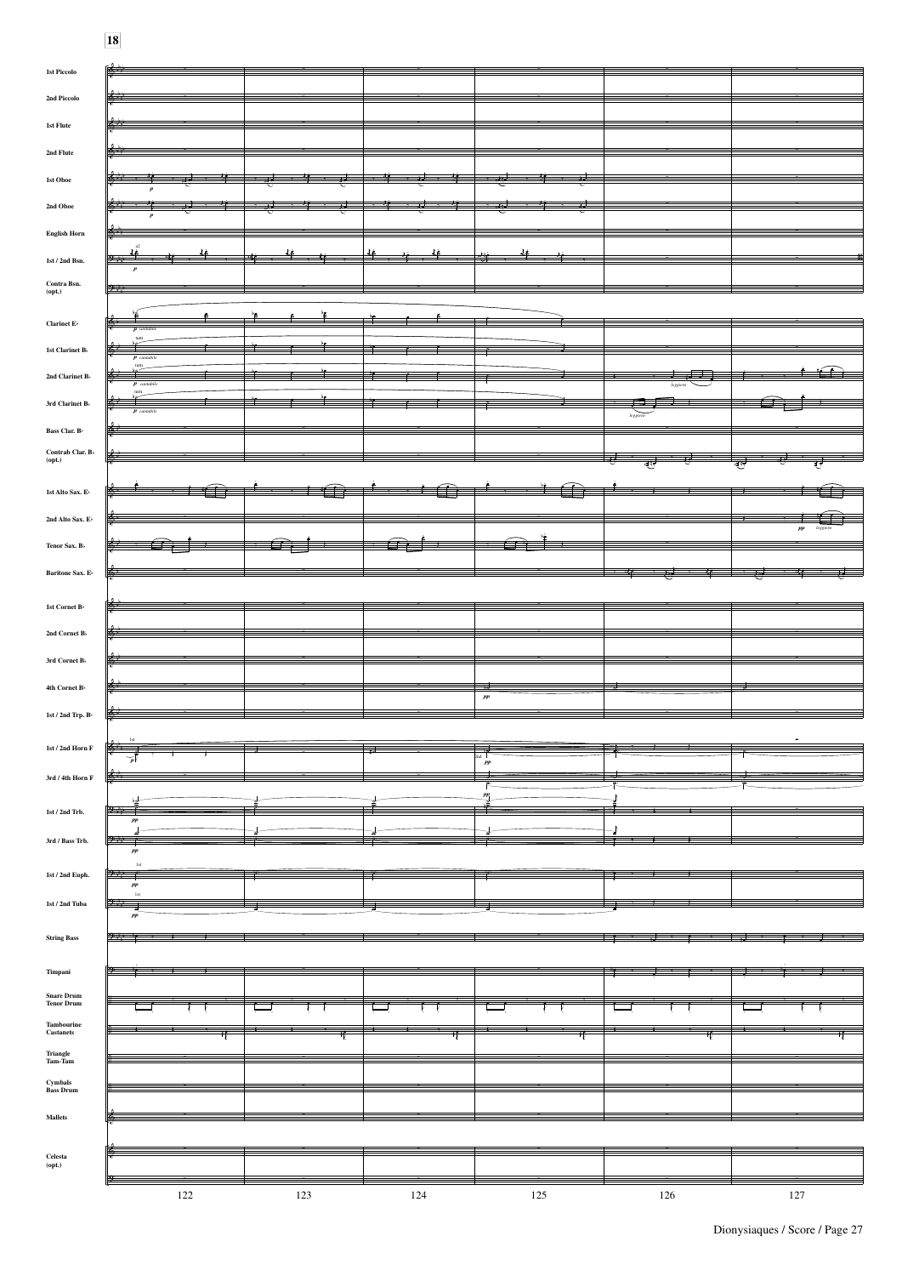| $1\mathrm{st}$ Piccolo                                                                                       | 6*                                                                       |   |                   |               |                |
|--------------------------------------------------------------------------------------------------------------|--------------------------------------------------------------------------|---|-------------------|---------------|----------------|
| $2\mathbf{nd}$ Piccolo                                                                                       | 奋斗                                                                       |   |                   |               |                |
| $1st$ Flute $\,$                                                                                             | 65                                                                       |   |                   |               |                |
| $2\mathrm{nd}$ Flute                                                                                         | 65                                                                       |   |                   |               |                |
| $1\mathrm{st}$ Oboe                                                                                          | 63                                                                       |   | والن              |               |                |
| $2\mathrm{nd}$ Oboe                                                                                          | ਛ                                                                        |   | जीट<br>۰.         |               |                |
| English Horn $\,$                                                                                            | $\boldsymbol{p}$<br>$\frac{1}{2}$                                        |   |                   |               |                |
| $1\mathrm{st}$ / $2\mathrm{nd}$ Bsn.                                                                         | a <sub>2</sub><br>$\frac{t}{2}$                                          |   |                   |               |                |
| $\begin{array}{l} \mbox{Contra Bsn.} \\ \mbox{(opt.)} \end{array}$                                           | $\boldsymbol{p}$<br>$\mathcal{P} \rightarrow$                            |   |                   |               |                |
|                                                                                                              |                                                                          |   |                   |               |                |
| Clarinet $\mathbf{E}\flat$                                                                                   | 停<br>$\boldsymbol{p}$ cantabile<br>tutti                                 |   |                   |               |                |
| 1st Clarinet $\rm B\ensuremath{\scriptstyle{\circ}}$                                                         | €<br>∙<br>$\boldsymbol{p}$ cantabile<br>tutti                            |   |                   |               |                |
| 2nd Clarinet $\rm B\ensuremath{\flat}$                                                                       | 摩<br>$\boldsymbol{p}$ cantabile<br>tutti                                 |   |                   | ⇉<br>leggiero |                |
| $3\text{rd}$ Clarinet $\text{B}\flat$                                                                        | †<br>$\boldsymbol{p}$ cantabile                                          |   |                   | leggiero      |                |
| Bass Clar. $\rm B\ensuremath{\flat}$                                                                         | 俸                                                                        |   |                   |               |                |
| $\begin{array}{l} \textbf{Control } \textbf{Char.} \text{ } \textbf{B} \flat \\ \textbf{(opt.)} \end{array}$ | 6                                                                        |   |                   | لجعج<br>ಸ್ರ್  | جالته<br>ゼ     |
| 1st Alto Sax. $\rm E\textsubscript{\flat}$                                                                   | 险                                                                        |   |                   |               |                |
| 2nd Alto Sax. $\rm E\flat$                                                                                   | $\left($                                                                 |   |                   |               | pp<br>leggiero |
| Tenor Sax. $\mathbf{B}\flat$                                                                                 |                                                                          | — | 唁                 |               |                |
|                                                                                                              |                                                                          |   |                   |               |                |
| 1st Cornet $\mathbf{B}\flat$                                                                                 | 【秦                                                                       |   |                   |               |                |
| 2nd Cornet $\rm B\flat$                                                                                      | 布                                                                        |   |                   |               |                |
| $3\text{rd}$ Cornet $\text{B}\flat$                                                                          | $\spadesuit$                                                             |   |                   |               |                |
| $4\mbox{th}$ Cornet $\mbox{B}\flat$                                                                          | $\leftarrow$                                                             |   | 긊.                |               |                |
| $1\mathrm{st}$ / $2\mathrm{nd}$ Trp. $\mathrm{B}\flat$                                                       |                                                                          |   | $\boldsymbol{pp}$ |               |                |
|                                                                                                              | 1st                                                                      |   |                   |               |                |
| $1\mathrm{st}$ / $2\mathrm{nd}$ Horn F                                                                       |                                                                          |   | $p\bar{p}$        |               |                |
| $3\mathrm{rd}$ / $4\mathrm{th}$ Horn F                                                                       | 76.                                                                      |   | p p               |               |                |
| $1\mathrm{st}$ / $2\mathrm{nd}$ Trb.                                                                         | bd.<br>「ジャト<br>$p\hspace{-0.5mm}/\hspace{0.2mm}p$                        |   | 轻                 |               |                |
| $3\mathrm{rd}$ / Bass Trb.                                                                                   | $\mathcal{F} \rightarrow \mathcal{F}$                                    |   | d.                |               |                |
| $1st$ / $2nd$ Euph.                                                                                          | $p\hspace{-0.5mm}p$<br>$1\rm{st}$<br>$\mathbb{P} \rightarrow \mathbb{P}$ |   |                   |               |                |
|                                                                                                              | $p\hspace{-0.5mm}/\hspace{0.2mm}p$<br>$1\,\mathrm{st}$<br>$2 +$          |   |                   |               |                |
| 1st / 2nd Tuba                                                                                               | $p\hspace{-0.5mm}p$                                                      |   |                   |               |                |
| $\mbox{String Bass}$                                                                                         | ファー                                                                      |   |                   |               |                |

![](_page_26_Figure_2.jpeg)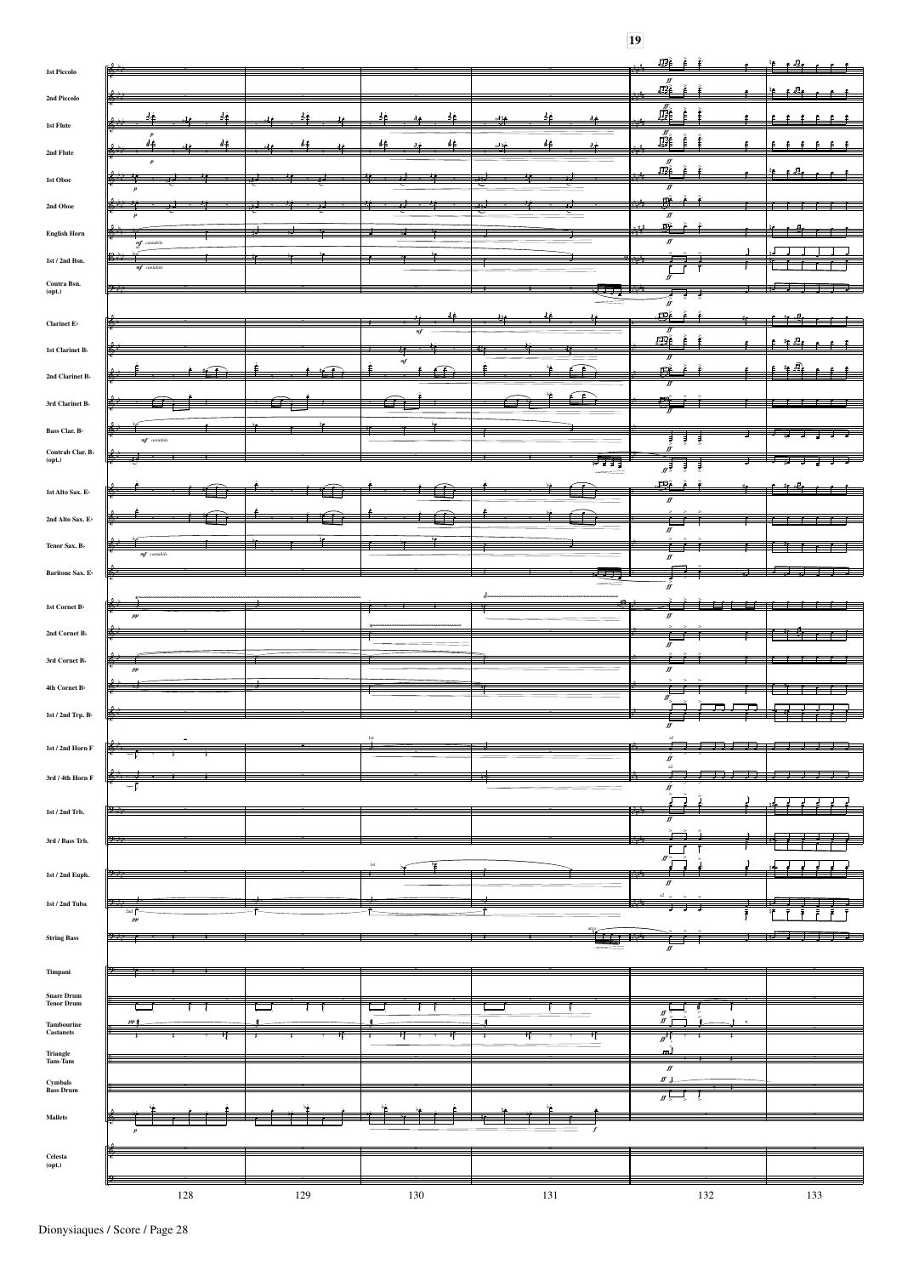| $1st$ Piccolo $\,$                                                            | 险                                           |                                                     |                            | 辱                                                        |                          |
|-------------------------------------------------------------------------------|---------------------------------------------|-----------------------------------------------------|----------------------------|----------------------------------------------------------|--------------------------|
|                                                                               |                                             |                                                     |                            | IJ<br>匪                                                  |                          |
| $2\mathrm{nd}$ Piccolo                                                        | 华                                           | 立                                                   |                            | ľł                                                       |                          |
| $1st$ Flute $\,$                                                              | 【益                                          |                                                     |                            | J<br>$\epsilon$                                          |                          |
| $2\mathrm{nd}$ Flute                                                          | 竓<br>大学                                     | 纤                                                   |                            |                                                          |                          |
| $1\mathrm{st}$ Oboe                                                           | $6$ <sup>33</sup><br>∸<br>ł                 | $\cdot$<br>$\mathbf{r}$<br>$\overline{\phantom{a}}$ | الموالي                    | $\mathbb{Z}^{\sharp}$<br>f f                             |                          |
| 2nd Oboe                                                                      | 长安                                          |                                                     | لوال<br>. .                | التقابلة                                                 |                          |
| <b>English Horn</b>                                                           | La ⇒                                        |                                                     |                            | f f<br>毭                                                 |                          |
|                                                                               | $\inf_{a_2}$ cantabile<br>影斗                |                                                     |                            | $f\hspace{-0.1cm}f$                                      |                          |
| $1\mathrm{st}$ / $2\mathrm{nd}$ Bsn.                                          | $m f$ cantabile                             |                                                     |                            |                                                          |                          |
| $\begin{array}{ll} \mbox{Contra Bsn.} \\ \mbox{(opt.)} \end{array}$           | フェ                                          |                                                     | ਵਾਸ਼                       | Íf                                                       |                          |
| Clarinet $\mathbf{E}\flat$                                                    | ⊯                                           |                                                     |                            | 画                                                        |                          |
| 1st Clarinet $\rm B\flat$                                                     | ⊯                                           | m f                                                 |                            | ff<br>壁                                                  |                          |
|                                                                               |                                             | m f                                                 |                            | $\overline{f}$<br>兵                                      | $\ast$ $\widehat{E}$     |
| 2nd Clarinet $\rm B\ensuremath{\flat}$                                        |                                             |                                                     |                            | $\overline{f}$                                           |                          |
| $3\text{rd}$ Clarinet $\text{B}\flat$                                         |                                             |                                                     |                            | 興<br>£Ï                                                  |                          |
| Bass Clar. $\rm B\ensuremath{\flat}$                                          | $m f$ cantabile                             |                                                     |                            | इ<br>Į.                                                  |                          |
| $\begin{array}{l} \mbox{Control Char. B}\rangle \\ \mbox{(opt.)} \end{array}$ | ⊯                                           |                                                     | जेत्रके पु                 | ff<br>$\overline{y^{\frac{1}{2}}}$<br>ţ                  |                          |
| 1st Alto Sax. $\rm E\textsubscript{\flat}$                                    | Ѩ                                           |                                                     |                            | <u>. Dè</u>                                              |                          |
|                                                                               |                                             |                                                     |                            | $f\hspace{-0.8mm}f$                                      |                          |
| 2nd Alto Sax. $\mathrm{E}\flat$                                               | Ѩ                                           | ے                                                   |                            | f f                                                      |                          |
| Tenor Sax. $\mathbf{B}\flat$                                                  | 险<br>$m\!f$ cantabile                       |                                                     |                            | f f                                                      |                          |
| Baritone Sax. $\rm E\ensuremath{\flat}$                                       | ౹⋲                                          |                                                     | $\overline{\mathcal{L}}$ , | İf                                                       |                          |
| 1st Cornet $\mathbf{B}\flat$                                                  | 险                                           |                                                     | تمط                        |                                                          |                          |
| 2nd Cornet $\rm B\ensuremath{\flat}$                                          | pp<br>ॉक                                    |                                                     |                            | $f\hspace{-0.1cm}f$                                      | ₹                        |
|                                                                               |                                             |                                                     |                            | ff                                                       |                          |
| $3\text{rd}$ Cornet $\text{B}\flat$                                           | 庵<br>$\boldsymbol{pp}$                      |                                                     |                            | $f\hspace{-0.1cm}f$                                      |                          |
| $4\text{th}$ Cornet $\text{B}\flat$                                           | ⊯                                           |                                                     |                            | $f_{\mathcal{L}}$                                        |                          |
| $1\mathrm{st}$ / $2\mathrm{nd}$ Trp. $\mathrm{B}\flat$                        | 6                                           |                                                     |                            | $f\hspace{-0.8mm}f$                                      |                          |
| $1\mathrm{st}$ / $2\mathrm{nd}$ Horn F                                        | ౹∕∍                                         | $1\,\mathrm{st}$                                    |                            | $\frac{a^2}{\sqrt{a^2+a^2}}$<br>$\overline{\phantom{a}}$ | $\overline{\phantom{0}}$ |
|                                                                               |                                             |                                                     |                            | ff<br>$\rm{a2}$                                          |                          |
| $3 {\rm rd}$ / $4 {\rm th}$ Horn F                                            | $\sqrt{6}$                                  |                                                     |                            |                                                          |                          |
| $1st$ / $2nd$ $\operatorname{Trb.}$                                           | フキ                                          |                                                     |                            | ff                                                       |                          |
| $3\mathrm{rd}$ / Bass Trb.                                                    | $\mathcal{P}$                               |                                                     |                            |                                                          |                          |
|                                                                               |                                             | $1st$<br>進                                          |                            | ∯                                                        |                          |
| $1\mathrm{st}$ / $2\mathrm{nd}$ Euph.                                         | $9 +$                                       |                                                     |                            | $f\hspace{-0.1cm}f$                                      |                          |
| $1\mathrm{st}$ / $2\mathrm{nd}$ Tuba                                          | $\mathcal{F}$ $\rightarrow$<br>2nd          |                                                     |                            | a2 >                                                     |                          |
| $\mbox{String Bass}$                                                          | $p\bar{p}$<br>$\mathcal{F}$ , $\mathcal{F}$ |                                                     | $\frac{1}{2}$              |                                                          |                          |
|                                                                               |                                             |                                                     |                            | $f\hspace{-0.1cm}f$                                      |                          |

![](_page_27_Figure_2.jpeg)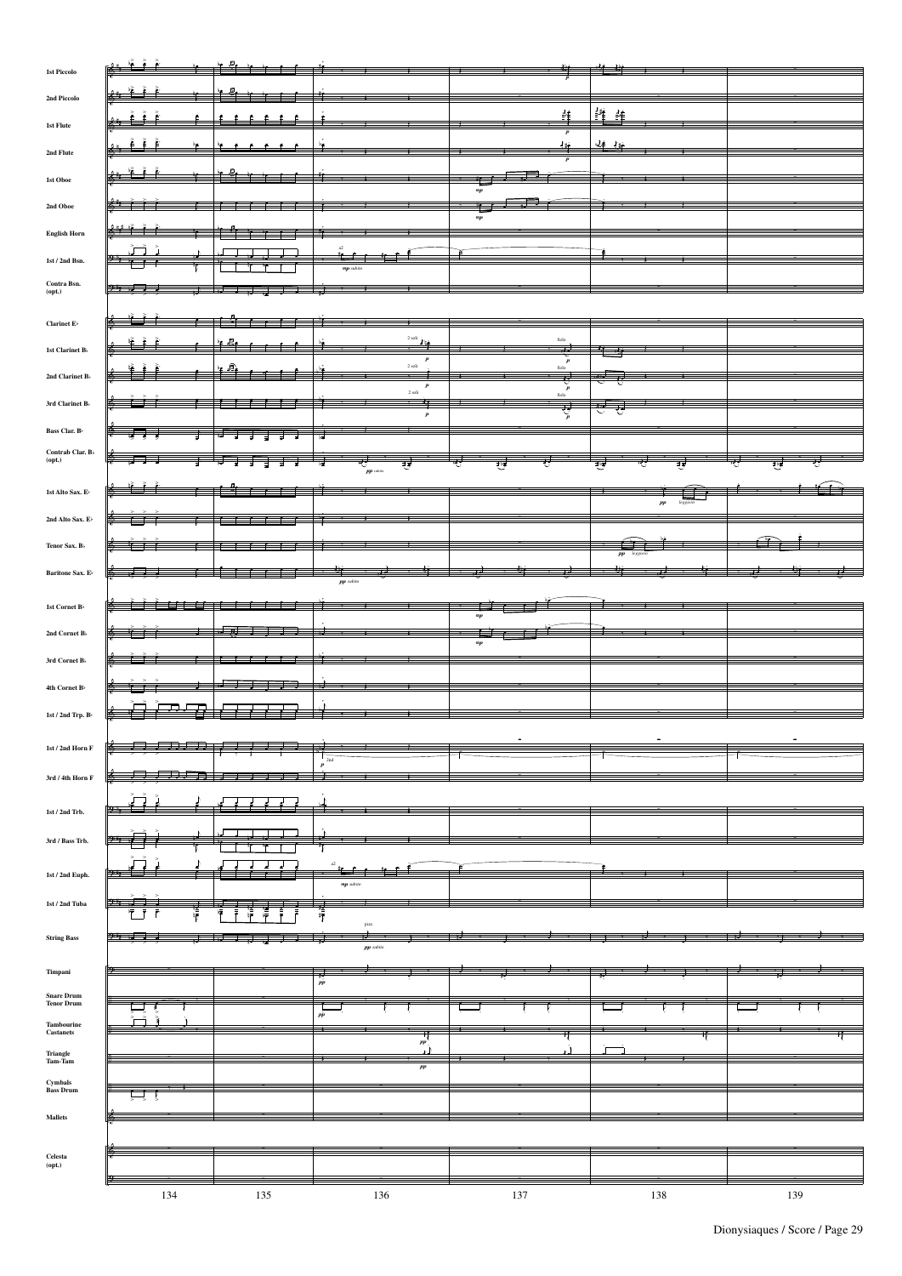| $1\mathrm{st}$ Piccolo                                                        | [命                                    |                                               |                                                  |           |
|-------------------------------------------------------------------------------|---------------------------------------|-----------------------------------------------|--------------------------------------------------|-----------|
|                                                                               |                                       |                                               |                                                  |           |
| $2\mathbf{nd}$ Piccolo                                                        | $\frac{1}{2}$                         |                                               |                                                  |           |
| $1st$ Flute $\,$                                                              | ੂ⊀                                    |                                               | 犨绰<br>纤<br>$\boldsymbol{p}$                      |           |
| $2nd$ Flute $\,$                                                              | ๕                                     |                                               | $\frac{1}{2}$<br>雙<br>خالی                       |           |
|                                                                               |                                       |                                               | $\boldsymbol{p}$                                 |           |
| $1\mathrm{st}$ Oboe                                                           | $\mathbf{e}$                          |                                               | $_{\it mp}$                                      |           |
| $2\mathrm{nd}$ Oboe                                                           | ⊯                                     |                                               | mp                                               |           |
| English Horn $\,$                                                             | ⊯≿                                    |                                               |                                                  |           |
| $1st$ / $2nd$ Bsn. $\,$                                                       | D.,                                   | $\rm{a2}$                                     |                                                  |           |
|                                                                               |                                       | mp subite                                     |                                                  |           |
| Contra Bsn.<br>(opt.)                                                         | ジュ                                    |                                               |                                                  |           |
| Clarinet $\mathbf{E}\flat$                                                    |                                       | ⇉                                             |                                                  |           |
|                                                                               |                                       | $rac{2 \text{ soli}}{2}$                      | Solo                                             |           |
| 1st Clarinet $B\flat$                                                         |                                       | $\cdot$<br>$\boldsymbol{p}$<br>$2\:\rm{soli}$ | ≖<br>$\boldsymbol{p}$                            |           |
| 2nd Clarinet $\rm B\ensuremath{\flat}$                                        | Â,                                    | $\boldsymbol{p}$                              | Solo<br>الولالي<br>ż.                            |           |
| $3\text{rd}$ Clarinet $\text{B}\flat$                                         |                                       | $2\:\rm{soli}$<br>≭≠                          | $\boldsymbol{p}$<br>$\operatorname{Solo}$<br>र्छ |           |
|                                                                               |                                       | $\boldsymbol{p}$                              | もじゅ<br>₹                                         |           |
| Bass Clar. $\rm B\ensuremath{\scriptstyle{\circ}}$                            |                                       |                                               |                                                  |           |
| $\begin{array}{l} \mbox{Control Char. B}\rangle \\ \mbox{(opt.)} \end{array}$ | ķ                                     | مجلبة<br>₹₹<br>$pp$ subito                    | र्मु<br>राज्                                     | उर्<br>まほ |
|                                                                               | 蒢                                     |                                               |                                                  |           |
|                                                                               |                                       |                                               |                                                  |           |
|                                                                               |                                       |                                               | $p\hspace{-0.5mm}p$                              | leggiero  |
| 2nd Alto Sax. E                                                               | 6                                     |                                               |                                                  |           |
| Tenor Sax. $\mathbf{B} \flat$                                                 |                                       |                                               | $pp$ leggiero                                    |           |
| Baritone Sax. $\mathbf{E}\flat$                                               | ⊺⊕                                    |                                               |                                                  |           |
|                                                                               |                                       | $pp$ subito                                   |                                                  |           |
| 1st Cornet $\mathbf{B}\flat$                                                  | €                                     |                                               | mp                                               |           |
| 2nd Cornet $\rm B\flat$                                                       |                                       |                                               |                                                  |           |
|                                                                               |                                       |                                               | $\mathit{mp}$                                    |           |
| $3\text{rd}$ Cornet $\text{B}\flat$                                           |                                       |                                               |                                                  |           |
| $4\mbox{th}$ Cornet $\mbox{B}\flat$                                           |                                       |                                               |                                                  |           |
| $1\mathrm{st}$ / $2\mathrm{nd}$ Trp. $\mathrm{B}\flat$                        |                                       |                                               |                                                  |           |
|                                                                               | . <i>.</i>                            | ≁                                             |                                                  |           |
| $1\mathrm{st}$ / $2\mathrm{nd}$ Horn F                                        |                                       | $p^{\frac{2}{2}}$                             |                                                  |           |
| $3 \mathrm{rd}$ / $4 \mathrm{th}$ Horn F                                      |                                       |                                               |                                                  |           |
|                                                                               |                                       |                                               |                                                  |           |
| $1\mathrm{st}$ / $2\mathrm{nd}$ Trb.                                          |                                       |                                               |                                                  |           |
| $3\mathrm{rd}$ / Bass Trb.                                                    |                                       | ∹                                             |                                                  |           |
|                                                                               |                                       | $^{\rm a2}$                                   |                                                  |           |
| $1st$ / $2nd$ Euph.                                                           |                                       | $\mathit{mp}$ subito                          |                                                  |           |
| $1\mathrm{st}$ / $2\mathrm{nd}$ Tuba                                          | デー<br>谭<br>晴<br>躁<br>÷<br>÷<br>Ξ<br>嬯 | 睛                                             |                                                  |           |
| <b>String Bass</b>                                                            | ディ                                    | pizz.                                         |                                                  |           |

![](_page_28_Figure_1.jpeg)